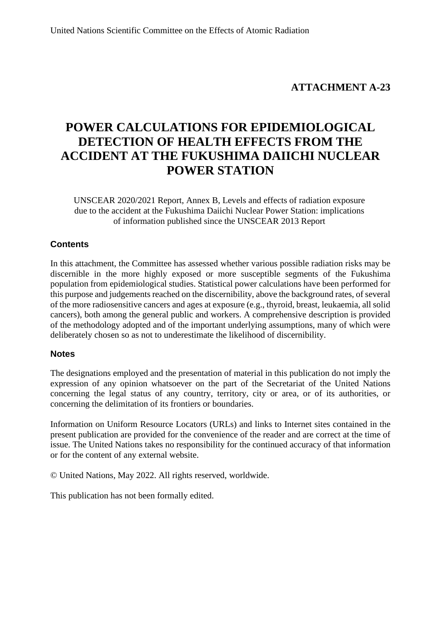### **ATTACHMENT A-23**

# **POWER CALCULATIONS FOR EPIDEMIOLOGICAL DETECTION OF HEALTH EFFECTS FROM THE ACCIDENT AT THE FUKUSHIMA DAIICHI NUCLEAR POWER STATION**

UNSCEAR 2020/2021 Report, Annex B, Levels and effects of radiation exposure due to the accident at the Fukushima Daiichi Nuclear Power Station: implications of information published since the UNSCEAR 2013 Report

#### **Contents**

In this attachment, the Committee has assessed whether various possible radiation risks may be discernible in the more highly exposed or more susceptible segments of the Fukushima population from epidemiological studies. Statistical power calculations have been performed for this purpose and judgements reached on the discernibility, above the background rates, of several of the more radiosensitive cancers and ages at exposure (e.g., thyroid, breast, leukaemia, all solid cancers), both among the general public and workers. A comprehensive description is provided of the methodology adopted and of the important underlying assumptions, many of which were deliberately chosen so as not to underestimate the likelihood of discernibility.

#### **Notes**

The designations employed and the presentation of material in this publication do not imply the expression of any opinion whatsoever on the part of the Secretariat of the United Nations concerning the legal status of any country, territory, city or area, or of its authorities, or concerning the delimitation of its frontiers or boundaries.

Information on Uniform Resource Locators (URLs) and links to Internet sites contained in the present publication are provided for the convenience of the reader and are correct at the time of issue. The United Nations takes no responsibility for the continued accuracy of that information or for the content of any external website.

© United Nations, May 2022. All rights reserved, worldwide.

This publication has not been formally edited.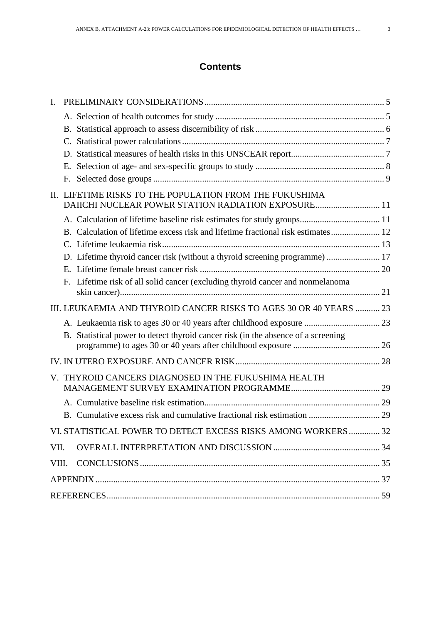| I.    |                                                                                                                |  |
|-------|----------------------------------------------------------------------------------------------------------------|--|
|       |                                                                                                                |  |
|       |                                                                                                                |  |
|       |                                                                                                                |  |
|       |                                                                                                                |  |
|       |                                                                                                                |  |
|       |                                                                                                                |  |
|       |                                                                                                                |  |
|       | II. LIFETIME RISKS TO THE POPULATION FROM THE FUKUSHIMA<br>DAIICHI NUCLEAR POWER STATION RADIATION EXPOSURE 11 |  |
|       |                                                                                                                |  |
|       | B. Calculation of lifetime excess risk and lifetime fractional risk estimates 12                               |  |
|       |                                                                                                                |  |
|       | D. Lifetime thyroid cancer risk (without a thyroid screening programme)  17                                    |  |
|       |                                                                                                                |  |
|       | F. Lifetime risk of all solid cancer (excluding thyroid cancer and nonmelanoma                                 |  |
|       | III. LEUKAEMIA AND THYROID CANCER RISKS TO AGES 30 OR 40 YEARS  23                                             |  |
|       |                                                                                                                |  |
|       | B. Statistical power to detect thyroid cancer risk (in the absence of a screening                              |  |
|       |                                                                                                                |  |
|       | V. THYROID CANCERS DIAGNOSED IN THE FUKUSHIMA HEALTH                                                           |  |
|       |                                                                                                                |  |
|       |                                                                                                                |  |
|       |                                                                                                                |  |
|       | VI. STATISTICAL POWER TO DETECT EXCESS RISKS AMONG WORKERS 32                                                  |  |
| VII.  |                                                                                                                |  |
| VIII. |                                                                                                                |  |
|       |                                                                                                                |  |
|       |                                                                                                                |  |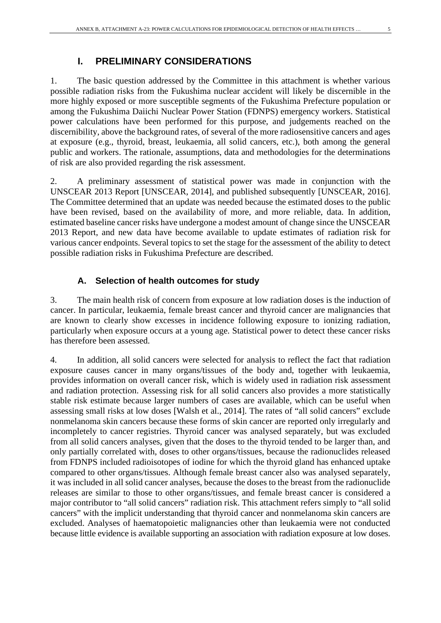## **I. PRELIMINARY CONSIDERATIONS**

The basic question addressed by the Committee in this attachment is whether various possible radiation risks from the Fukushima nuclear accident will likely be discernible in the more highly exposed or more susceptible segments of the Fukushima Prefecture population or among the Fukushima Daiichi Nuclear Power Station (FDNPS) emergency workers. Statistical power calculations have been performed for this purpose, and judgements reached on the discernibility, above the background rates, of several of the more radiosensitive cancers and ages at exposure (e.g., thyroid, breast, leukaemia, all solid cancers, etc.), both among the general public and workers. The rationale, assumptions, data and methodologies for the determinations of risk are also provided regarding the risk assessment.

2. A preliminary assessment of statistical power was made in conjunction with the UNSCEAR 2013 Report [UNSCEAR, 2014], and published subsequently [UNSCEAR, 2016]. The Committee determined that an update was needed because the estimated doses to the public have been revised, based on the availability of more, and more reliable, data. In addition, estimated baseline cancer risks have undergone a modest amount of change since the UNSCEAR 2013 Report, and new data have become available to update estimates of radiation risk for various cancer endpoints. Several topics to set the stage for the assessment of the ability to detect possible radiation risks in Fukushima Prefecture are described.

#### **A. Selection of health outcomes for study**

3. The main health risk of concern from exposure at low radiation doses is the induction of cancer. In particular, leukaemia, female breast cancer and thyroid cancer are malignancies that are known to clearly show excesses in incidence following exposure to ionizing radiation, particularly when exposure occurs at a young age. Statistical power to detect these cancer risks has therefore been assessed.

4. In addition, all solid cancers were selected for analysis to reflect the fact that radiation exposure causes cancer in many organs/tissues of the body and, together with leukaemia, provides information on overall cancer risk, which is widely used in radiation risk assessment and radiation protection. Assessing risk for all solid cancers also provides a more statistically stable risk estimate because larger numbers of cases are available, which can be useful when assessing small risks at low doses [Walsh et al., 2014]. The rates of "all solid cancers" exclude nonmelanoma skin cancers because these forms of skin cancer are reported only irregularly and incompletely to cancer registries. Thyroid cancer was analysed separately, but was excluded from all solid cancers analyses, given that the doses to the thyroid tended to be larger than, and only partially correlated with, doses to other organs/tissues, because the radionuclides released from FDNPS included radioisotopes of iodine for which the thyroid gland has enhanced uptake compared to other organs/tissues. Although female breast cancer also was analysed separately, it was included in all solid cancer analyses, because the doses to the breast from the radionuclide releases are similar to those to other organs/tissues, and female breast cancer is considered a major contributor to "all solid cancers" radiation risk. This attachment refers simply to "all solid cancers" with the implicit understanding that thyroid cancer and nonmelanoma skin cancers are excluded. Analyses of haematopoietic malignancies other than leukaemia were not conducted because little evidence is available supporting an association with radiation exposure at low doses.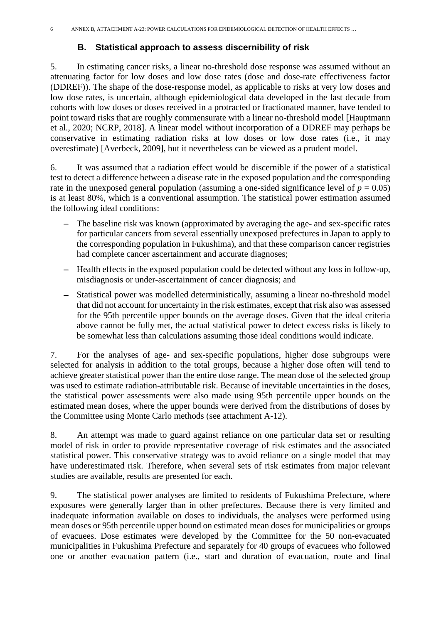### **B. Statistical approach to assess discernibility of risk**

5. In estimating cancer risks, a linear no-threshold dose response was assumed without an attenuating factor for low doses and low dose rates (dose and dose-rate effectiveness factor (DDREF)). The shape of the dose-response model, as applicable to risks at very low doses and low dose rates, is uncertain, although epidemiological data developed in the last decade from cohorts with low doses or doses received in a protracted or fractionated manner, have tended to point toward risks that are roughly commensurate with a linear no-threshold model [Hauptmann et al., 2020; NCRP, 2018]. A linear model without incorporation of a DDREF may perhaps be conservative in estimating radiation risks at low doses or low dose rates (i.e., it may overestimate) [Averbeck, 2009], but it nevertheless can be viewed as a prudent model.

6. It was assumed that a radiation effect would be discernible if the power of a statistical test to detect a difference between a disease rate in the exposed population and the corresponding rate in the unexposed general population (assuming a one-sided significance level of  $p = 0.05$ ) is at least 80%, which is a conventional assumption. The statistical power estimation assumed the following ideal conditions:

- The baseline risk was known (approximated by averaging the age- and sex-specific rates for particular cancers from several essentially unexposed prefectures in Japan to apply to the corresponding population in Fukushima), and that these comparison cancer registries had complete cancer ascertainment and accurate diagnoses;
- − Health effects in the exposed population could be detected without any loss in follow-up, misdiagnosis or under-ascertainment of cancer diagnosis; and
- Statistical power was modelled deterministically, assuming a linear no-threshold model that did not account for uncertainty in the risk estimates, except that risk also was assessed for the 95th percentile upper bounds on the average doses. Given that the ideal criteria above cannot be fully met, the actual statistical power to detect excess risks is likely to be somewhat less than calculations assuming those ideal conditions would indicate.

7. For the analyses of age- and sex-specific populations, higher dose subgroups were selected for analysis in addition to the total groups, because a higher dose often will tend to achieve greater statistical power than the entire dose range. The mean dose of the selected group was used to estimate radiation-attributable risk. Because of inevitable uncertainties in the doses, the statistical power assessments were also made using 95th percentile upper bounds on the estimated mean doses, where the upper bounds were derived from the distributions of doses by the Committee using Monte Carlo methods (see attachment A-12).

8. An attempt was made to guard against reliance on one particular data set or resulting model of risk in order to provide representative coverage of risk estimates and the associated statistical power. This conservative strategy was to avoid reliance on a single model that may have underestimated risk. Therefore, when several sets of risk estimates from major relevant studies are available, results are presented for each.

9. The statistical power analyses are limited to residents of Fukushima Prefecture, where exposures were generally larger than in other prefectures. Because there is very limited and inadequate information available on doses to individuals, the analyses were performed using mean doses or 95th percentile upper bound on estimated mean doses for municipalities or groups of evacuees. Dose estimates were developed by the Committee for the 50 non-evacuated municipalities in Fukushima Prefecture and separately for 40 groups of evacuees who followed one or another evacuation pattern (i.e., start and duration of evacuation, route and final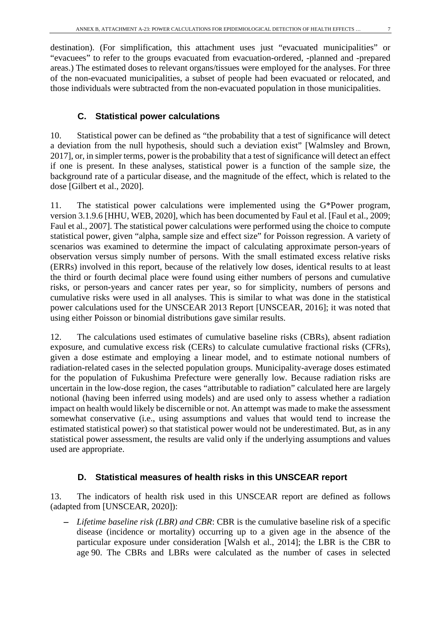destination). (For simplification, this attachment uses just "evacuated municipalities" or "evacuees" to refer to the groups evacuated from evacuation-ordered, -planned and -prepared areas.) The estimated doses to relevant organs/tissues were employed for the analyses. For three of the non-evacuated municipalities, a subset of people had been evacuated or relocated, and those individuals were subtracted from the non-evacuated population in those municipalities.

#### **C. Statistical power calculations**

10. Statistical power can be defined as "the probability that a test of significance will detect a deviation from the null hypothesis, should such a deviation exist" [Walmsley and Brown, 2017], or, in simpler terms, power is the probability that a test of significance will detect an effect if one is present. In these analyses, statistical power is a function of the sample size, the background rate of a particular disease, and the magnitude of the effect, which is related to the dose [Gilbert et al., 2020].

11. The statistical power calculations were implemented using the G\*Power program, version 3.1.9.6 [HHU, WEB, 2020], which has been documented by Faul et al. [Faul et al., 2009; Faul et al., 2007]. The statistical power calculations were performed using the choice to compute statistical power, given "alpha, sample size and effect size" for Poisson regression. A variety of scenarios was examined to determine the impact of calculating approximate person-years of observation versus simply number of persons. With the small estimated excess relative risks (ERRs) involved in this report, because of the relatively low doses, identical results to at least the third or fourth decimal place were found using either numbers of persons and cumulative risks, or person-years and cancer rates per year, so for simplicity, numbers of persons and cumulative risks were used in all analyses. This is similar to what was done in the statistical power calculations used for the UNSCEAR 2013 Report [UNSCEAR, 2016]; it was noted that using either Poisson or binomial distributions gave similar results.

12. The calculations used estimates of cumulative baseline risks (CBRs), absent radiation exposure, and cumulative excess risk (CERs) to calculate cumulative fractional risks (CFRs), given a dose estimate and employing a linear model, and to estimate notional numbers of radiation-related cases in the selected population groups. Municipality-average doses estimated for the population of Fukushima Prefecture were generally low. Because radiation risks are uncertain in the low-dose region, the cases "attributable to radiation" calculated here are largely notional (having been inferred using models) and are used only to assess whether a radiation impact on health would likely be discernible or not. An attempt was made to make the assessment somewhat conservative (i.e., using assumptions and values that would tend to increase the estimated statistical power) so that statistical power would not be underestimated. But, as in any statistical power assessment, the results are valid only if the underlying assumptions and values used are appropriate.

#### **D. Statistical measures of health risks in this UNSCEAR report**

13. The indicators of health risk used in this UNSCEAR report are defined as follows (adapted from [UNSCEAR, 2020]):

*Lifetime baseline risk (LBR)* and *CBR*: CBR is the cumulative baseline risk of a specific disease (incidence or mortality) occurring up to a given age in the absence of the particular exposure under consideration [Walsh et al., 2014]; the LBR is the CBR to age 90. The CBRs and LBRs were calculated as the number of cases in selected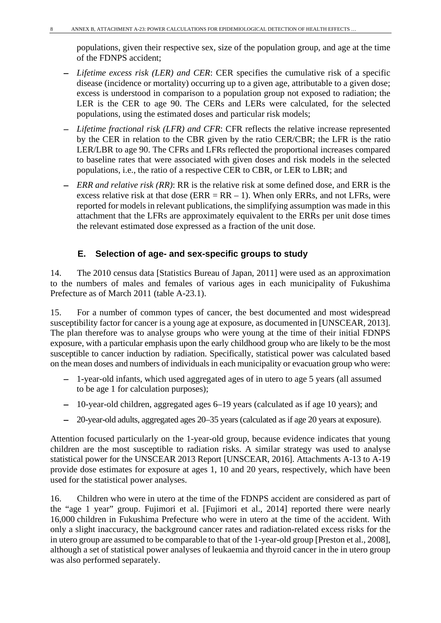populations, given their respective sex, size of the population group, and age at the time of the FDNPS accident;

- − *Lifetime excess risk (LER) and CER*: CER specifies the cumulative risk of a specific disease (incidence or mortality) occurring up to a given age, attributable to a given dose; excess is understood in comparison to a population group not exposed to radiation; the LER is the CER to age 90. The CERs and LERs were calculated, for the selected populations, using the estimated doses and particular risk models;
- − *Lifetime fractional risk (LFR) and CFR*: CFR reflects the relative increase represented by the CER in relation to the CBR given by the ratio CER/CBR; the LFR is the ratio LER/LBR to age 90. The CFRs and LFRs reflected the proportional increases compared to baseline rates that were associated with given doses and risk models in the selected populations, i.e., the ratio of a respective CER to CBR, or LER to LBR; and
- − *ERR and relative risk (RR)*: RR is the relative risk at some defined dose, and ERR is the excess relative risk at that dose ( $\text{ERR} = \text{RR} - 1$ ). When only  $\text{ERRs}$ , and not LFRs, were reported for models in relevant publications, the simplifying assumption was made in this attachment that the LFRs are approximately equivalent to the ERRs per unit dose times the relevant estimated dose expressed as a fraction of the unit dose.

## **E. Selection of age- and sex-specific groups to study**

14. The 2010 census data [Statistics Bureau of Japan, 2011] were used as an approximation to the numbers of males and females of various ages in each municipality of Fukushima Prefecture as of March 2011 (table A-23.1).

15. For a number of common types of cancer, the best documented and most widespread susceptibility factor for cancer is a young age at exposure, as documented in [UNSCEAR, 2013]. The plan therefore was to analyse groups who were young at the time of their initial FDNPS exposure, with a particular emphasis upon the early childhood group who are likely to be the most susceptible to cancer induction by radiation. Specifically, statistical power was calculated based on the mean doses and numbers of individuals in each municipality or evacuation group who were:

- − 1-year-old infants, which used aggregated ages of in utero to age 5 years (all assumed to be age 1 for calculation purposes);
- − 10-year-old children, aggregated ages 6–19 years (calculated as if age 10 years); and
- − 20-year-old adults, aggregated ages 20–35 years (calculated as if age 20 years at exposure).

Attention focused particularly on the 1-year-old group, because evidence indicates that young children are the most susceptible to radiation risks. A similar strategy was used to analyse statistical power for the UNSCEAR 2013 Report [UNSCEAR, 2016]. Attachments A-13 to A-19 provide dose estimates for exposure at ages 1, 10 and 20 years, respectively, which have been used for the statistical power analyses.

16. Children who were in utero at the time of the FDNPS accident are considered as part of the "age 1 year" group. Fujimori et al. [Fujimori et al., 2014] reported there were nearly 16,000 children in Fukushima Prefecture who were in utero at the time of the accident. With only a slight inaccuracy, the background cancer rates and radiation-related excess risks for the in utero group are assumed to be comparable to that of the 1-year-old group [Preston et al., 2008], although a set of statistical power analyses of leukaemia and thyroid cancer in the in utero group was also performed separately.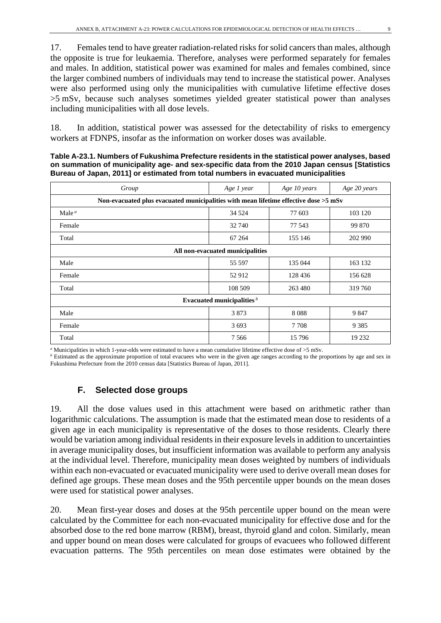17. Females tend to have greater radiation-related risks for solid cancers than males, although the opposite is true for leukaemia. Therefore, analyses were performed separately for females and males. In addition, statistical power was examined for males and females combined, since the larger combined numbers of individuals may tend to increase the statistical power. Analyses were also performed using only the municipalities with cumulative lifetime effective doses >5 mSv, because such analyses sometimes yielded greater statistical power than analyses including municipalities with all dose levels.

18. In addition, statistical power was assessed for the detectability of risks to emergency workers at FDNPS, insofar as the information on worker doses was available.

**Table A-23.1. Numbers of Fukushima Prefecture residents in the statistical power analyses, based on summation of municipality age- and sex-specific data from the 2010 Japan census [Statistics Bureau of Japan, 2011] or estimated from total numbers in evacuated municipalities**

| Group                                                                                  | Age 1 year | Age 10 years | Age 20 years |  |  |  |  |  |
|----------------------------------------------------------------------------------------|------------|--------------|--------------|--|--|--|--|--|
| Non-evacuated plus evacuated municipalities with mean lifetime effective dose $>5$ mSv |            |              |              |  |  |  |  |  |
| Male $a$                                                                               | 34 5 24    | 77 603       | 103 120      |  |  |  |  |  |
| Female                                                                                 | 32 740     | 77 543       | 99 870       |  |  |  |  |  |
| Total                                                                                  | 67 264     | 155 146      | 202 990      |  |  |  |  |  |
| All non-evacuated municipalities                                                       |            |              |              |  |  |  |  |  |
| Male                                                                                   | 55 597     | 135 044      | 163 132      |  |  |  |  |  |
| Female                                                                                 | 52 912     | 128 436      | 156 628      |  |  |  |  |  |
| Total                                                                                  | 108 509    | 263 480      | 319760       |  |  |  |  |  |
| Evacuated municipalities $b$                                                           |            |              |              |  |  |  |  |  |
| Male                                                                                   | 3873       | 8088         | 9847         |  |  |  |  |  |
| Female                                                                                 | 3693       | 7 7 0 8      | 9 3 8 5      |  |  |  |  |  |
| Total                                                                                  | 7 5 6 6    | 15 7 9 6     | 19 232       |  |  |  |  |  |

*<sup>a</sup>* Municipalities in which 1-year-olds were estimated to have a mean cumulative lifetime effective dose of >5 mSv.

*b* Estimated as the approximate proportion of total evacuees who were in the given age ranges according to the proportions by age and sex in Fukushima Prefecture from the 2010 census data [Statistics Bureau of Japan, 2011].

#### **F. Selected dose groups**

19. All the dose values used in this attachment were based on arithmetic rather than logarithmic calculations. The assumption is made that the estimated mean dose to residents of a given age in each municipality is representative of the doses to those residents. Clearly there would be variation among individual residents in their exposure levels in addition to uncertainties in average municipality doses, but insufficient information was available to perform any analysis at the individual level. Therefore, municipality mean doses weighted by numbers of individuals within each non-evacuated or evacuated municipality were used to derive overall mean doses for defined age groups. These mean doses and the 95th percentile upper bounds on the mean doses were used for statistical power analyses.

20. Mean first-year doses and doses at the 95th percentile upper bound on the mean were calculated by the Committee for each non-evacuated municipality for effective dose and for the absorbed dose to the red bone marrow (RBM), breast, thyroid gland and colon. Similarly, mean and upper bound on mean doses were calculated for groups of evacuees who followed different evacuation patterns. The 95th percentiles on mean dose estimates were obtained by the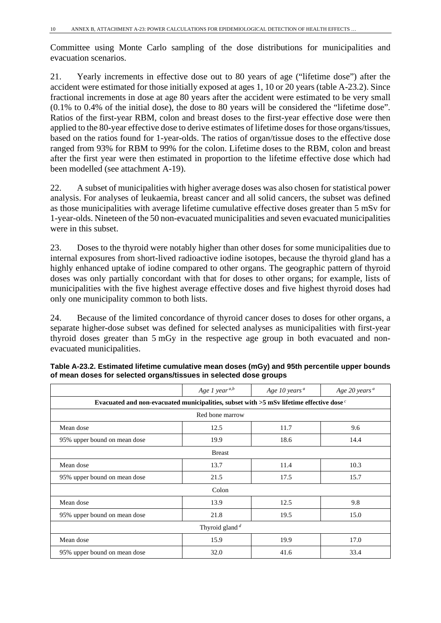Committee using Monte Carlo sampling of the dose distributions for municipalities and evacuation scenarios.

21. Yearly increments in effective dose out to 80 years of age ("lifetime dose") after the accident were estimated for those initially exposed at ages 1, 10 or 20 years (table A-23.2). Since fractional increments in dose at age 80 years after the accident were estimated to be very small (0.1% to 0.4% of the initial dose), the dose to 80 years will be considered the "lifetime dose". Ratios of the first-year RBM, colon and breast doses to the first-year effective dose were then applied to the 80-year effective dose to derive estimates of lifetime doses for those organs/tissues, based on the ratios found for 1-year-olds. The ratios of organ/tissue doses to the effective dose ranged from 93% for RBM to 99% for the colon. Lifetime doses to the RBM, colon and breast after the first year were then estimated in proportion to the lifetime effective dose which had been modelled (see attachment A-19).

22. A subset of municipalities with higher average doses was also chosen for statistical power analysis. For analyses of leukaemia, breast cancer and all solid cancers, the subset was defined as those municipalities with average lifetime cumulative effective doses greater than 5 mSv for 1-year-olds. Nineteen of the 50 non-evacuated municipalities and seven evacuated municipalities were in this subset.

23. Doses to the thyroid were notably higher than other doses for some municipalities due to internal exposures from short-lived radioactive iodine isotopes, because the thyroid gland has a highly enhanced uptake of iodine compared to other organs. The geographic pattern of thyroid doses was only partially concordant with that for doses to other organs; for example, lists of municipalities with the five highest average effective doses and five highest thyroid doses had only one municipality common to both lists.

24. Because of the limited concordance of thyroid cancer doses to doses for other organs, a separate higher-dose subset was defined for selected analyses as municipalities with first-year thyroid doses greater than 5 mGy in the respective age group in both evacuated and nonevacuated municipalities.

|                                                                                                      | Age 1 year <sup><i>a</i>,<i>b</i></sup> | Age 10 years <sup><math>a</math></sup> | Age 20 years <sup>a</sup> |  |  |  |  |  |  |
|------------------------------------------------------------------------------------------------------|-----------------------------------------|----------------------------------------|---------------------------|--|--|--|--|--|--|
| Evacuated and non-evacuated municipalities, subset with $>$ 5 mSv lifetime effective dose $\epsilon$ |                                         |                                        |                           |  |  |  |  |  |  |
|                                                                                                      | Red bone marrow                         |                                        |                           |  |  |  |  |  |  |
| Mean dose<br>12.5<br>11.7<br>9.6                                                                     |                                         |                                        |                           |  |  |  |  |  |  |
| 95% upper bound on mean dose                                                                         | 19.9                                    | 18.6                                   | 14.4                      |  |  |  |  |  |  |
|                                                                                                      | <b>Breast</b>                           |                                        |                           |  |  |  |  |  |  |
| Mean dose                                                                                            | 13.7                                    | 11.4                                   | 10.3                      |  |  |  |  |  |  |
| 95% upper bound on mean dose                                                                         | 21.5                                    | 17.5                                   | 15.7                      |  |  |  |  |  |  |
|                                                                                                      | Colon                                   |                                        |                           |  |  |  |  |  |  |
| Mean dose                                                                                            | 13.9                                    | 12.5                                   | 9.8                       |  |  |  |  |  |  |
| 95% upper bound on mean dose                                                                         | 21.8                                    | 19.5                                   | 15.0                      |  |  |  |  |  |  |
| Thyroid gland $d$                                                                                    |                                         |                                        |                           |  |  |  |  |  |  |
| Mean dose                                                                                            | 15.9                                    | 19.9                                   | 17.0                      |  |  |  |  |  |  |
| 95% upper bound on mean dose                                                                         | 32.0                                    | 41.6                                   | 33.4                      |  |  |  |  |  |  |

| Table A-23.2. Estimated lifetime cumulative mean doses (mGy) and 95th percentile upper bounds |
|-----------------------------------------------------------------------------------------------|
| of mean doses for selected organs/tissues in selected dose groups                             |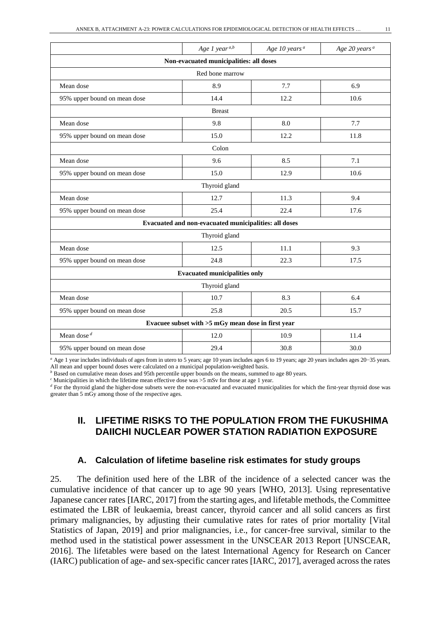|                                         | Age 1 year <sup>a,b</sup>                             | Age 10 years <sup>a</sup> | Age 20 years <sup>a</sup> |  |  |  |  |  |
|-----------------------------------------|-------------------------------------------------------|---------------------------|---------------------------|--|--|--|--|--|
| Non-evacuated municipalities: all doses |                                                       |                           |                           |  |  |  |  |  |
|                                         | Red bone marrow                                       |                           |                           |  |  |  |  |  |
| Mean dose                               | 8.9                                                   | 7.7                       | 6.9                       |  |  |  |  |  |
| 95% upper bound on mean dose            | 14.4                                                  | 12.2                      | 10.6                      |  |  |  |  |  |
|                                         | <b>Breast</b>                                         |                           |                           |  |  |  |  |  |
| Mean dose                               | 9.8                                                   | 8.0                       | 7.7                       |  |  |  |  |  |
| 95% upper bound on mean dose            | 15.0                                                  | 12.2                      | 11.8                      |  |  |  |  |  |
|                                         | Colon                                                 |                           |                           |  |  |  |  |  |
| Mean dose                               | 9.6                                                   | 8.5                       | 7.1                       |  |  |  |  |  |
| 95% upper bound on mean dose            | 15.0                                                  | 12.9                      | 10.6                      |  |  |  |  |  |
|                                         | Thyroid gland                                         |                           |                           |  |  |  |  |  |
| Mean dose                               | 12.7                                                  | 11.3                      | 9.4                       |  |  |  |  |  |
| 95% upper bound on mean dose            | 25.4                                                  | 22.4                      | 17.6                      |  |  |  |  |  |
|                                         | Evacuated and non-evacuated municipalities: all doses |                           |                           |  |  |  |  |  |
|                                         | Thyroid gland                                         |                           |                           |  |  |  |  |  |
| Mean dose                               | 12.5                                                  | 11.1                      | 9.3                       |  |  |  |  |  |
| 95% upper bound on mean dose            | 24.8                                                  | 22.3                      | 17.5                      |  |  |  |  |  |
|                                         | <b>Evacuated municipalities only</b>                  |                           |                           |  |  |  |  |  |
|                                         | Thyroid gland                                         |                           |                           |  |  |  |  |  |
| Mean dose                               | 10.7                                                  | 8.3                       | 6.4                       |  |  |  |  |  |
| 95% upper bound on mean dose            | 25.8                                                  | 20.5                      | 15.7                      |  |  |  |  |  |
|                                         | Evacuee subset with >5 mGy mean dose in first year    |                           |                           |  |  |  |  |  |
| Mean dose $d$                           | 12.0                                                  | 10.9                      | 11.4                      |  |  |  |  |  |
| 95% upper bound on mean dose            | 29.4                                                  | 30.8                      | 30.0                      |  |  |  |  |  |

*a* Age 1 year includes individuals of ages from in utero to 5 years; age 10 years includes ages 6 to 19 years; age 20 years includes ages 20−35 years. All mean and upper bound doses were calculated on a municipal population-weighted basis.

*b* Based on cumulative mean doses and 95th percentile upper bounds on the means, summed to age 80 years.

*<sup>c</sup>* Municipalities in which the lifetime mean effective dose was >5 mSv for those at age 1 year.

*d* For the thyroid gland the higher-dose subsets were the non-evacuated and evacuated municipalities for which the first-year thyroid dose was greater than 5 mGy among those of the respective ages.

## **II. LIFETIME RISKS TO THE POPULATION FROM THE FUKUSHIMA DAIICHI NUCLEAR POWER STATION RADIATION EXPOSURE**

#### **A. Calculation of lifetime baseline risk estimates for study groups**

25. The definition used here of the LBR of the incidence of a selected cancer was the cumulative incidence of that cancer up to age 90 years [WHO, 2013]. Using representative Japanese cancer rates [IARC, 2017] from the starting ages, and lifetable methods, the Committee estimated the LBR of leukaemia, breast cancer, thyroid cancer and all solid cancers as first primary malignancies, by adjusting their cumulative rates for rates of prior mortality [Vital Statistics of Japan, 2019] and prior malignancies, i.e., for cancer-free survival, similar to the method used in the statistical power assessment in the UNSCEAR 2013 Report [UNSCEAR, 2016]. The lifetables were based on the latest International Agency for Research on Cancer (IARC) publication of age- and sex-specific cancer rates [IARC, 2017], averaged across the rates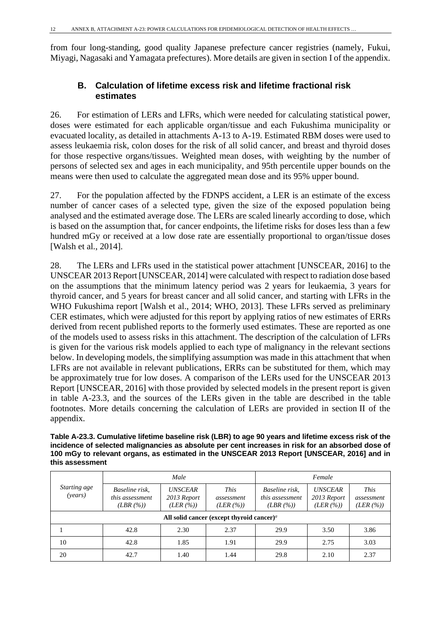from four long-standing, good quality Japanese prefecture cancer registries (namely, Fukui, Miyagi, Nagasaki and Yamagata prefectures). More details are given in section I of the appendix.

### **B. Calculation of lifetime excess risk and lifetime fractional risk estimates**

26. For estimation of LERs and LFRs, which were needed for calculating statistical power, doses were estimated for each applicable organ/tissue and each Fukushima municipality or evacuated locality, as detailed in attachments A-13 to A-19. Estimated RBM doses were used to assess leukaemia risk, colon doses for the risk of all solid cancer, and breast and thyroid doses for those respective organs/tissues. Weighted mean doses, with weighting by the number of persons of selected sex and ages in each municipality, and 95th percentile upper bounds on the means were then used to calculate the aggregated mean dose and its 95% upper bound.

27. For the population affected by the FDNPS accident, a LER is an estimate of the excess number of cancer cases of a selected type, given the size of the exposed population being analysed and the estimated average dose. The LERs are scaled linearly according to dose, which is based on the assumption that, for cancer endpoints, the lifetime risks for doses less than a few hundred mGy or received at a low dose rate are essentially proportional to organ/tissue doses [Walsh et al., 2014].

28. The LERs and LFRs used in the statistical power attachment [UNSCEAR, 2016] to the UNSCEAR 2013 Report [UNSCEAR, 2014] were calculated with respect to radiation dose based on the assumptions that the minimum latency period was 2 years for leukaemia, 3 years for thyroid cancer, and 5 years for breast cancer and all solid cancer, and starting with LFRs in the WHO Fukushima report [Walsh et al., 2014; WHO, 2013]. These LFRs served as preliminary CER estimates, which were adjusted for this report by applying ratios of new estimates of ERRs derived from recent published reports to the formerly used estimates. These are reported as one of the models used to assess risks in this attachment. The description of the calculation of LFRs is given for the various risk models applied to each type of malignancy in the relevant sections below. In developing models, the simplifying assumption was made in this attachment that when LFRs are not available in relevant publications, ERRs can be substituted for them, which may be approximately true for low doses. A comparison of the LERs used for the UNSCEAR 2013 Report [UNSCEAR, 2016] with those provided by selected models in the present report is given in table A-23.3, and the sources of the LERs given in the table are described in the table footnotes. More details concerning the calculation of LERs are provided in section II of the appendix.

**Table A-23.3. Cumulative lifetime baseline risk (LBR) to age 90 years and lifetime excess risk of the incidence of selected malignancies as absolute per cent increases in risk for an absorbed dose of 100 mGy to relevant organs, as estimated in the UNSCEAR 2013 Report [UNSCEAR, 2016] and in this assessment**

|                         |                                              | Male                                     |                                                                    |                                              | Female                                            |                                      |
|-------------------------|----------------------------------------------|------------------------------------------|--------------------------------------------------------------------|----------------------------------------------|---------------------------------------------------|--------------------------------------|
| Starting age<br>(years) | Baseline risk.<br>this assessment<br>(LBR(%) | <b>UNSCEAR</b><br>2013 Report<br>(LER(%) | This<br>assessment<br>(LER (%))                                    | Baseline risk.<br>this assessment<br>(LBR(%) | <i><b>UNSCEAR</b></i><br>2013 Report<br>(LER (%)) | <i>This</i><br>assessment<br>(LER(%) |
|                         |                                              |                                          | All solid cancer (except thyroid cancer) <sup><math>a</math></sup> |                                              |                                                   |                                      |
|                         | 42.8                                         | 2.30                                     | 2.37                                                               | 29.9                                         | 3.50                                              | 3.86                                 |
| 10                      | 42.8                                         | 1.85                                     | 1.91                                                               | 29.9                                         | 2.75                                              | 3.03                                 |
| 20                      | 42.7                                         | 1.40                                     | 1.44                                                               | 29.8                                         | 2.10                                              | 2.37                                 |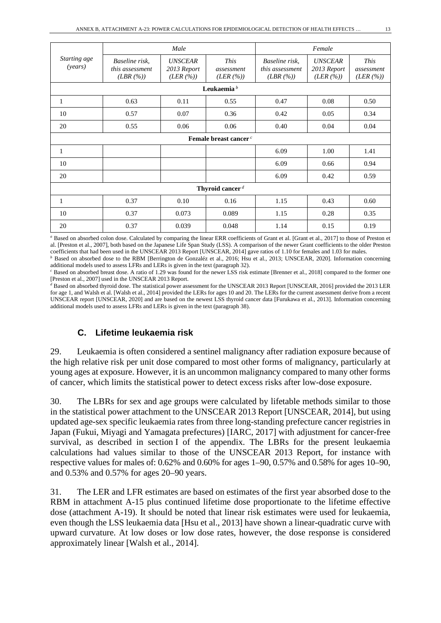|                         |                                              | Male                                      |                                        |                                                  | Female                                     |                                        |  |  |  |
|-------------------------|----------------------------------------------|-------------------------------------------|----------------------------------------|--------------------------------------------------|--------------------------------------------|----------------------------------------|--|--|--|
| Starting age<br>(years) | Baseline risk.<br>this assessment<br>(LBR(%) | <b>UNSCEAR</b><br>2013 Report<br>(LER(%)) | <i>This</i><br>assessment<br>(LER (%)) | Baseline risk,<br>this assessment<br>$(LBR(\%))$ | <b>UNSCEAR</b><br>2013 Report<br>(LER (%)) | <b>This</b><br>assessment<br>(LER (%)) |  |  |  |
|                         |                                              |                                           | Leukaemia $b$                          |                                                  |                                            |                                        |  |  |  |
| 1                       | 0.63                                         | 0.11                                      | 0.55                                   | 0.47                                             | 0.08                                       | 0.50                                   |  |  |  |
| 10                      | 0.57                                         | 0.07                                      | 0.36                                   | 0.42                                             | 0.05                                       | 0.34                                   |  |  |  |
| 20                      | 0.55                                         | 0.06                                      | 0.06                                   | 0.40                                             | 0.04                                       | 0.04                                   |  |  |  |
|                         |                                              |                                           | Female breast cancer <sup>c</sup>      |                                                  |                                            |                                        |  |  |  |
| 1                       |                                              |                                           |                                        | 6.09                                             | 1.00                                       | 1.41                                   |  |  |  |
| 10                      |                                              |                                           |                                        | 6.09                                             | 0.66                                       | 0.94                                   |  |  |  |
| 20                      |                                              |                                           |                                        | 6.09                                             | 0.42                                       | 0.59                                   |  |  |  |
|                         | Thyroid cancer $d$                           |                                           |                                        |                                                  |                                            |                                        |  |  |  |
| 1                       | 0.37                                         | 0.10                                      | 0.16                                   | 1.15                                             | 0.43                                       | 0.60                                   |  |  |  |
| 10                      | 0.37                                         | 0.073                                     | 0.089                                  | 1.15                                             | 0.28                                       | 0.35                                   |  |  |  |
| 20                      | 0.37                                         | 0.039                                     | 0.048                                  | 1.14                                             | 0.15                                       | 0.19                                   |  |  |  |

*<sup>a</sup>* Based on absorbed colon dose. Calculated by comparing the linear ERR coefficients of Grant et al. [Grant et al., 2017] to those of Preston et al. [Preston et al., 2007], both based on the Japanese Life Span Study (LSS). A comparison of the newer Grant coefficients to the older Preston coefficients that had been used in the UNSCEAR 2013 Report [UNSCEAR, 2014] gave ratios of 1.10 for females and 1.03 for males.

*b* Based on absorbed dose to the RBM [Berrington de Gonzaléz et al., 2016; Hsu et al., 2013; UNSCEAR, 2020]. Information concerning additional models used to assess LFRs and LERs is given in the text (paragraph 32).

*<sup>c</sup>* Based on absorbed breast dose. A ratio of 1.29 was found for the newer LSS risk estimate [Brenner et al., 2018] compared to the former one [Preston et al., 2007] used in the UNSCEAR 2013 Report.

*<sup>d</sup>* Based on absorbed thyroid dose. The statistical power assessment for the UNSCEAR 2013 Report [UNSCEAR, 2016] provided the 2013 LER for age 1, and Walsh et al. [Walsh et al., 2014] provided the LERs for ages 10 and 20. The LERs for the current assessment derive from a recent UNSCEAR report [UNSCEAR, 2020] and are based on the newest LSS thyroid cancer data [Furukawa et al., 2013]. Information concerning additional models used to assess LFRs and LERs is given in the text (paragraph 38).

### **C. Lifetime leukaemia risk**

29. Leukaemia is often considered a sentinel malignancy after radiation exposure because of the high relative risk per unit dose compared to most other forms of malignancy, particularly at young ages at exposure. However, it is an uncommon malignancy compared to many other forms of cancer, which limits the statistical power to detect excess risks after low-dose exposure.

30. The LBRs for sex and age groups were calculated by lifetable methods similar to those in the statistical power attachment to the UNSCEAR 2013 Report [UNSCEAR, 2014], but using updated age-sex specific leukaemia rates from three long-standing prefecture cancer registries in Japan (Fukui, Miyagi and Yamagata prefectures) [IARC, 2017] with adjustment for cancer-free survival, as described in section I of the appendix. The LBRs for the present leukaemia calculations had values similar to those of the UNSCEAR 2013 Report, for instance with respective values for males of: 0.62% and 0.60% for ages 1–90, 0.57% and 0.58% for ages 10–90, and 0.53% and 0.57% for ages 20–90 years.

31. The LER and LFR estimates are based on estimates of the first year absorbed dose to the RBM in attachment A-15 plus continued lifetime dose proportionate to the lifetime effective dose (attachment A-19). It should be noted that linear risk estimates were used for leukaemia, even though the LSS leukaemia data [Hsu et al., 2013] have shown a linear-quadratic curve with upward curvature. At low doses or low dose rates, however, the dose response is considered approximately linear [Walsh et al., 2014].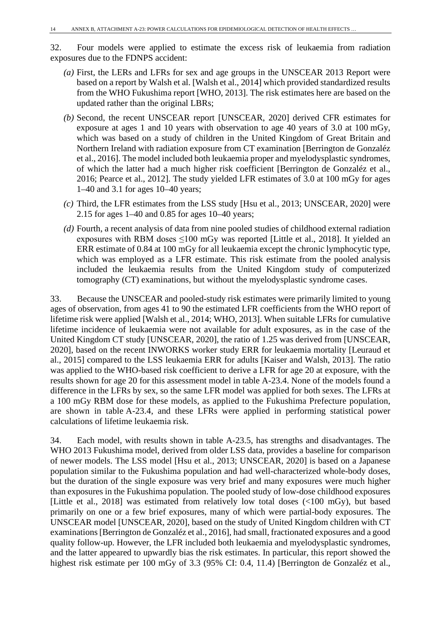32. Four models were applied to estimate the excess risk of leukaemia from radiation exposures due to the FDNPS accident:

- *(a)* First, the LERs and LFRs for sex and age groups in the UNSCEAR 2013 Report were based on a report by Walsh et al. [Walsh et al., 2014] which provided standardized results from the WHO Fukushima report [WHO, 2013]. The risk estimates here are based on the updated rather than the original LBRs;
- *(b)* Second, the recent UNSCEAR report [UNSCEAR, 2020] derived CFR estimates for exposure at ages 1 and 10 years with observation to age 40 years of 3.0 at 100 mGy, which was based on a study of children in the United Kingdom of Great Britain and Northern Ireland with radiation exposure from CT examination [Berrington de Gonzaléz et al., 2016]. The model included both leukaemia proper and myelodysplastic syndromes, of which the latter had a much higher risk coefficient [Berrington de Gonzaléz et al., 2016; Pearce et al., 2012]. The study yielded LFR estimates of 3.0 at 100 mGy for ages 1–40 and 3.1 for ages 10–40 years;
- *(c)* Third, the LFR estimates from the LSS study [Hsu et al., 2013; UNSCEAR, 2020] were 2.15 for ages 1–40 and 0.85 for ages 10–40 years;
- *(d)* Fourth, a recent analysis of data from nine pooled studies of childhood external radiation exposures with RBM doses ≤100 mGy was reported [Little et al., 2018]. It yielded an ERR estimate of 0.84 at 100 mGy for all leukaemia except the chronic lymphocytic type, which was employed as a LFR estimate. This risk estimate from the pooled analysis included the leukaemia results from the United Kingdom study of computerized tomography (CT) examinations, but without the myelodysplastic syndrome cases.

33. Because the UNSCEAR and pooled-study risk estimates were primarily limited to young ages of observation, from ages 41 to 90 the estimated LFR coefficients from the WHO report of lifetime risk were applied [Walsh et al., 2014; WHO, 2013]. When suitable LFRs for cumulative lifetime incidence of leukaemia were not available for adult exposures, as in the case of the United Kingdom CT study [UNSCEAR, 2020], the ratio of 1.25 was derived from [UNSCEAR, 2020], based on the recent INWORKS worker study ERR for leukaemia mortality [Leuraud et al., 2015] compared to the LSS leukaemia ERR for adults [Kaiser and Walsh, 2013]. The ratio was applied to the WHO-based risk coefficient to derive a LFR for age 20 at exposure, with the results shown for age 20 for this assessment model in table A-23.4. None of the models found a difference in the LFRs by sex, so the same LFR model was applied for both sexes. The LFRs at a 100 mGy RBM dose for these models, as applied to the Fukushima Prefecture population, are shown in table A-23.4, and these LFRs were applied in performing statistical power calculations of lifetime leukaemia risk.

34. Each model, with results shown in table A-23.5, has strengths and disadvantages. The WHO 2013 Fukushima model, derived from older LSS data, provides a baseline for comparison of newer models. The LSS model [Hsu et al., 2013; UNSCEAR, 2020] is based on a Japanese population similar to the Fukushima population and had well-characterized whole-body doses, but the duration of the single exposure was very brief and many exposures were much higher than exposures in the Fukushima population. The pooled study of low-dose childhood exposures [Little et al., 2018] was estimated from relatively low total doses (<100 mGy), but based primarily on one or a few brief exposures, many of which were partial-body exposures. The UNSCEAR model [UNSCEAR, 2020], based on the study of United Kingdom children with CT examinations [Berrington de Gonzaléz et al., 2016], had small, fractionated exposures and a good quality follow-up. However, the LFR included both leukaemia and myelodysplastic syndromes, and the latter appeared to upwardly bias the risk estimates. In particular, this report showed the highest risk estimate per 100 mGy of 3.3 (95% CI: 0.4, 11.4) [Berrington de Gonzaléz et al.,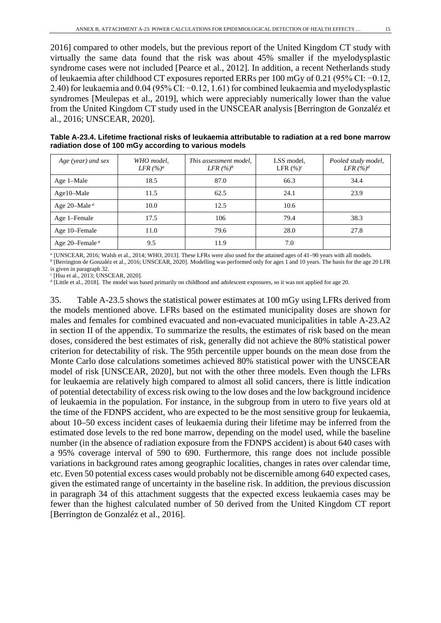2016] compared to other models, but the previous report of the United Kingdom CT study with virtually the same data found that the risk was about 45% smaller if the myelodysplastic syndrome cases were not included [Pearce et al., 2012]. In addition, a recent Netherlands study of leukaemia after childhood CT exposures reported ERRs per 100 mGy of 0.21 (95% CI: −0.12, 2.40) for leukaemia and 0.04 (95% CI: −0.12, 1.61) for combined leukaemia and myelodysplastic syndromes [Meulepas et al., 2019], which were appreciably numerically lower than the value from the United Kingdom CT study used in the UNSCEAR analysis [Berrington de Gonzaléz et al., 2016; UNSCEAR, 2020].

| Table A-23.4. Lifetime fractional risks of leukaemia attributable to radiation at a red bone marrow |
|-----------------------------------------------------------------------------------------------------|
| radiation dose of 100 mGy according to various models                                               |

| Age (year) and sex                    | WHO model,<br>LFR $(%)^a$ | This assessment model,<br>LFR $(%)^b$ | LSS model,<br>LFR $(\%)^c$ | Pooled study model,<br>LFR $(%)d$ |
|---------------------------------------|---------------------------|---------------------------------------|----------------------------|-----------------------------------|
| Age 1-Male                            | 18.5                      | 87.0                                  | 66.3                       | 34.4                              |
| Age10–Male                            | 11.5                      | 62.5                                  | 24.1                       | 23.9                              |
| Age 20–Male <sup><math>a</math></sup> | 10.0                      | 12.5                                  | 10.6                       |                                   |
| Age 1-Female                          | 17.5                      | 106                                   | 79.4                       | 38.3                              |
| Age 10–Female                         | 11.0                      | 79.6                                  | 28.0                       | 27.8                              |
| Age 20–Female $a$                     | 9.5                       | 11.9                                  | 7.0                        |                                   |

*<sup>a</sup>* [UNSCEAR, 2016; Walsh et al., 2014; WHO, 2013]. These LFRs were also used for the attained ages of 41–90 years with all models.

*b* [Berrington de Gonzaléz et al., 2016; UNSCEAR, 2020]. Modelling was performed only for ages 1 and 10 years. The basis for the age 20 LFR is given in paragraph 32.

*<sup>c</sup>* [Hsu et al., 2013; UNSCEAR, 2020].

*<sup>d</sup>* [Little et al., 2018]. The model was based primarily on childhood and adolescent exposures, so it was not applied for age 20.

35. Table A-23.5 shows the statistical power estimates at 100 mGy using LFRs derived from the models mentioned above. LFRs based on the estimated municipality doses are shown for males and females for combined evacuated and non-evacuated municipalities in table A-23.A2 in section II of the appendix. To summarize the results, the estimates of risk based on the mean doses, considered the best estimates of risk, generally did not achieve the 80% statistical power criterion for detectability of risk. The 95th percentile upper bounds on the mean dose from the Monte Carlo dose calculations sometimes achieved 80% statistical power with the UNSCEAR model of risk [UNSCEAR, 2020], but not with the other three models. Even though the LFRs for leukaemia are relatively high compared to almost all solid cancers, there is little indication of potential detectability of excess risk owing to the low doses and the low background incidence of leukaemia in the population. For instance, in the subgroup from in utero to five years old at the time of the FDNPS accident, who are expected to be the most sensitive group for leukaemia, about 10–50 excess incident cases of leukaemia during their lifetime may be inferred from the estimated dose levels to the red bone marrow, depending on the model used, while the baseline number (in the absence of radiation exposure from the FDNPS accident) is about 640 cases with a 95% coverage interval of 590 to 690. Furthermore, this range does not include possible variations in background rates among geographic localities, changes in rates over calendar time, etc. Even 50 potential excess cases would probably not be discernible among 640 expected cases, given the estimated range of uncertainty in the baseline risk. In addition, the previous discussion in paragraph 34 of this attachment suggests that the expected excess leukaemia cases may be fewer than the highest calculated number of 50 derived from the United Kingdom CT report [Berrington de Gonzaléz et al., 2016].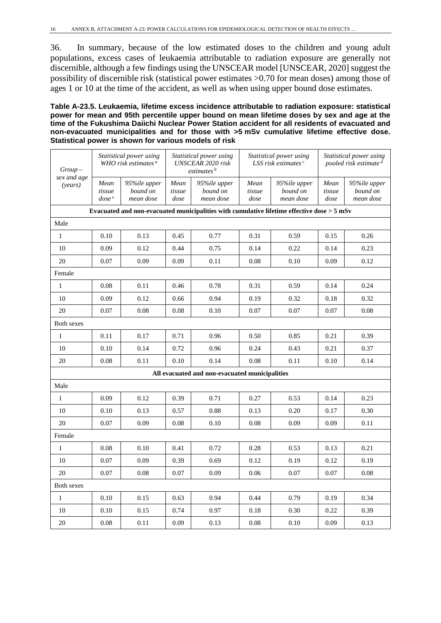36. In summary, because of the low estimated doses to the children and young adult populations, excess cases of leukaemia attributable to radiation exposure are generally not discernible, although a few findings using the UNSCEAR model [UNSCEAR, 2020] suggest the possibility of discernible risk (statistical power estimates >0.70 for mean doses) among those of ages 1 or 10 at the time of the accident, as well as when using upper bound dose estimates.

**Table A-23.5. Leukaemia, lifetime excess incidence attributable to radiation exposure: statistical power for mean and 95th percentile upper bound on mean lifetime doses by sex and age at the time of the Fukushima Daiichi Nuclear Power Station accident for all residents of evacuated and non-evacuated municipalities and for those with >5 mSv cumulative lifetime effective dose. Statistical power is shown for various models of risk**

| $Group-$               |                                     | Statistical power using<br>WHO risk estimates $a$ |                        | Statistical power using<br>UNSCEAR 2020 risk<br>estimates <sup>b</sup>                       |                        | Statistical power using<br>LSS risk estimates $c$ |                        | Statistical power using<br>pooled risk estimate <sup>d</sup> |  |  |
|------------------------|-------------------------------------|---------------------------------------------------|------------------------|----------------------------------------------------------------------------------------------|------------------------|---------------------------------------------------|------------------------|--------------------------------------------------------------|--|--|
| sex and age<br>(years) | Mean<br>tissue<br>dose <sup>e</sup> | 95%ile upper<br>bound on<br>mean dose             | Mean<br>tissue<br>dose | 95%ile upper<br>bound on<br>mean dose                                                        | Mean<br>tissue<br>dose | 95%ile upper<br>bound on<br>mean dose             | Mean<br>tissue<br>dose | 95%ile upper<br>bound on<br>mean dose                        |  |  |
|                        |                                     |                                                   |                        | Evacuated and non-evacuated municipalities with cumulative lifetime effective dose $>$ 5 mSv |                        |                                                   |                        |                                                              |  |  |
| Male                   |                                     |                                                   |                        |                                                                                              |                        |                                                   |                        |                                                              |  |  |
| $\mathbf{1}$           | 0.10                                | 0.13                                              | 0.45                   | 0.77                                                                                         | 0.31                   | 0.59                                              | 0.15                   | 0.26                                                         |  |  |
| 10                     | 0.09                                | 0.12                                              | 0.44                   | 0.75                                                                                         | 0.14                   | 0.22                                              | 0.14                   | 0.23                                                         |  |  |
| 20                     | 0.07                                | 0.09                                              | 0.09                   | 0.11                                                                                         | 0.08                   | 0.10                                              | 0.09                   | 0.12                                                         |  |  |
| Female                 |                                     |                                                   |                        |                                                                                              |                        |                                                   |                        |                                                              |  |  |
| $\mathbf{1}$           | 0.08                                | 0.11                                              | 0.46                   | 0.78                                                                                         | 0.31                   | 0.59                                              | 0.14                   | 0.24                                                         |  |  |
| 10                     | 0.09                                | 0.12                                              | 0.66                   | 0.94                                                                                         | 0.19                   | 0.32                                              | 0.18                   | 0.32                                                         |  |  |
| 20                     | 0.07                                | 0.08                                              | 0.08                   | 0.10                                                                                         | 0.07                   | 0.07                                              | 0.07                   | 0.08                                                         |  |  |
| Both sexes             |                                     |                                                   |                        |                                                                                              |                        |                                                   |                        |                                                              |  |  |
| $\mathbf{1}$           | 0.11                                | 0.17                                              | 0.71                   | 0.96                                                                                         | 0.50                   | 0.85                                              | 0.21                   | 0.39                                                         |  |  |
| 10                     | 0.10                                | 0.14                                              | 0.72                   | 0.96                                                                                         | 0.24                   | 0.43                                              | 0.21                   | 0.37                                                         |  |  |
| 20                     | 0.08                                | 0.11                                              | 0.10                   | 0.14                                                                                         | 0.08                   | 0.11                                              | 0.10                   | 0.14                                                         |  |  |
|                        |                                     |                                                   |                        | All evacuated and non-evacuated municipalities                                               |                        |                                                   |                        |                                                              |  |  |
| Male                   |                                     |                                                   |                        |                                                                                              |                        |                                                   |                        |                                                              |  |  |
| $\mathbf{1}$           | 0.09                                | 0.12                                              | 0.39                   | 0.71                                                                                         | 0.27                   | 0.53                                              | 0.14                   | 0.23                                                         |  |  |
| 10                     | 0.10                                | 0.13                                              | 0.57                   | 0.88                                                                                         | 0.13                   | 0.20                                              | 0.17                   | 0.30                                                         |  |  |
| 20                     | 0.07                                | 0.09                                              | 0.08                   | 0.10                                                                                         | 0.08                   | 0.09                                              | 0.09                   | 0.11                                                         |  |  |
| Female                 |                                     |                                                   |                        |                                                                                              |                        |                                                   |                        |                                                              |  |  |
| $\mathbf{1}$           | 0.08                                | 0.10                                              | 0.41                   | 0.72                                                                                         | 0.28                   | 0.53                                              | 0.13                   | 0.21                                                         |  |  |
| 10                     | 0.07                                | 0.09                                              | 0.39                   | 0.69                                                                                         | 0.12                   | 0.19                                              | 0.12                   | 0.19                                                         |  |  |
| 20                     | 0.07                                | 0.08                                              | 0.07                   | 0.09                                                                                         | 0.06                   | 0.07                                              | 0.07                   | 0.08                                                         |  |  |
| Both sexes             |                                     |                                                   |                        |                                                                                              |                        |                                                   |                        |                                                              |  |  |
| $\mathbf{1}$           | 0.10                                | 0.15                                              | 0.63                   | 0.94                                                                                         | 0.44                   | 0.79                                              | 0.19                   | 0.34                                                         |  |  |
| 10                     | 0.10                                | 0.15                                              | 0.74                   | 0.97                                                                                         | 0.18                   | 0.30                                              | 0.22                   | 0.39                                                         |  |  |
| 20                     | 0.08                                | 0.11                                              | 0.09                   | 0.13                                                                                         | 0.08                   | 0.10                                              | 0.09                   | 0.13                                                         |  |  |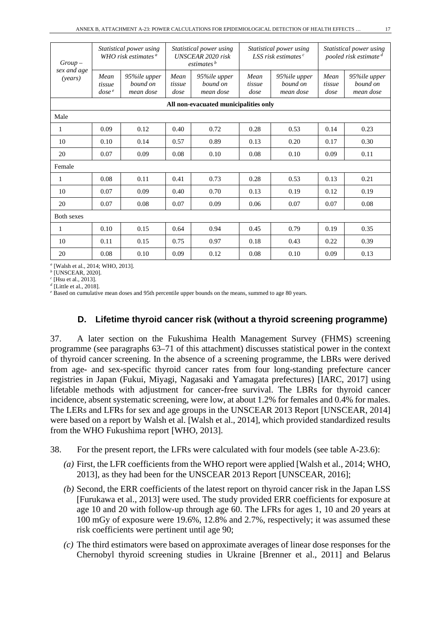| $Group-$                              | Statistical power using<br>WHO risk estimates $a$ |                                       | Statistical power using<br><b>UNSCEAR 2020 risk</b><br>estimates <sup>b</sup> |                                       | Statistical power using<br>LSS risk estimates $c$ |                                       | Statistical power using<br>pooled risk estimate <sup>d</sup> |                                       |  |
|---------------------------------------|---------------------------------------------------|---------------------------------------|-------------------------------------------------------------------------------|---------------------------------------|---------------------------------------------------|---------------------------------------|--------------------------------------------------------------|---------------------------------------|--|
| sex and age<br>(years)                | Mean<br>tissue<br>dose <sup>e</sup>               | 95%ile upper<br>bound on<br>mean dose | Mean<br>tissue<br>dose                                                        | 95%ile upper<br>bound on<br>mean dose | Mean<br>tissue<br>dose                            | 95%ile upper<br>bound on<br>mean dose | Mean<br>tissue<br>dose                                       | 95%ile upper<br>bound on<br>mean dose |  |
| All non-evacuated municipalities only |                                                   |                                       |                                                                               |                                       |                                                   |                                       |                                                              |                                       |  |
| Male                                  |                                                   |                                       |                                                                               |                                       |                                                   |                                       |                                                              |                                       |  |
| 1                                     | 0.09                                              | 0.12                                  | 0.40                                                                          | 0.72                                  | 0.28                                              | 0.53                                  | 0.14                                                         | 0.23                                  |  |
| 10                                    | 0.10                                              | 0.14                                  | 0.57                                                                          | 0.89                                  | 0.13                                              | 0.20                                  | 0.17                                                         | 0.30                                  |  |
| 20                                    | 0.07                                              | 0.09                                  | 0.08                                                                          | 0.10                                  | 0.08                                              | 0.10                                  | 0.09                                                         | 0.11                                  |  |
| Female                                |                                                   |                                       |                                                                               |                                       |                                                   |                                       |                                                              |                                       |  |
| 1                                     | 0.08                                              | 0.11                                  | 0.41                                                                          | 0.73                                  | 0.28                                              | 0.53                                  | 0.13                                                         | 0.21                                  |  |
| 10                                    | 0.07                                              | 0.09                                  | 0.40                                                                          | 0.70                                  | 0.13                                              | 0.19                                  | 0.12                                                         | 0.19                                  |  |
| 20                                    | 0.07                                              | 0.08                                  | 0.07                                                                          | 0.09                                  | 0.06                                              | 0.07                                  | 0.07                                                         | 0.08                                  |  |
| <b>Both sexes</b>                     |                                                   |                                       |                                                                               |                                       |                                                   |                                       |                                                              |                                       |  |
| 1                                     | 0.10                                              | 0.15                                  | 0.64                                                                          | 0.94                                  | 0.45                                              | 0.79                                  | 0.19                                                         | 0.35                                  |  |
| 10                                    | 0.11                                              | 0.15                                  | 0.75                                                                          | 0.97                                  | 0.18                                              | 0.43                                  | 0.22                                                         | 0.39                                  |  |
| 20                                    | 0.08                                              | 0.10                                  | 0.09                                                                          | 0.12                                  | 0.08                                              | 0.10                                  | 0.09                                                         | 0.13                                  |  |

*<sup>a</sup>* [Walsh et al., 2014; WHO, 2013].

*<sup>b</sup>* [UNSCEAR, 2020].

*<sup>c</sup>* [Hsu et al., 2013].

*<sup>d</sup>* [Little et al., 2018].

*<sup>e</sup>* Based on cumulative mean doses and 95th percentile upper bounds on the means, summed to age 80 years.

#### **D. Lifetime thyroid cancer risk (without a thyroid screening programme)**

37. A later section on the Fukushima Health Management Survey (FHMS) screening programme (see paragraphs 63–71 of this attachment) discusses statistical power in the context of thyroid cancer screening. In the absence of a screening programme, the LBRs were derived from age- and sex-specific thyroid cancer rates from four long-standing prefecture cancer registries in Japan (Fukui, Miyagi, Nagasaki and Yamagata prefectures) [IARC, 2017] using lifetable methods with adjustment for cancer-free survival. The LBRs for thyroid cancer incidence, absent systematic screening, were low, at about 1.2% for females and 0.4% for males. The LERs and LFRs for sex and age groups in the UNSCEAR 2013 Report [UNSCEAR, 2014] were based on a report by Walsh et al. [Walsh et al., 2014], which provided standardized results from the WHO Fukushima report [WHO, 2013].

38. For the present report, the LFRs were calculated with four models (see table A-23.6):

- *(a)* First, the LFR coefficients from the WHO report were applied [Walsh et al., 2014; WHO, 2013], as they had been for the UNSCEAR 2013 Report [UNSCEAR, 2016];
- *(b)* Second, the ERR coefficients of the latest report on thyroid cancer risk in the Japan LSS [Furukawa et al., 2013] were used. The study provided ERR coefficients for exposure at age 10 and 20 with follow-up through age 60. The LFRs for ages 1, 10 and 20 years at 100 mGy of exposure were 19.6%, 12.8% and 2.7%, respectively; it was assumed these risk coefficients were pertinent until age 90;
- *(c)* The third estimators were based on approximate averages of linear dose responses for the Chernobyl thyroid screening studies in Ukraine [Brenner et al., 2011] and Belarus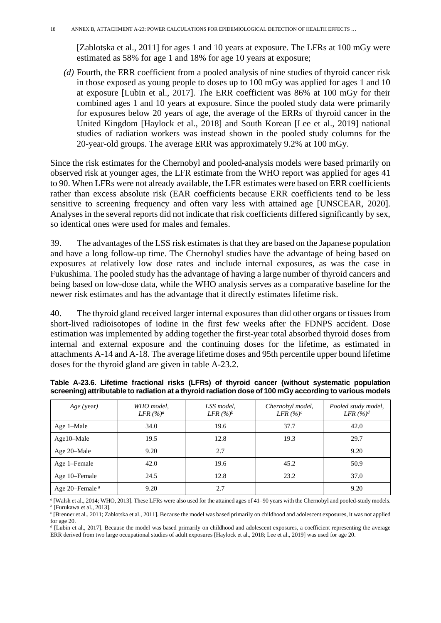[Zablotska et al., 2011] for ages 1 and 10 years at exposure. The LFRs at 100 mGy were estimated as 58% for age 1 and 18% for age 10 years at exposure;

*(d)* Fourth, the ERR coefficient from a pooled analysis of nine studies of thyroid cancer risk in those exposed as young people to doses up to 100 mGy was applied for ages 1 and 10 at exposure [Lubin et al., 2017]. The ERR coefficient was 86% at 100 mGy for their combined ages 1 and 10 years at exposure. Since the pooled study data were primarily for exposures below 20 years of age, the average of the ERRs of thyroid cancer in the United Kingdom [Haylock et al., 2018] and South Korean [Lee et al., 2019] national studies of radiation workers was instead shown in the pooled study columns for the 20-year-old groups. The average ERR was approximately 9.2% at 100 mGy.

Since the risk estimates for the Chernobyl and pooled-analysis models were based primarily on observed risk at younger ages, the LFR estimate from the WHO report was applied for ages 41 to 90. When LFRs were not already available, the LFR estimates were based on ERR coefficients rather than excess absolute risk (EAR coefficients because ERR coefficients tend to be less sensitive to screening frequency and often vary less with attained age [UNSCEAR, 2020]. Analyses in the several reports did not indicate that risk coefficients differed significantly by sex, so identical ones were used for males and females.

39. The advantages of the LSS risk estimates is that they are based on the Japanese population and have a long follow-up time. The Chernobyl studies have the advantage of being based on exposures at relatively low dose rates and include internal exposures, as was the case in Fukushima. The pooled study has the advantage of having a large number of thyroid cancers and being based on low-dose data, while the WHO analysis serves as a comparative baseline for the newer risk estimates and has the advantage that it directly estimates lifetime risk.

40. The thyroid gland received larger internal exposures than did other organs or tissues from short-lived radioisotopes of iodine in the first few weeks after the FDNPS accident. Dose estimation was implemented by adding together the first-year total absorbed thyroid doses from internal and external exposure and the continuing doses for the lifetime, as estimated in attachments A-14 and A-18. The average lifetime doses and 95th percentile upper bound lifetime doses for the thyroid gland are given in table A-23.2.

| Age (year)                              | WHO model,<br>LFR $(%)^a$ | LSS model,<br>LFR $(%)^b$ | Chernobyl model,<br>LFR $(%)^c$ | Pooled study model,<br>LFR $(%)^d$ |
|-----------------------------------------|---------------------------|---------------------------|---------------------------------|------------------------------------|
| Age 1-Male                              | 34.0                      | 19.6                      | 37.7                            | 42.0                               |
| $Age10-Male$                            | 19.5                      | 12.8                      | 19.3                            | 29.7                               |
| Age 20–Male                             | 9.20                      | 2.7                       |                                 | 9.20                               |
| Age 1-Female                            | 42.0                      | 19.6                      | 45.2                            | 50.9                               |
| Age 10–Female                           | 24.5                      | 12.8                      | 23.2                            | 37.0                               |
| Age 20–Female <sup><math>a</math></sup> | 9.20                      | 2.7                       |                                 | 9.20                               |

|  |  |  |  | Table A-23.6. Lifetime fractional risks (LFRs) of thyroid cancer (without systematic population         |  |
|--|--|--|--|---------------------------------------------------------------------------------------------------------|--|
|  |  |  |  | screening) attributable to radiation at a thyroid radiation dose of 100 mGy according to various models |  |

*<sup>a</sup>* [Walsh et al., 2014; WHO, 2013]. These LFRs were also used for the attained ages of 41–90 years with the Chernobyl and pooled-study models. *<sup>b</sup>* [Furukawa et al., 2013].

*<sup>c</sup>* [Brenner et al., 2011; Zablotska et al., 2011]. Because the model was based primarily on childhood and adolescent exposures, it was not applied for age 20.

*<sup>d</sup>* [Lubin et al., 2017]. Because the model was based primarily on childhood and adolescent exposures, a coefficient representing the average ERR derived from two large occupational studies of adult exposures [Haylock et al., 2018; Lee et al., 2019] was used for age 20.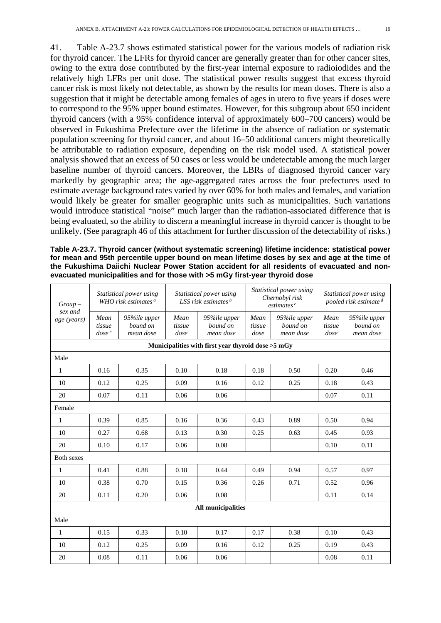41. Table A-23.7 shows estimated statistical power for the various models of radiation risk for thyroid cancer. The LFRs for thyroid cancer are generally greater than for other cancer sites, owing to the extra dose contributed by the first-year internal exposure to radioiodides and the relatively high LFRs per unit dose. The statistical power results suggest that excess thyroid cancer risk is most likely not detectable, as shown by the results for mean doses. There is also a suggestion that it might be detectable among females of ages in utero to five years if doses were to correspond to the 95% upper bound estimates. However, for this subgroup about 650 incident thyroid cancers (with a 95% confidence interval of approximately 600–700 cancers) would be observed in Fukushima Prefecture over the lifetime in the absence of radiation or systematic population screening for thyroid cancer, and about 16–50 additional cancers might theoretically be attributable to radiation exposure, depending on the risk model used. A statistical power analysis showed that an excess of 50 cases or less would be undetectable among the much larger baseline number of thyroid cancers. Moreover, the LBRs of diagnosed thyroid cancer vary markedly by geographic area; the age-aggregated rates across the four prefectures used to estimate average background rates varied by over 60% for both males and females, and variation would likely be greater for smaller geographic units such as municipalities. Such variations would introduce statistical "noise" much larger than the radiation-associated difference that is being evaluated, so the ability to discern a meaningful increase in thyroid cancer is thought to be unlikely. (See paragraph 46 of this attachment for further discussion of the detectability of risks.)

**Table A-23.7. Thyroid cancer (without systematic screening) lifetime incidence: statistical power for mean and 95th percentile upper bound on mean lifetime doses by sex and age at the time of the Fukushima Daiichi Nuclear Power Station accident for all residents of evacuated and nonevacuated municipalities and for those with >5 mGy first-year thyroid dose**

| $Group-$<br>sex and | Statistical power using<br>WHO risk estimates $a$ |                                       | Statistical power using<br>LSS risk estimates $b$ |                                                    | Statistical power using<br>Chernobyl risk<br>estimates <sup>c</sup> |                                       | Statistical power using<br>pooled risk estimate <sup>d</sup> |                                       |
|---------------------|---------------------------------------------------|---------------------------------------|---------------------------------------------------|----------------------------------------------------|---------------------------------------------------------------------|---------------------------------------|--------------------------------------------------------------|---------------------------------------|
| age (years)         | Mean<br>tissue<br>dose <sup>e</sup>               | 95%ile upper<br>bound on<br>mean dose | Mean<br>tissue<br>dose                            | 95%ile upper<br>bound on<br>mean dose              | Mean<br>tissue<br>dose                                              | 95%ile upper<br>bound on<br>mean dose | Mean<br>tissue<br>dose                                       | 95%ile upper<br>bound on<br>mean dose |
|                     |                                                   |                                       |                                                   | Municipalities with first year thyroid dose >5 mGy |                                                                     |                                       |                                                              |                                       |
| Male                |                                                   |                                       |                                                   |                                                    |                                                                     |                                       |                                                              |                                       |
| $\mathbf{1}$        | 0.16                                              | 0.35                                  | 0.10                                              | 0.18                                               | 0.18                                                                | 0.50                                  | 0.20                                                         | 0.46                                  |
| 10                  | 0.12                                              | 0.25                                  | 0.09                                              | 0.16                                               | 0.12                                                                | 0.25                                  | 0.18                                                         | 0.43                                  |
| 20                  | 0.07                                              | 0.11                                  | 0.06                                              | 0.06                                               |                                                                     |                                       | 0.07                                                         | 0.11                                  |
| Female              |                                                   |                                       |                                                   |                                                    |                                                                     |                                       |                                                              |                                       |
| 1                   | 0.39                                              | 0.85                                  | 0.16                                              | 0.36                                               | 0.43                                                                | 0.89                                  | 0.50                                                         | 0.94                                  |
| 10                  | 0.27                                              | 0.68                                  | 0.13                                              | 0.30                                               | 0.25                                                                | 0.63                                  | 0.45                                                         | 0.93                                  |
| 20                  | 0.10                                              | 0.17                                  | 0.06                                              | 0.08                                               |                                                                     |                                       | 0.10                                                         | 0.11                                  |
| <b>Both sexes</b>   |                                                   |                                       |                                                   |                                                    |                                                                     |                                       |                                                              |                                       |
| $\mathbf{1}$        | 0.41                                              | 0.88                                  | 0.18                                              | 0.44                                               | 0.49                                                                | 0.94                                  | 0.57                                                         | 0.97                                  |
| 10                  | 0.38                                              | 0.70                                  | 0.15                                              | 0.36                                               | 0.26                                                                | 0.71                                  | 0.52                                                         | 0.96                                  |
| 20                  | 0.11                                              | 0.20                                  | 0.06                                              | 0.08                                               |                                                                     |                                       | 0.11                                                         | 0.14                                  |
|                     |                                                   |                                       |                                                   | All municipalities                                 |                                                                     |                                       |                                                              |                                       |
| Male                |                                                   |                                       |                                                   |                                                    |                                                                     |                                       |                                                              |                                       |
| 1                   | 0.15                                              | 0.33                                  | 0.10                                              | 0.17                                               | 0.17                                                                | 0.38                                  | 0.10                                                         | 0.43                                  |
| 10                  | 0.12                                              | 0.25                                  | 0.09                                              | 0.16                                               | 0.12                                                                | 0.25                                  | 0.19                                                         | 0.43                                  |
| 20                  | 0.08                                              | 0.11                                  | 0.06                                              | 0.06                                               |                                                                     |                                       | 0.08                                                         | 0.11                                  |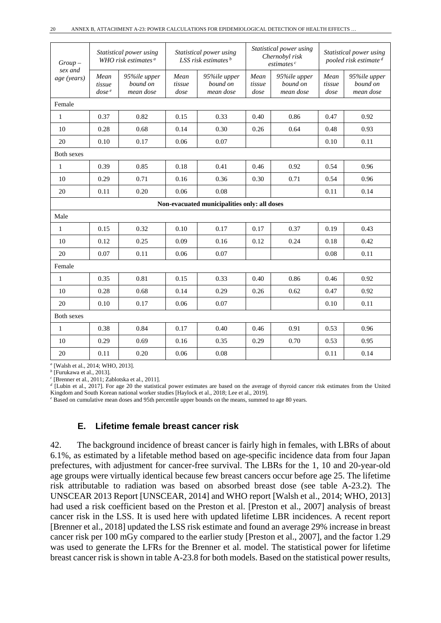| $Group-$               | Statistical power using<br>WHO risk estimates <sup>a</sup> |                                       | Statistical power using<br>LSS risk estimates $b$ |                                              | Statistical power using<br>Chernobyl risk<br>estimates <sup>c</sup> |                                       | Statistical power using<br>pooled risk estimate <sup>d</sup> |                                       |
|------------------------|------------------------------------------------------------|---------------------------------------|---------------------------------------------------|----------------------------------------------|---------------------------------------------------------------------|---------------------------------------|--------------------------------------------------------------|---------------------------------------|
| sex and<br>age (years) | Mean<br>tissue<br>dose <sup>e</sup>                        | 95%ile upper<br>bound on<br>mean dose | Mean<br>tissue<br>dose                            | 95%ile upper<br>bound on<br>mean dose        | Mean<br>tissue<br>dose                                              | 95%ile upper<br>bound on<br>mean dose | Mean<br>tissue<br>dose                                       | 95%ile upper<br>bound on<br>mean dose |
| Female                 |                                                            |                                       |                                                   |                                              |                                                                     |                                       |                                                              |                                       |
| $\mathbf{1}$           | 0.37                                                       | 0.82                                  | 0.15                                              | 0.33                                         | 0.40                                                                | 0.86                                  | 0.47                                                         | 0.92                                  |
| 10                     | 0.28                                                       | 0.68                                  | 0.14                                              | 0.30                                         | 0.26                                                                | 0.64                                  | 0.48                                                         | 0.93                                  |
| 20                     | 0.10                                                       | 0.17                                  | 0.06                                              | 0.07                                         |                                                                     |                                       | 0.10                                                         | 0.11                                  |
| Both sexes             |                                                            |                                       |                                                   |                                              |                                                                     |                                       |                                                              |                                       |
| $\mathbf{1}$           | 0.39                                                       | 0.85                                  | 0.18                                              | 0.41                                         | 0.46                                                                | 0.92                                  | 0.54                                                         | 0.96                                  |
| 10                     | 0.29                                                       | 0.71                                  | 0.16                                              | 0.36                                         | 0.30                                                                | 0.71                                  | 0.54                                                         | 0.96                                  |
| 20                     | 0.11                                                       | 0.20                                  | 0.06                                              | 0.08                                         |                                                                     |                                       | 0.11                                                         | 0.14                                  |
|                        |                                                            |                                       |                                                   | Non-evacuated municipalities only: all doses |                                                                     |                                       |                                                              |                                       |
| Male                   |                                                            |                                       |                                                   |                                              |                                                                     |                                       |                                                              |                                       |
| $\mathbf{1}$           | 0.15                                                       | 0.32                                  | 0.10                                              | 0.17                                         | 0.17                                                                | 0.37                                  | 0.19                                                         | 0.43                                  |
| 10                     | 0.12                                                       | 0.25                                  | 0.09                                              | 0.16                                         | 0.12                                                                | 0.24                                  | 0.18                                                         | 0.42                                  |
| 20                     | 0.07                                                       | 0.11                                  | 0.06                                              | 0.07                                         |                                                                     |                                       | 0.08                                                         | 0.11                                  |
| Female                 |                                                            |                                       |                                                   |                                              |                                                                     |                                       |                                                              |                                       |
| $\mathbf{1}$           | 0.35                                                       | 0.81                                  | 0.15                                              | 0.33                                         | 0.40                                                                | 0.86                                  | 0.46                                                         | 0.92                                  |
| 10                     | 0.28                                                       | 0.68                                  | 0.14                                              | 0.29                                         | 0.26                                                                | 0.62                                  | 0.47                                                         | 0.92                                  |
| 20                     | 0.10                                                       | 0.17                                  | 0.06                                              | 0.07                                         |                                                                     |                                       | 0.10                                                         | 0.11                                  |
| Both sexes             |                                                            |                                       |                                                   |                                              |                                                                     |                                       |                                                              |                                       |
| $\mathbf{1}$           | 0.38                                                       | 0.84                                  | 0.17                                              | 0.40                                         | 0.46                                                                | 0.91                                  | 0.53                                                         | 0.96                                  |
| 10                     | 0.29                                                       | 0.69                                  | 0.16                                              | 0.35                                         | 0.29                                                                | 0.70                                  | 0.53                                                         | 0.95                                  |
| 20                     | 0.11                                                       | 0.20                                  | 0.06                                              | 0.08                                         |                                                                     |                                       | 0.11                                                         | 0.14                                  |

*<sup>a</sup>* [Walsh et al., 2014; WHO, 2013].

*<sup>b</sup>* [Furukawa et al., 2013].

*<sup>c</sup>* [Brenner et al., 2011; Zablotska et al., 2011].

*<sup>d</sup>* [Lubin et al., 2017]. For age 20 the statistical power estimates are based on the average of thyroid cancer risk estimates from the United Kingdom and South Korean national worker studies [Haylock et al., 2018; Lee et al., 2019].

*<sup>e</sup>* Based on cumulative mean doses and 95th percentile upper bounds on the means, summed to age 80 years.

#### **E. Lifetime female breast cancer risk**

42. The background incidence of breast cancer is fairly high in females, with LBRs of about 6.1%, as estimated by a lifetable method based on age-specific incidence data from four Japan prefectures, with adjustment for cancer-free survival. The LBRs for the 1, 10 and 20-year-old age groups were virtually identical because few breast cancers occur before age 25. The lifetime risk attributable to radiation was based on absorbed breast dose (see table A-23.2). The UNSCEAR 2013 Report [UNSCEAR, 2014] and WHO report [Walsh et al., 2014; WHO, 2013] had used a risk coefficient based on the Preston et al. [Preston et al., 2007] analysis of breast cancer risk in the LSS. It is used here with updated lifetime LBR incidences. A recent report [Brenner et al., 2018] updated the LSS risk estimate and found an average 29% increase in breast cancer risk per 100 mGy compared to the earlier study [Preston et al., 2007], and the factor 1.29 was used to generate the LFRs for the Brenner et al. model. The statistical power for lifetime breast cancer risk is shown in table A-23.8 for both models. Based on the statistical power results,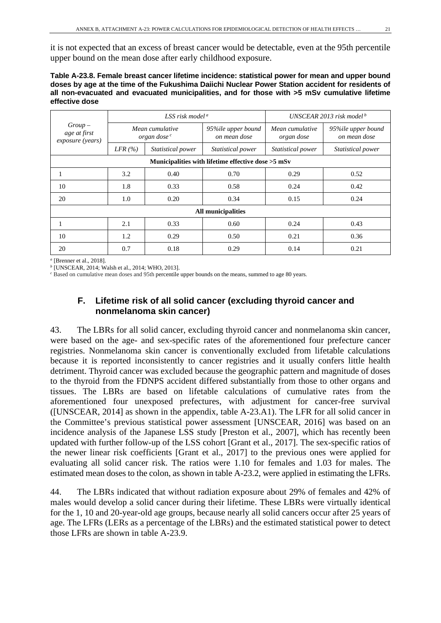it is not expected that an excess of breast cancer would be detectable, even at the 95th percentile upper bound on the mean dose after early childhood exposure.

| Table A-23.8. Female breast cancer lifetime incidence: statistical power for mean and upper bound |
|---------------------------------------------------------------------------------------------------|
| doses by age at the time of the Fukushima Daiichi Nuclear Power Station accident for residents of |
| all non-evacuated and evacuated municipalities, and for those with >5 mSv cumulative lifetime     |
| effective dose                                                                                    |

|                                              |                                                      | LSS risk model <sup><math>a</math></sup> |                                    | UNSCEAR 2013 risk model <sup>b</sup> |                                    |  |  |  |
|----------------------------------------------|------------------------------------------------------|------------------------------------------|------------------------------------|--------------------------------------|------------------------------------|--|--|--|
| $Group-$<br>age at first<br>exposure (years) | Mean cumulative<br>organ dose <sup>c</sup>           |                                          | 95%ile upper bound<br>on mean dose | Mean cumulative<br>organ dose        | 95%ile upper bound<br>on mean dose |  |  |  |
|                                              | $LFR \, (%)$                                         | Statistical power                        | <i>Statistical power</i>           | Statistical power                    | Statistical power                  |  |  |  |
|                                              | Municipalities with lifetime effective dose $>5$ mSv |                                          |                                    |                                      |                                    |  |  |  |
| 1                                            | 3.2                                                  | 0.40                                     | 0.70                               | 0.29                                 | 0.52                               |  |  |  |
| 10                                           | 1.8                                                  | 0.33                                     | 0.58                               | 0.24                                 | 0.42                               |  |  |  |
| 20                                           | 1.0                                                  | 0.20                                     | 0.34                               | 0.15                                 | 0.24                               |  |  |  |
|                                              |                                                      |                                          | All municipalities                 |                                      |                                    |  |  |  |
|                                              | 2.1                                                  | 0.33                                     | 0.60                               | 0.24                                 | 0.43                               |  |  |  |
| 10                                           | 1.2                                                  | 0.29                                     | 0.50                               | 0.21                                 | 0.36                               |  |  |  |
| 20                                           | 0.7                                                  | 0.18                                     | 0.29                               | 0.14                                 | 0.21                               |  |  |  |

*<sup>a</sup>* [Brenner et al., 2018].

*<sup>b</sup>* [UNSCEAR, 2014; Walsh et al., 2014; WHO, 2013].

*<sup>c</sup>* Based on cumulative mean doses and 95th percentile upper bounds on the means, summed to age 80 years.

### **F. Lifetime risk of all solid cancer (excluding thyroid cancer and nonmelanoma skin cancer)**

43. The LBRs for all solid cancer, excluding thyroid cancer and nonmelanoma skin cancer, were based on the age- and sex-specific rates of the aforementioned four prefecture cancer registries. Nonmelanoma skin cancer is conventionally excluded from lifetable calculations because it is reported inconsistently to cancer registries and it usually confers little health detriment. Thyroid cancer was excluded because the geographic pattern and magnitude of doses to the thyroid from the FDNPS accident differed substantially from those to other organs and tissues. The LBRs are based on lifetable calculations of cumulative rates from the aforementioned four unexposed prefectures, with adjustment for cancer-free survival ([UNSCEAR, 2014] as shown in the appendix, table A-23.A1). The LFR for all solid cancer in the Committee's previous statistical power assessment [UNSCEAR, 2016] was based on an incidence analysis of the Japanese LSS study [Preston et al., 2007], which has recently been updated with further follow-up of the LSS cohort [Grant et al., 2017]. The sex-specific ratios of the newer linear risk coefficients [Grant et al., 2017] to the previous ones were applied for evaluating all solid cancer risk. The ratios were 1.10 for females and 1.03 for males. The estimated mean doses to the colon, as shown in table A-23.2, were applied in estimating the LFRs.

44. The LBRs indicated that without radiation exposure about 29% of females and 42% of males would develop a solid cancer during their lifetime. These LBRs were virtually identical for the 1, 10 and 20-year-old age groups, because nearly all solid cancers occur after 25 years of age. The LFRs (LERs as a percentage of the LBRs) and the estimated statistical power to detect those LFRs are shown in table A-23.9.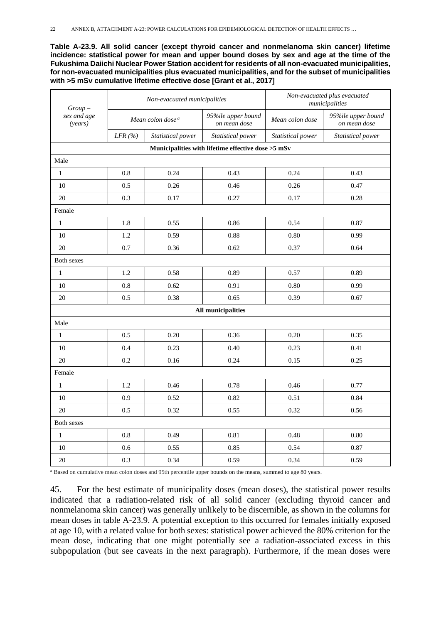**Table A-23.9. All solid cancer (except thyroid cancer and nonmelanoma skin cancer) lifetime incidence: statistical power for mean and upper bound doses by sex and age at the time of the Fukushima Daiichi Nuclear Power Station accident for residents of all non-evacuated municipalities, for non-evacuated municipalities plus evacuated municipalities, and for the subset of municipalities with >5 mSv cumulative lifetime effective dose [Grant et al., 2017]**

| $Group-$               |                              | Non-evacuated municipalities | Non-evacuated plus evacuated<br>municipalities     |                   |                                    |
|------------------------|------------------------------|------------------------------|----------------------------------------------------|-------------------|------------------------------------|
| sex and age<br>(years) | Mean colon dose <sup>a</sup> |                              | 95%ile upper bound<br>on mean dose                 | Mean colon dose   | 95%ile upper bound<br>on mean dose |
|                        | LFR $(%)$                    | Statistical power            | Statistical power                                  | Statistical power | Statistical power                  |
|                        |                              |                              | Municipalities with lifetime effective dose >5 mSv |                   |                                    |
| Male                   |                              |                              |                                                    |                   |                                    |
| $\mathbf{1}$           | 0.8                          | 0.24                         | 0.43                                               | 0.24              | 0.43                               |
| 10                     | 0.5                          | 0.26                         | 0.46                                               | 0.26              | 0.47                               |
| 20                     | 0.3                          | 0.17                         | 0.27                                               | 0.17              | 0.28                               |
| Female                 |                              |                              |                                                    |                   |                                    |
| $\,1$                  | 1.8                          | 0.55                         | 0.86                                               | 0.54              | 0.87                               |
| 10                     | 1.2                          | 0.59                         | 0.88                                               | 0.80              | 0.99                               |
| $20\,$                 | 0.7                          | 0.36                         | 0.62                                               | 0.37              | 0.64                               |
| Both sexes             |                              |                              |                                                    |                   |                                    |
| $\mathbf{1}$           | 1.2                          | 0.58                         | 0.89                                               | 0.57              | 0.89                               |
| 10                     | 0.8                          | 0.62                         | 0.91                                               | 0.80              | 0.99                               |
| $20\,$                 | 0.5                          | 0.38                         | 0.65                                               | 0.39              | 0.67                               |
|                        |                              |                              | <b>All municipalities</b>                          |                   |                                    |
| Male                   |                              |                              |                                                    |                   |                                    |
| $\mathbf{1}$           | 0.5                          | 0.20                         | 0.36                                               | 0.20              | 0.35                               |
| 10                     | 0.4                          | 0.23                         | 0.40                                               | 0.23              | 0.41                               |
| 20                     | 0.2                          | 0.16                         | 0.24                                               | 0.15              | 0.25                               |
| Female                 |                              |                              |                                                    |                   |                                    |
| $\mathbf{1}$           | 1.2                          | 0.46                         | 0.78                                               | 0.46              | 0.77                               |
| 10                     | 0.9                          | 0.52                         | 0.82                                               | 0.51              | 0.84                               |
| 20                     | 0.5                          | 0.32                         | 0.55                                               | 0.32              | 0.56                               |
| Both sexes             |                              |                              |                                                    |                   |                                    |
| $\mathbf{1}$           | 0.8                          | 0.49                         | 0.81                                               | 0.48              | 0.80                               |
| 10                     | 0.6                          | 0.55                         | 0.85                                               | 0.54              | 0.87                               |
| 20                     | 0.3                          | 0.34                         | 0.59                                               | 0.34              | 0.59                               |

*<sup>a</sup>* Based on cumulative mean colon doses and 95th percentile upper bounds on the means, summed to age 80 years.

45. For the best estimate of municipality doses (mean doses), the statistical power results indicated that a radiation-related risk of all solid cancer (excluding thyroid cancer and nonmelanoma skin cancer) was generally unlikely to be discernible, as shown in the columns for mean doses in table A-23.9. A potential exception to this occurred for females initially exposed at age 10, with a related value for both sexes: statistical power achieved the 80% criterion for the mean dose, indicating that one might potentially see a radiation-associated excess in this subpopulation (but see caveats in the next paragraph). Furthermore, if the mean doses were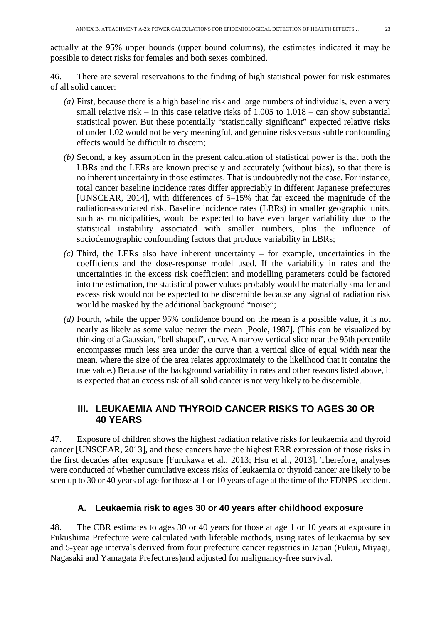actually at the 95% upper bounds (upper bound columns), the estimates indicated it may be possible to detect risks for females and both sexes combined.

46. There are several reservations to the finding of high statistical power for risk estimates of all solid cancer:

- *(a)* First, because there is a high baseline risk and large numbers of individuals, even a very small relative risk – in this case relative risks of 1.005 to 1.018 – can show substantial statistical power. But these potentially "statistically significant" expected relative risks of under 1.02 would not be very meaningful, and genuine risks versus subtle confounding effects would be difficult to discern;
- *(b)* Second, a key assumption in the present calculation of statistical power is that both the LBRs and the LERs are known precisely and accurately (without bias), so that there is no inherent uncertainty in those estimates. That is undoubtedly not the case. For instance, total cancer baseline incidence rates differ appreciably in different Japanese prefectures [UNSCEAR, 2014], with differences of 5–15% that far exceed the magnitude of the radiation-associated risk. Baseline incidence rates (LBRs) in smaller geographic units, such as municipalities, would be expected to have even larger variability due to the statistical instability associated with smaller numbers, plus the influence of sociodemographic confounding factors that produce variability in LBRs;
- *(c)* Third, the LERs also have inherent uncertainty for example, uncertainties in the coefficients and the dose-response model used. If the variability in rates and the uncertainties in the excess risk coefficient and modelling parameters could be factored into the estimation, the statistical power values probably would be materially smaller and excess risk would not be expected to be discernible because any signal of radiation risk would be masked by the additional background "noise";
- *(d)* Fourth, while the upper 95% confidence bound on the mean is a possible value, it is not nearly as likely as some value nearer the mean [Poole, 1987]. (This can be visualized by thinking of a Gaussian, "bell shaped", curve. A narrow vertical slice near the 95th percentile encompasses much less area under the curve than a vertical slice of equal width near the mean, where the size of the area relates approximately to the likelihood that it contains the true value.) Because of the background variability in rates and other reasons listed above, it is expected that an excess risk of all solid cancer is not very likely to be discernible.

## **III. LEUKAEMIA AND THYROID CANCER RISKS TO AGES 30 OR 40 YEARS**

47. Exposure of children shows the highest radiation relative risks for leukaemia and thyroid cancer [UNSCEAR, 2013], and these cancers have the highest ERR expression of those risks in the first decades after exposure [Furukawa et al., 2013; Hsu et al., 2013]. Therefore, analyses were conducted of whether cumulative excess risks of leukaemia or thyroid cancer are likely to be seen up to 30 or 40 years of age for those at 1 or 10 years of age at the time of the FDNPS accident.

## **A. Leukaemia risk to ages 30 or 40 years after childhood exposure**

48. The CBR estimates to ages 30 or 40 years for those at age 1 or 10 years at exposure in Fukushima Prefecture were calculated with lifetable methods, using rates of leukaemia by sex and 5-year age intervals derived from four prefecture cancer registries in Japan (Fukui, Miyagi, Nagasaki and Yamagata Prefectures)and adjusted for malignancy-free survival.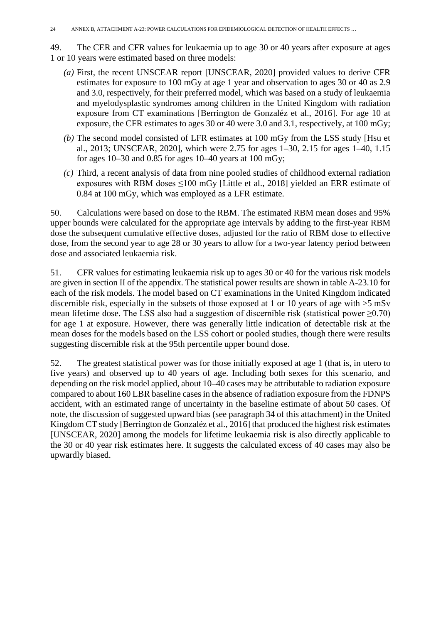49. The CER and CFR values for leukaemia up to age 30 or 40 years after exposure at ages 1 or 10 years were estimated based on three models:

- *(a)* First, the recent UNSCEAR report [UNSCEAR, 2020] provided values to derive CFR estimates for exposure to 100 mGy at age 1 year and observation to ages 30 or 40 as 2.9 and 3.0, respectively, for their preferred model, which was based on a study of leukaemia and myelodysplastic syndromes among children in the United Kingdom with radiation exposure from CT examinations [Berrington de Gonzaléz et al., 2016]. For age 10 at exposure, the CFR estimates to ages 30 or 40 were 3.0 and 3.1, respectively, at 100 mGy;
- *(b)* The second model consisted of LFR estimates at 100 mGy from the LSS study [Hsu et al., 2013; UNSCEAR, 2020], which were 2.75 for ages 1–30, 2.15 for ages 1–40, 1.15 for ages 10–30 and 0.85 for ages 10–40 years at 100 mGy;
- *(c)* Third, a recent analysis of data from nine pooled studies of childhood external radiation exposures with RBM doses  $\leq 100$  mGy [Little et al., 2018] yielded an ERR estimate of 0.84 at 100 mGy, which was employed as a LFR estimate.

50. Calculations were based on dose to the RBM. The estimated RBM mean doses and 95% upper bounds were calculated for the appropriate age intervals by adding to the first-year RBM dose the subsequent cumulative effective doses, adjusted for the ratio of RBM dose to effective dose, from the second year to age 28 or 30 years to allow for a two-year latency period between dose and associated leukaemia risk.

51. CFR values for estimating leukaemia risk up to ages 30 or 40 for the various risk models are given in section II of the appendix. The statistical power results are shown in table A-23.10 for each of the risk models. The model based on CT examinations in the United Kingdom indicated discernible risk, especially in the subsets of those exposed at 1 or 10 years of age with >5 mSv mean lifetime dose. The LSS also had a suggestion of discernible risk (statistical power  $\geq 0.70$ ) for age 1 at exposure. However, there was generally little indication of detectable risk at the mean doses for the models based on the LSS cohort or pooled studies, though there were results suggesting discernible risk at the 95th percentile upper bound dose.

52. The greatest statistical power was for those initially exposed at age 1 (that is, in utero to five years) and observed up to 40 years of age. Including both sexes for this scenario, and depending on the risk model applied, about 10–40 cases may be attributable to radiation exposure compared to about 160 LBR baseline cases in the absence of radiation exposure from the FDNPS accident, with an estimated range of uncertainty in the baseline estimate of about 50 cases. Of note, the discussion of suggested upward bias (see paragraph 34 of this attachment) in the United Kingdom CT study [Berrington de Gonzaléz et al., 2016] that produced the highest risk estimates [UNSCEAR, 2020] among the models for lifetime leukaemia risk is also directly applicable to the 30 or 40 year risk estimates here. It suggests the calculated excess of 40 cases may also be upwardly biased.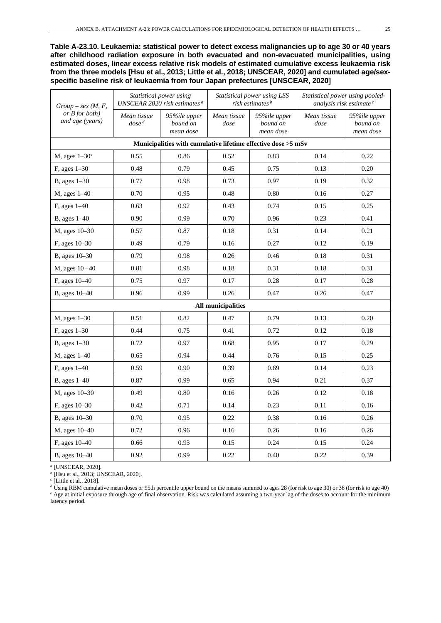**Table A-23.10. Leukaemia: statistical power to detect excess malignancies up to age 30 or 40 years after childhood radiation exposure in both evacuated and non-evacuated municipalities, using estimated doses, linear excess relative risk models of estimated cumulative excess leukaemia risk from the three models [Hsu et al., 2013; Little et al., 2018; UNSCEAR, 2020] and cumulated age/sexspecific baseline risk of leukaemia from four Japan prefectures [UNSCEAR, 2020]**

| $Group-sex(M, F,$                   | Statistical power using<br>UNSCEAR 2020 risk estimates <sup>a</sup> |                                                               |                           | Statistical power using LSS<br>risk estimates <sup>b</sup> | Statistical power using pooled-<br>analysis risk estimate <sup>c</sup> |                                       |
|-------------------------------------|---------------------------------------------------------------------|---------------------------------------------------------------|---------------------------|------------------------------------------------------------|------------------------------------------------------------------------|---------------------------------------|
| or $B$ for both)<br>and age (years) | Mean tissue<br>$dose^d$                                             | 95%ile upper<br>bound on<br>mean dose                         | Mean tissue<br>dose       | 95%ile upper<br>bound on<br>mean dose                      | Mean tissue<br>dose                                                    | 95%ile upper<br>bound on<br>mean dose |
|                                     |                                                                     | Municipalities with cumulative lifetime effective dose >5 mSv |                           |                                                            |                                                                        |                                       |
| M, ages $1-30^e$                    | 0.55                                                                | 0.86                                                          | 0.52                      | 0.83                                                       | 0.14                                                                   | 0.22                                  |
| F, ages 1-30                        | 0.48                                                                | 0.79                                                          | 0.45                      | 0.75                                                       | 0.13                                                                   | 0.20                                  |
| B, ages $1-30$                      | 0.77                                                                | 0.98                                                          | 0.73                      | 0.97                                                       | 0.19                                                                   | 0.32                                  |
| M, ages 1-40                        | 0.70                                                                | 0.95                                                          | 0.48                      | 0.80                                                       | 0.16                                                                   | 0.27                                  |
| F, ages 1-40                        | 0.63                                                                | 0.92                                                          | 0.43                      | 0.74                                                       | 0.15                                                                   | 0.25                                  |
| B, ages 1-40                        | 0.90                                                                | 0.99                                                          | 0.70                      | 0.96                                                       | 0.23                                                                   | 0.41                                  |
| M, ages 10-30                       | 0.57                                                                | 0.87                                                          | 0.18                      | 0.31                                                       | 0.14                                                                   | 0.21                                  |
| F, ages 10-30                       | 0.49                                                                | 0.79                                                          | 0.16                      | 0.27                                                       | 0.12                                                                   | 0.19                                  |
| B, ages 10-30                       | 0.79                                                                | 0.98                                                          | 0.26                      | 0.46                                                       | 0.18                                                                   | 0.31                                  |
| M, ages 10 - 40                     | 0.81                                                                | 0.98                                                          | 0.18                      | 0.31                                                       | 0.18                                                                   | 0.31                                  |
| F, ages 10-40                       | 0.75                                                                | 0.97                                                          | 0.17                      | 0.28                                                       | 0.17                                                                   | 0.28                                  |
| B, ages 10-40                       | 0.96                                                                | 0.99                                                          | 0.26                      | 0.47                                                       | 0.26                                                                   | 0.47                                  |
|                                     |                                                                     |                                                               | <b>All municipalities</b> |                                                            |                                                                        |                                       |
| M, ages 1-30                        | 0.51                                                                | 0.82                                                          | 0.47                      | 0.79                                                       | 0.13                                                                   | 0.20                                  |
| $F$ , ages $1-30$                   | 0.44                                                                | 0.75                                                          | 0.41                      | 0.72                                                       | 0.12                                                                   | 0.18                                  |
| B, ages $1-30$                      | 0.72                                                                | 0.97                                                          | 0.68                      | 0.95                                                       | 0.17                                                                   | 0.29                                  |
| M, ages 1-40                        | 0.65                                                                | 0.94                                                          | 0.44                      | 0.76                                                       | 0.15                                                                   | 0.25                                  |
| F, ages 1-40                        | 0.59                                                                | 0.90                                                          | 0.39                      | 0.69                                                       | 0.14                                                                   | 0.23                                  |
| B, ages 1-40                        | 0.87                                                                | 0.99                                                          | 0.65                      | 0.94                                                       | 0.21                                                                   | 0.37                                  |
| M, ages 10-30                       | 0.49                                                                | 0.80                                                          | 0.16                      | 0.26                                                       | 0.12                                                                   | 0.18                                  |
| F, ages 10-30                       | 0.42                                                                | 0.71                                                          | 0.14                      | 0.23                                                       | 0.11                                                                   | 0.16                                  |
| B, ages 10-30                       | 0.70                                                                | 0.95                                                          | 0.22                      | 0.38                                                       | 0.16                                                                   | 0.26                                  |
| M, ages 10-40                       | 0.72                                                                | 0.96                                                          | 0.16                      | 0.26                                                       | 0.16                                                                   | 0.26                                  |
| F, ages 10-40                       | 0.66                                                                | 0.93                                                          | 0.15                      | 0.24                                                       | 0.15                                                                   | 0.24                                  |
| B, ages 10-40                       | 0.92                                                                | 0.99                                                          | 0.22                      | 0.40                                                       | 0.22                                                                   | 0.39                                  |

*<sup>a</sup>* [UNSCEAR, 2020].

*<sup>b</sup>* [Hsu et al., 2013; UNSCEAR, 2020].

*<sup>c</sup>* [Little et al., 2018].

*<sup>d</sup>* Using RBM cumulative mean doses or 95th percentile upper bound on the means summed to ages 28 (for risk to age 30) or 38 (for risk to age 40) *<sup>e</sup>* Age at initial exposure through age of final observation. Risk was calculated assuming a two-year lag of the doses to account for the minimum latency period.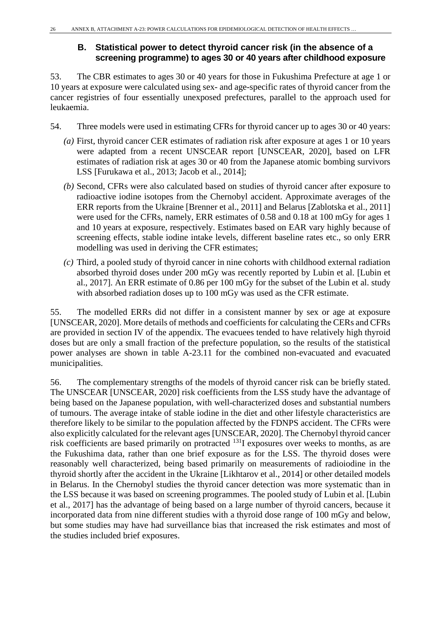## **B. Statistical power to detect thyroid cancer risk (in the absence of a screening programme) to ages 30 or 40 years after childhood exposure**

53. The CBR estimates to ages 30 or 40 years for those in Fukushima Prefecture at age 1 or 10 years at exposure were calculated using sex- and age-specific rates of thyroid cancer from the cancer registries of four essentially unexposed prefectures, parallel to the approach used for leukaemia.

- 54. Three models were used in estimating CFRs for thyroid cancer up to ages 30 or 40 years:
	- *(a)* First, thyroid cancer CER estimates of radiation risk after exposure at ages 1 or 10 years were adapted from a recent UNSCEAR report [UNSCEAR, 2020], based on LFR estimates of radiation risk at ages 30 or 40 from the Japanese atomic bombing survivors LSS [Furukawa et al., 2013; Jacob et al., 2014];
	- *(b)* Second, CFRs were also calculated based on studies of thyroid cancer after exposure to radioactive iodine isotopes from the Chernobyl accident. Approximate averages of the ERR reports from the Ukraine [Brenner et al., 2011] and Belarus [Zablotska et al., 2011] were used for the CFRs, namely, ERR estimates of 0.58 and 0.18 at 100 mGy for ages 1 and 10 years at exposure, respectively. Estimates based on EAR vary highly because of screening effects, stable iodine intake levels, different baseline rates etc., so only ERR modelling was used in deriving the CFR estimates;
	- *(c)* Third, a pooled study of thyroid cancer in nine cohorts with childhood external radiation absorbed thyroid doses under 200 mGy was recently reported by Lubin et al. [Lubin et al., 2017]. An ERR estimate of 0.86 per 100 mGy for the subset of the Lubin et al. study with absorbed radiation doses up to 100 mGy was used as the CFR estimate.

55. The modelled ERRs did not differ in a consistent manner by sex or age at exposure [UNSCEAR, 2020]. More details of methods and coefficients for calculating the CERs and CFRs are provided in section IV of the appendix. The evacuees tended to have relatively high thyroid doses but are only a small fraction of the prefecture population, so the results of the statistical power analyses are shown in table A-23.11 for the combined non-evacuated and evacuated municipalities.

56. The complementary strengths of the models of thyroid cancer risk can be briefly stated. The UNSCEAR [UNSCEAR, 2020] risk coefficients from the LSS study have the advantage of being based on the Japanese population, with well-characterized doses and substantial numbers of tumours. The average intake of stable iodine in the diet and other lifestyle characteristics are therefore likely to be similar to the population affected by the FDNPS accident. The CFRs were also explicitly calculated for the relevant ages [UNSCEAR, 2020]. The Chernobyl thyroid cancer risk coefficients are based primarily on protracted 131I exposures over weeks to months, as are the Fukushima data, rather than one brief exposure as for the LSS. The thyroid doses were reasonably well characterized, being based primarily on measurements of radioiodine in the thyroid shortly after the accident in the Ukraine [Likhtarov et al., 2014] or other detailed models in Belarus. In the Chernobyl studies the thyroid cancer detection was more systematic than in the LSS because it was based on screening programmes. The pooled study of Lubin et al. [Lubin et al., 2017] has the advantage of being based on a large number of thyroid cancers, because it incorporated data from nine different studies with a thyroid dose range of 100 mGy and below, but some studies may have had surveillance bias that increased the risk estimates and most of the studies included brief exposures.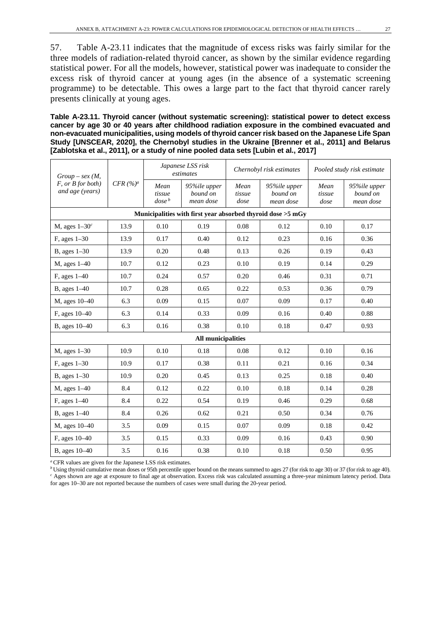57. Table A-23.11 indicates that the magnitude of excess risks was fairly similar for the three models of radiation-related thyroid cancer, as shown by the similar evidence regarding statistical power. For all the models, however, statistical power was inadequate to consider the excess risk of thyroid cancer at young ages (in the absence of a systematic screening programme) to be detectable. This owes a large part to the fact that thyroid cancer rarely presents clinically at young ages.

**Table A-23.11. Thyroid cancer (without systematic screening): statistical power to detect excess cancer by age 30 or 40 years after childhood radiation exposure in the combined evacuated and non-evacuated municipalities, using models of thyroid cancer risk based on the Japanese Life Span Study [UNSCEAR, 2020], the Chernobyl studies in the Ukraine [Brenner et al., 2011] and Belarus [Zablotska et al., 2011], or a study of nine pooled data sets [Lubin et al., 2017]**

| $Group-sex(M,$                            |                     | Japanese LSS risk<br>estimates    |                                       | Chernobyl risk estimates |                                                                       | Pooled study risk estimate |                                       |
|-------------------------------------------|---------------------|-----------------------------------|---------------------------------------|--------------------------|-----------------------------------------------------------------------|----------------------------|---------------------------------------|
| $F$ , or $B$ for both)<br>and age (years) | $CFR~(^{o}/_{o})^a$ | Mean<br>tissue<br>$\emph{dose}^b$ | 95%ile upper<br>bound on<br>mean dose | Mean<br>tissue<br>dose   | 95%ile upper<br>bound on<br>mean dose                                 | Mean<br>tissue<br>dose     | 95%ile upper<br>bound on<br>mean dose |
|                                           |                     |                                   |                                       |                          | Municipalities with first year absorbed thyroid dose $>5 \text{ mGy}$ |                            |                                       |
| M, ages $1-30^c$                          | 13.9                | 0.10                              | 0.19                                  | 0.08                     | 0.12                                                                  | 0.10                       | 0.17                                  |
| $F$ , ages $1-30$                         | 13.9                | 0.17                              | 0.40                                  | 0.12                     | 0.23                                                                  | 0.16                       | 0.36                                  |
| $B$ , ages $1-30$                         | 13.9                | 0.20                              | 0.48                                  | 0.13                     | 0.26                                                                  | 0.19                       | 0.43                                  |
| $M$ , ages $1-40$                         | 10.7                | 0.12                              | 0.23                                  | 0.10                     | 0.19                                                                  | 0.14                       | 0.29                                  |
| F, ages 1-40                              | 10.7                | 0.24                              | 0.57                                  | 0.20                     | 0.46                                                                  | 0.31                       | 0.71                                  |
| <b>B</b> , ages 1-40                      | 10.7                | 0.28                              | 0.65                                  | 0.22                     | 0.53                                                                  | 0.36                       | 0.79                                  |
| M, ages 10-40                             | 6.3                 | 0.09                              | 0.15                                  | 0.07                     | 0.09                                                                  | 0.17                       | 0.40                                  |
| F, ages 10–40                             | 6.3                 | 0.14                              | 0.33                                  | 0.09                     | 0.16                                                                  | 0.40                       | 0.88                                  |
| B, ages 10-40                             | 6.3                 | 0.16                              | 0.38                                  | 0.10                     | 0.18                                                                  | 0.47                       | 0.93                                  |
|                                           |                     |                                   | <b>All municipalities</b>             |                          |                                                                       |                            |                                       |
| $M$ , ages $1-30$                         | 10.9                | 0.10                              | 0.18                                  | 0.08                     | 0.12                                                                  | 0.10                       | 0.16                                  |
| $F$ , ages $1-30$                         | 10.9                | 0.17                              | 0.38                                  | 0.11                     | 0.21                                                                  | 0.16                       | 0.34                                  |
| B, ages $1-30$                            | 10.9                | 0.20                              | 0.45                                  | 0.13                     | 0.25                                                                  | 0.18                       | 0.40                                  |
| M, ages 1-40                              | 8.4                 | 0.12                              | 0.22                                  | 0.10                     | 0.18                                                                  | 0.14                       | 0.28                                  |
| F, ages 1-40                              | 8.4                 | 0.22                              | 0.54                                  | 0.19                     | 0.46                                                                  | 0.29                       | 0.68                                  |
| B, ages $1-40$                            | 8.4                 | 0.26                              | 0.62                                  | 0.21                     | 0.50                                                                  | 0.34                       | 0.76                                  |
| M, ages 10-40                             | 3.5                 | 0.09                              | 0.15                                  | 0.07                     | 0.09                                                                  | 0.18                       | 0.42                                  |
| F, ages 10-40                             | 3.5                 | 0.15                              | 0.33                                  | 0.09                     | 0.16                                                                  | 0.43                       | 0.90                                  |
| B, ages 10-40                             | 3.5                 | 0.16                              | 0.38                                  | 0.10                     | 0.18                                                                  | 0.50                       | 0.95                                  |

*<sup>a</sup>*CFR values are given for the Japanese LSS risk estimates.

*b* Using thyroid cumulative mean doses or 95th percentile upper bound on the means summed to ages 27 (for risk to age 30) or 37 (for risk to age 40). *<sup>c</sup>* Ages shown are age at exposure to final age at observation. Excess risk was calculated assuming a three-year minimum latency period. Data for ages 10–30 are not reported because the numbers of cases were small during the 20-year period.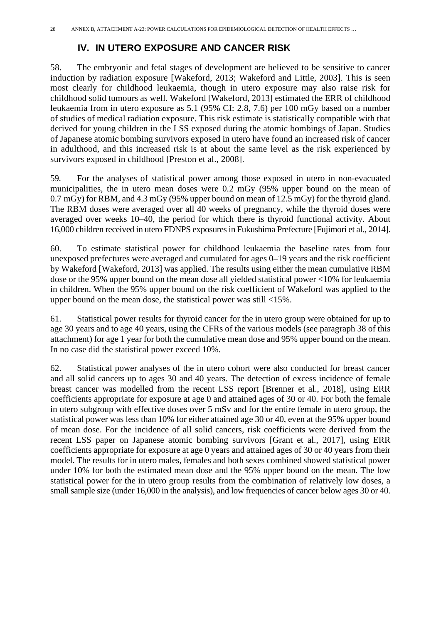## **IV. IN UTERO EXPOSURE AND CANCER RISK**

58. The embryonic and fetal stages of development are believed to be sensitive to cancer induction by radiation exposure [Wakeford, 2013; Wakeford and Little, 2003]. This is seen most clearly for childhood leukaemia, though in utero exposure may also raise risk for childhood solid tumours as well. Wakeford [Wakeford, 2013] estimated the ERR of childhood leukaemia from in utero exposure as 5.1 (95% CI: 2.8, 7.6) per 100 mGy based on a number of studies of medical radiation exposure. This risk estimate is statistically compatible with that derived for young children in the LSS exposed during the atomic bombings of Japan. Studies of Japanese atomic bombing survivors exposed in utero have found an increased risk of cancer in adulthood, and this increased risk is at about the same level as the risk experienced by survivors exposed in childhood [Preston et al., 2008].

59. For the analyses of statistical power among those exposed in utero in non-evacuated municipalities, the in utero mean doses were 0.2 mGy (95% upper bound on the mean of 0.7 mGy) for RBM, and 4.3 mGy (95% upper bound on mean of 12.5 mGy) for the thyroid gland. The RBM doses were averaged over all 40 weeks of pregnancy, while the thyroid doses were averaged over weeks 10–40, the period for which there is thyroid functional activity. About 16,000 children received in utero FDNPS exposures in Fukushima Prefecture [Fujimori et al., 2014].

60. To estimate statistical power for childhood leukaemia the baseline rates from four unexposed prefectures were averaged and cumulated for ages 0–19 years and the risk coefficient by Wakeford [Wakeford, 2013] was applied. The results using either the mean cumulative RBM dose or the 95% upper bound on the mean dose all yielded statistical power <10% for leukaemia in children. When the 95% upper bound on the risk coefficient of Wakeford was applied to the upper bound on the mean dose, the statistical power was still <15%.

61. Statistical power results for thyroid cancer for the in utero group were obtained for up to age 30 years and to age 40 years, using the CFRs of the various models (see paragraph 38 of this attachment) for age 1 year for both the cumulative mean dose and 95% upper bound on the mean. In no case did the statistical power exceed 10%.

62. Statistical power analyses of the in utero cohort were also conducted for breast cancer and all solid cancers up to ages 30 and 40 years. The detection of excess incidence of female breast cancer was modelled from the recent LSS report [Brenner et al., 2018], using ERR coefficients appropriate for exposure at age 0 and attained ages of 30 or 40. For both the female in utero subgroup with effective doses over 5 mSv and for the entire female in utero group, the statistical power was less than 10% for either attained age 30 or 40, even at the 95% upper bound of mean dose. For the incidence of all solid cancers, risk coefficients were derived from the recent LSS paper on Japanese atomic bombing survivors [Grant et al., 2017], using ERR coefficients appropriate for exposure at age 0 years and attained ages of 30 or 40 years from their model. The results for in utero males, females and both sexes combined showed statistical power under 10% for both the estimated mean dose and the 95% upper bound on the mean. The low statistical power for the in utero group results from the combination of relatively low doses, a small sample size (under 16,000 in the analysis), and low frequencies of cancer below ages 30 or 40.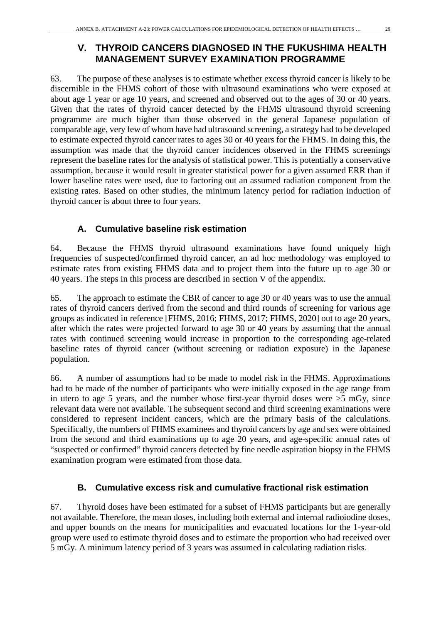## **V. THYROID CANCERS DIAGNOSED IN THE FUKUSHIMA HEALTH MANAGEMENT SURVEY EXAMINATION PROGRAMME**

63. The purpose of these analyses is to estimate whether excess thyroid cancer is likely to be discernible in the FHMS cohort of those with ultrasound examinations who were exposed at about age 1 year or age 10 years, and screened and observed out to the ages of 30 or 40 years. Given that the rates of thyroid cancer detected by the FHMS ultrasound thyroid screening programme are much higher than those observed in the general Japanese population of comparable age, very few of whom have had ultrasound screening, a strategy had to be developed to estimate expected thyroid cancer rates to ages 30 or 40 years for the FHMS. In doing this, the assumption was made that the thyroid cancer incidences observed in the FHMS screenings represent the baseline rates for the analysis of statistical power. This is potentially a conservative assumption, because it would result in greater statistical power for a given assumed ERR than if lower baseline rates were used, due to factoring out an assumed radiation component from the existing rates. Based on other studies, the minimum latency period for radiation induction of thyroid cancer is about three to four years.

## **A. Cumulative baseline risk estimation**

64. Because the FHMS thyroid ultrasound examinations have found uniquely high frequencies of suspected/confirmed thyroid cancer, an ad hoc methodology was employed to estimate rates from existing FHMS data and to project them into the future up to age 30 or 40 years. The steps in this process are described in section V of the appendix.

65. The approach to estimate the CBR of cancer to age 30 or 40 years was to use the annual rates of thyroid cancers derived from the second and third rounds of screening for various age groups as indicated in reference [FHMS, 2016; FHMS, 2017; FHMS, 2020] out to age 20 years, after which the rates were projected forward to age 30 or 40 years by assuming that the annual rates with continued screening would increase in proportion to the corresponding age-related baseline rates of thyroid cancer (without screening or radiation exposure) in the Japanese population.

66. A number of assumptions had to be made to model risk in the FHMS. Approximations had to be made of the number of participants who were initially exposed in the age range from in utero to age 5 years, and the number whose first-year thyroid doses were  $>5$  mGy, since relevant data were not available. The subsequent second and third screening examinations were considered to represent incident cancers, which are the primary basis of the calculations. Specifically, the numbers of FHMS examinees and thyroid cancers by age and sex were obtained from the second and third examinations up to age 20 years, and age-specific annual rates of "suspected or confirmed" thyroid cancers detected by fine needle aspiration biopsy in the FHMS examination program were estimated from those data.

### **B. Cumulative excess risk and cumulative fractional risk estimation**

67. Thyroid doses have been estimated for a subset of FHMS participants but are generally not available. Therefore, the mean doses, including both external and internal radioiodine doses, and upper bounds on the means for municipalities and evacuated locations for the 1-year-old group were used to estimate thyroid doses and to estimate the proportion who had received over 5 mGy. A minimum latency period of 3 years was assumed in calculating radiation risks.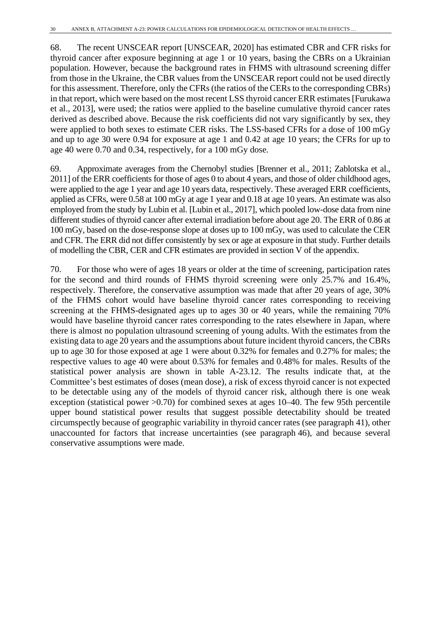68. The recent UNSCEAR report [UNSCEAR, 2020] has estimated CBR and CFR risks for thyroid cancer after exposure beginning at age 1 or 10 years, basing the CBRs on a Ukrainian population. However, because the background rates in FHMS with ultrasound screening differ from those in the Ukraine, the CBR values from the UNSCEAR report could not be used directly for this assessment. Therefore, only the CFRs (the ratios of the CERs to the corresponding CBRs) in that report, which were based on the most recent LSS thyroid cancer ERR estimates [Furukawa et al., 2013], were used; the ratios were applied to the baseline cumulative thyroid cancer rates derived as described above. Because the risk coefficients did not vary significantly by sex, they were applied to both sexes to estimate CER risks. The LSS-based CFRs for a dose of 100 mGy and up to age 30 were 0.94 for exposure at age 1 and 0.42 at age 10 years; the CFRs for up to age 40 were 0.70 and 0.34, respectively, for a 100 mGy dose.

69. Approximate averages from the Chernobyl studies [Brenner et al., 2011; Zablotska et al., 2011] of the ERR coefficients for those of ages 0 to about 4 years, and those of older childhood ages, were applied to the age 1 year and age 10 years data, respectively. These averaged ERR coefficients, applied as CFRs, were 0.58 at 100 mGy at age 1 year and 0.18 at age 10 years. An estimate was also employed from the study by Lubin et al. [Lubin et al., 2017], which pooled low-dose data from nine different studies of thyroid cancer after external irradiation before about age 20. The ERR of 0.86 at 100 mGy, based on the dose-response slope at doses up to 100 mGy, was used to calculate the CER and CFR. The ERR did not differ consistently by sex or age at exposure in that study. Further details of modelling the CBR, CER and CFR estimates are provided in section V of the appendix.

70. For those who were of ages 18 years or older at the time of screening, participation rates for the second and third rounds of FHMS thyroid screening were only 25.7% and 16.4%, respectively. Therefore, the conservative assumption was made that after 20 years of age, 30% of the FHMS cohort would have baseline thyroid cancer rates corresponding to receiving screening at the FHMS-designated ages up to ages 30 or 40 years, while the remaining 70% would have baseline thyroid cancer rates corresponding to the rates elsewhere in Japan, where there is almost no population ultrasound screening of young adults. With the estimates from the existing data to age 20 years and the assumptions about future incident thyroid cancers, the CBRs up to age 30 for those exposed at age 1 were about 0.32% for females and 0.27% for males; the respective values to age 40 were about 0.53% for females and 0.48% for males. Results of the statistical power analysis are shown in table A-23.12. The results indicate that, at the Committee's best estimates of doses (mean dose), a risk of excess thyroid cancer is not expected to be detectable using any of the models of thyroid cancer risk, although there is one weak exception (statistical power >0.70) for combined sexes at ages 10–40. The few 95th percentile upper bound statistical power results that suggest possible detectability should be treated circumspectly because of geographic variability in thyroid cancer rates (see paragraph 41), other unaccounted for factors that increase uncertainties (see paragraph 46), and because several conservative assumptions were made.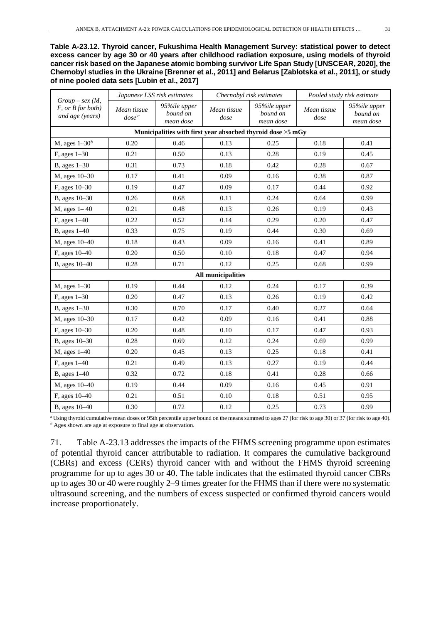**Table A-23.12. Thyroid cancer, Fukushima Health Management Survey: statistical power to detect excess cancer by age 30 or 40 years after childhood radiation exposure, using models of thyroid cancer risk based on the Japanese atomic bombing survivor Life Span Study [UNSCEAR, 2020], the Chernobyl studies in the Ukraine [Brenner et al., 2011] and Belarus [Zablotska et al., 2011], or study of nine pooled data sets [Lubin et al., 2017]**

| $Group-sex(M,$                            | Japanese LSS risk estimates |                                       |                           | Chernobyl risk estimates                                    | Pooled study risk estimate |                                       |
|-------------------------------------------|-----------------------------|---------------------------------------|---------------------------|-------------------------------------------------------------|----------------------------|---------------------------------------|
| $F$ , or $B$ for both)<br>and age (years) | Mean tissue<br>$dose^a$     | 95%ile upper<br>bound on<br>mean dose | Mean tissue<br>dose       | 95%ile upper<br>bound on<br>mean dose                       | Mean tissue<br>dose        | 95%ile upper<br>bound on<br>mean dose |
|                                           |                             |                                       |                           | Municipalities with first year absorbed thyroid dose >5 mGy |                            |                                       |
| M, ages $1-30b$                           | 0.20                        | 0.46                                  | 0.13                      | 0.25                                                        | 0.18                       | 0.41                                  |
| F, ages 1-30                              | 0.21                        | 0.50                                  | 0.13                      | 0.28                                                        | 0.19                       | 0.45                                  |
| B, ages 1-30                              | 0.31                        | 0.73                                  | 0.18                      | 0.42                                                        | 0.28                       | 0.67                                  |
| M, ages 10-30                             | 0.17                        | 0.41                                  | 0.09                      | 0.16                                                        | 0.38                       | 0.87                                  |
| F, ages 10-30                             | 0.19                        | 0.47                                  | 0.09                      | 0.17                                                        | 0.44                       | 0.92                                  |
| B, ages 10-30                             | 0.26                        | 0.68                                  | 0.11                      | 0.24                                                        | 0.64                       | 0.99                                  |
| $M$ , ages $1-40$                         | 0.21                        | 0.48                                  | 0.13                      | 0.26                                                        | 0.19                       | 0.43                                  |
| F, ages 1-40                              | 0.22                        | 0.52                                  | 0.14                      | 0.29                                                        | 0.20                       | 0.47                                  |
| $B$ , ages $1-40$                         | 0.33                        | 0.75                                  | 0.19                      | 0.44                                                        | 0.30                       | 0.69                                  |
| M, ages 10-40                             | 0.18                        | 0.43                                  | 0.09                      | 0.16                                                        | 0.41                       | 0.89                                  |
| F, ages 10-40                             | 0.20                        | 0.50                                  | 0.10                      | 0.18                                                        | 0.47                       | 0.94                                  |
| B, ages 10-40                             | 0.28                        | 0.71                                  | 0.12                      | 0.25                                                        | 0.68                       | 0.99                                  |
|                                           |                             |                                       | <b>All municipalities</b> |                                                             |                            |                                       |
| $M$ , ages $1-30$                         | 0.19                        | 0.44                                  | 0.12                      | 0.24                                                        | 0.17                       | 0.39                                  |
| F, ages 1-30                              | 0.20                        | 0.47                                  | 0.13                      | 0.26                                                        | 0.19                       | 0.42                                  |
| B, ages 1-30                              | 0.30                        | 0.70                                  | 0.17                      | 0.40                                                        | 0.27                       | 0.64                                  |
| M, ages 10-30                             | 0.17                        | 0.42                                  | 0.09                      | 0.16                                                        | 0.41                       | 0.88                                  |
| F, ages 10-30                             | 0.20                        | 0.48                                  | 0.10                      | 0.17                                                        | 0.47                       | 0.93                                  |
| B, ages 10-30                             | 0.28                        | 0.69                                  | 0.12                      | 0.24                                                        | 0.69                       | 0.99                                  |
| M, ages 1-40                              | 0.20                        | 0.45                                  | 0.13                      | 0.25                                                        | 0.18                       | 0.41                                  |
| F, ages 1-40                              | 0.21                        | 0.49                                  | 0.13                      | 0.27                                                        | 0.19                       | 0.44                                  |
| B, ages 1-40                              | 0.32                        | 0.72                                  | 0.18                      | 0.41                                                        | 0.28                       | 0.66                                  |
| M, ages 10-40                             | 0.19                        | 0.44                                  | 0.09                      | 0.16                                                        | 0.45                       | 0.91                                  |
| F, ages 10-40                             | 0.21                        | 0.51                                  | 0.10                      | 0.18                                                        | 0.51                       | 0.95                                  |
| B, ages 10-40                             | 0.30                        | 0.72                                  | 0.12                      | 0.25                                                        | 0.73                       | 0.99                                  |

*<sup>a</sup>* Using thyroid cumulative mean doses or 95th percentile upper bound on the means summed to ages 27 (for risk to age 30) or 37 (for risk to age 40). *b* Ages shown are age at exposure to final age at observation.

71. Table A-23.13 addresses the impacts of the FHMS screening programme upon estimates of potential thyroid cancer attributable to radiation. It compares the cumulative background (CBRs) and excess (CERs) thyroid cancer with and without the FHMS thyroid screening programme for up to ages 30 or 40. The table indicates that the estimated thyroid cancer CBRs up to ages 30 or 40 were roughly 2–9 times greater for the FHMS than if there were no systematic ultrasound screening, and the numbers of excess suspected or confirmed thyroid cancers would increase proportionately.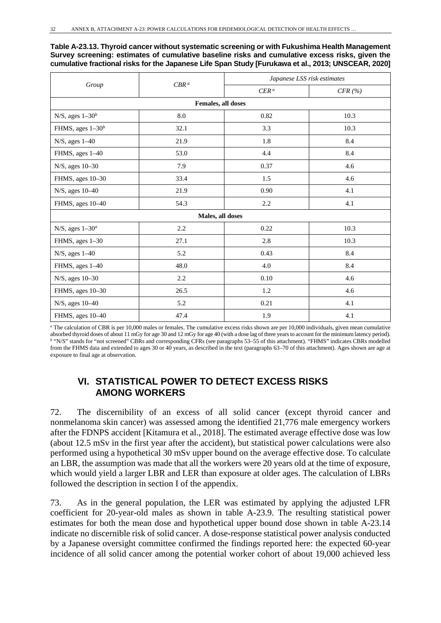**Table A-23.13. Thyroid cancer without systematic screening or with Fukushima Health Management Survey screening: estimates of cumulative baseline risks and cumulative excess risks, given the cumulative fractional risks for the Japanese Life Span Study [Furukawa et al., 2013; UNSCEAR, 2020]**

| Group                | CBR <sup>a</sup>   | Japanese LSS risk estimates |        |  |
|----------------------|--------------------|-----------------------------|--------|--|
|                      |                    | $CER^a$                     | CFR(%) |  |
|                      | Females, all doses |                             |        |  |
| N/S, ages $1-30b$    | 8.0                | 0.82                        | 10.3   |  |
| FHMS, ages $1-30b$   | 32.1               | 3.3                         | 10.3   |  |
| $N/S$ , ages $1-40$  | 21.9               | 1.8                         | 8.4    |  |
| FHMS, ages 1-40      | 53.0               | 4.4                         | 8.4    |  |
| N/S, ages 10-30      | 7.9                | 0.37                        | 4.6    |  |
| FHMS, ages 10-30     | 33.4               | 1.5                         | 4.6    |  |
| N/S, ages 10-40      | 21.9               | 0.90                        | 4.1    |  |
| FHMS, ages 10-40     | 54.3               | 2.2                         | 4.1    |  |
|                      | Males, all doses   |                             |        |  |
| N/S, ages $1-30^a$   | 2.2                | 0.22                        | 10.3   |  |
| FHMS, ages 1-30      | 27.1               | 2.8                         | 10.3   |  |
| $N/S$ , ages $1-40$  | 5.2                | 0.43                        | 8.4    |  |
| FHMS, ages 1-40      | 48.0               | 4.0                         | 8.4    |  |
| $N/S$ , ages $10-30$ | 2.2                | 0.10                        | 4.6    |  |
| FHMS, ages 10-30     | 26.5               | 1.2                         | 4.6    |  |
| N/S, ages 10-40      | 5.2                | 0.21                        | 4.1    |  |
| FHMS, ages 10-40     | 47.4               | 1.9                         | 4.1    |  |

*<sup>a</sup>* The calculation of CBR is per 10,000 males or females. The cumulative excess risks shown are per 10,000 individuals, given mean cumulative absorbed thyroid doses of about 11 mGy for age 30 and 12 mGy for age 40 (with a dose lag of three years to account for the minimum latency period). *<sup>b</sup>* "N/S" stands for "not screened" CBRs and corresponding CFRs (see paragraphs 53–55 of this attachment). "FHMS" indicates CBRs modelled from the FHMS data and extended to ages 30 or 40 years, as described in the text (paragraphs 63–70 of this attachment). Ages shown are age at exposure to final age at observation.

## **VI. STATISTICAL POWER TO DETECT EXCESS RISKS AMONG WORKERS**

72. The discernibility of an excess of all solid cancer (except thyroid cancer and nonmelanoma skin cancer) was assessed among the identified 21,776 male emergency workers after the FDNPS accident [Kitamura et al., 2018]. The estimated average effective dose was low (about 12.5 mSv in the first year after the accident), but statistical power calculations were also performed using a hypothetical 30 mSv upper bound on the average effective dose. To calculate an LBR, the assumption was made that all the workers were 20 years old at the time of exposure, which would yield a larger LBR and LER than exposure at older ages. The calculation of LBRs followed the description in section I of the appendix.

73. As in the general population, the LER was estimated by applying the adjusted LFR coefficient for 20-year-old males as shown in table A-23.9. The resulting statistical power estimates for both the mean dose and hypothetical upper bound dose shown in table A-23.14 indicate no discernible risk of solid cancer. A dose-response statistical power analysis conducted by a Japanese oversight committee confirmed the findings reported here: the expected 60-year incidence of all solid cancer among the potential worker cohort of about 19,000 achieved less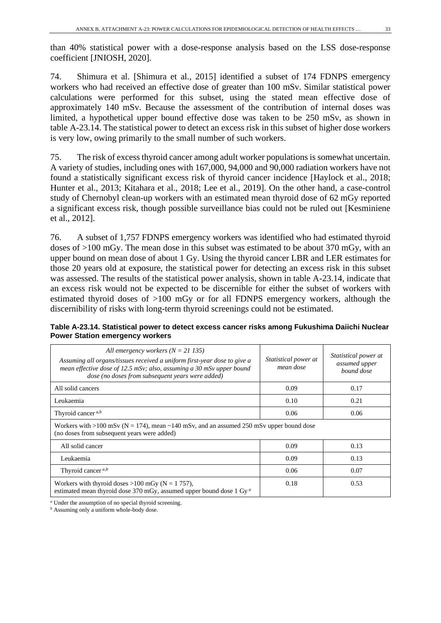than 40% statistical power with a dose-response analysis based on the LSS dose-response coefficient [JNIOSH, 2020].

74. Shimura et al. [Shimura et al., 2015] identified a subset of 174 FDNPS emergency workers who had received an effective dose of greater than 100 mSv. Similar statistical power calculations were performed for this subset, using the stated mean effective dose of approximately 140 mSv. Because the assessment of the contribution of internal doses was limited, a hypothetical upper bound effective dose was taken to be 250 mSv, as shown in table A-23.14. The statistical power to detect an excess risk in this subset of higher dose workers is very low, owing primarily to the small number of such workers.

75. The risk of excess thyroid cancer among adult worker populations is somewhat uncertain. A variety of studies, including ones with 167,000, 94,000 and 90,000 radiation workers have not found a statistically significant excess risk of thyroid cancer incidence [Haylock et al., 2018; Hunter et al., 2013; Kitahara et al., 2018; Lee et al., 2019]. On the other hand, a case-control study of Chernobyl clean-up workers with an estimated mean thyroid dose of 62 mGy reported a significant excess risk, though possible surveillance bias could not be ruled out [Kesminiene et al., 2012].

76. A subset of 1,757 FDNPS emergency workers was identified who had estimated thyroid doses of >100 mGy. The mean dose in this subset was estimated to be about 370 mGy, with an upper bound on mean dose of about 1 Gy. Using the thyroid cancer LBR and LER estimates for those 20 years old at exposure, the statistical power for detecting an excess risk in this subset was assessed. The results of the statistical power analysis, shown in table A-23.14, indicate that an excess risk would not be expected to be discernible for either the subset of workers with estimated thyroid doses of >100 mGy or for all FDNPS emergency workers, although the discernibility of risks with long-term thyroid screenings could not be estimated.

|                                        |  | Table A-23.14. Statistical power to detect excess cancer risks among Fukushima Daiichi Nuclear |
|----------------------------------------|--|------------------------------------------------------------------------------------------------|
| <b>Power Station emergency workers</b> |  |                                                                                                |

| All emergency workers $(N = 21135)$<br>Assuming all organs/tissues received a uniform first-year dose to give a<br>mean effective dose of 12.5 mSv; also, assuming a 30 mSv upper bound<br>dose (no doses from subsequent years were added) | Statistical power at<br>mean dose | <i>Statistical power at</i><br>assumed upper<br>bound dose |
|---------------------------------------------------------------------------------------------------------------------------------------------------------------------------------------------------------------------------------------------|-----------------------------------|------------------------------------------------------------|
| All solid cancers                                                                                                                                                                                                                           | 0.09                              | 0.17                                                       |
| Leukaemia                                                                                                                                                                                                                                   | 0.10                              | 0.21                                                       |
| Thyroid cancer $a,b$                                                                                                                                                                                                                        | 0.06                              | 0.06                                                       |
| Workers with >100 mSv ( $N = 174$ ), mean ~140 mSv, and an assumed 250 mSv upper bound dose<br>(no doses from subsequent years were added)                                                                                                  |                                   |                                                            |
| All solid cancer                                                                                                                                                                                                                            | 0.09                              | 0.13                                                       |
| Leukaemia                                                                                                                                                                                                                                   | 0.09                              | 0.13                                                       |
| Thyroid cancer $a,b$                                                                                                                                                                                                                        | 0.06                              | 0.07                                                       |
| Workers with thyroid doses $>100$ mGy (N = 1757),<br>estimated mean thyroid dose 370 mGy, assumed upper bound dose 1 Gy <sup>a</sup>                                                                                                        | 0.18                              | 0.53                                                       |

*<sup>a</sup>* Under the assumption of no special thyroid screening.

*<sup>b</sup>* Assuming only a uniform whole-body dose.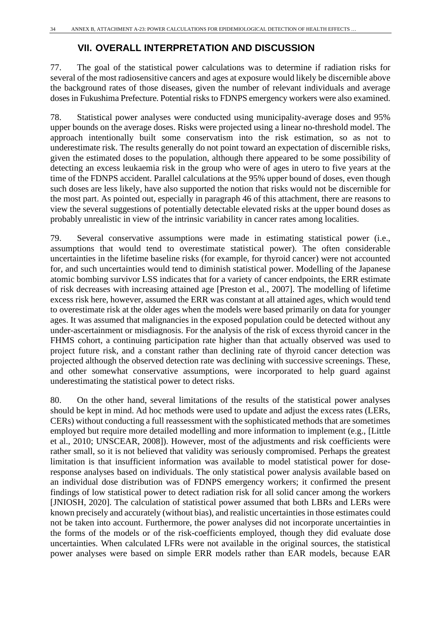## **VII. OVERALL INTERPRETATION AND DISCUSSION**

77. The goal of the statistical power calculations was to determine if radiation risks for several of the most radiosensitive cancers and ages at exposure would likely be discernible above the background rates of those diseases, given the number of relevant individuals and average doses in Fukushima Prefecture. Potential risks to FDNPS emergency workers were also examined.

78. Statistical power analyses were conducted using municipality-average doses and 95% upper bounds on the average doses. Risks were projected using a linear no-threshold model. The approach intentionally built some conservatism into the risk estimation, so as not to underestimate risk. The results generally do not point toward an expectation of discernible risks, given the estimated doses to the population, although there appeared to be some possibility of detecting an excess leukaemia risk in the group who were of ages in utero to five years at the time of the FDNPS accident. Parallel calculations at the 95% upper bound of doses, even though such doses are less likely, have also supported the notion that risks would not be discernible for the most part. As pointed out, especially in paragraph 46 of this attachment, there are reasons to view the several suggestions of potentially detectable elevated risks at the upper bound doses as probably unrealistic in view of the intrinsic variability in cancer rates among localities.

79. Several conservative assumptions were made in estimating statistical power (i.e., assumptions that would tend to overestimate statistical power). The often considerable uncertainties in the lifetime baseline risks (for example, for thyroid cancer) were not accounted for, and such uncertainties would tend to diminish statistical power. Modelling of the Japanese atomic bombing survivor LSS indicates that for a variety of cancer endpoints, the ERR estimate of risk decreases with increasing attained age [Preston et al., 2007]. The modelling of lifetime excess risk here, however, assumed the ERR was constant at all attained ages, which would tend to overestimate risk at the older ages when the models were based primarily on data for younger ages. It was assumed that malignancies in the exposed population could be detected without any under-ascertainment or misdiagnosis. For the analysis of the risk of excess thyroid cancer in the FHMS cohort, a continuing participation rate higher than that actually observed was used to project future risk, and a constant rather than declining rate of thyroid cancer detection was projected although the observed detection rate was declining with successive screenings. These, and other somewhat conservative assumptions, were incorporated to help guard against underestimating the statistical power to detect risks.

80. On the other hand, several limitations of the results of the statistical power analyses should be kept in mind. Ad hoc methods were used to update and adjust the excess rates (LERs, CERs) without conducting a full reassessment with the sophisticated methods that are sometimes employed but require more detailed modelling and more information to implement (e.g., [Little et al., 2010; UNSCEAR, 2008]). However, most of the adjustments and risk coefficients were rather small, so it is not believed that validity was seriously compromised. Perhaps the greatest limitation is that insufficient information was available to model statistical power for doseresponse analyses based on individuals. The only statistical power analysis available based on an individual dose distribution was of FDNPS emergency workers; it confirmed the present findings of low statistical power to detect radiation risk for all solid cancer among the workers [JNIOSH, 2020]. The calculation of statistical power assumed that both LBRs and LERs were known precisely and accurately (without bias), and realistic uncertainties in those estimates could not be taken into account. Furthermore, the power analyses did not incorporate uncertainties in the forms of the models or of the risk-coefficients employed, though they did evaluate dose uncertainties. When calculated LFRs were not available in the original sources, the statistical power analyses were based on simple ERR models rather than EAR models, because EAR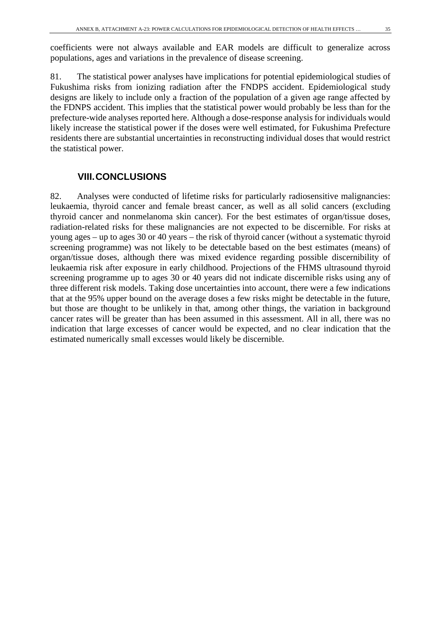coefficients were not always available and EAR models are difficult to generalize across populations, ages and variations in the prevalence of disease screening.

81. The statistical power analyses have implications for potential epidemiological studies of Fukushima risks from ionizing radiation after the FNDPS accident. Epidemiological study designs are likely to include only a fraction of the population of a given age range affected by the FDNPS accident. This implies that the statistical power would probably be less than for the prefecture-wide analyses reported here. Although a dose-response analysis for individuals would likely increase the statistical power if the doses were well estimated, for Fukushima Prefecture residents there are substantial uncertainties in reconstructing individual doses that would restrict the statistical power.

## **VIII.CONCLUSIONS**

82. Analyses were conducted of lifetime risks for particularly radiosensitive malignancies: leukaemia, thyroid cancer and female breast cancer, as well as all solid cancers (excluding thyroid cancer and nonmelanoma skin cancer). For the best estimates of organ/tissue doses, radiation-related risks for these malignancies are not expected to be discernible. For risks at young ages – up to ages 30 or 40 years – the risk of thyroid cancer (without a systematic thyroid screening programme) was not likely to be detectable based on the best estimates (means) of organ/tissue doses, although there was mixed evidence regarding possible discernibility of leukaemia risk after exposure in early childhood. Projections of the FHMS ultrasound thyroid screening programme up to ages 30 or 40 years did not indicate discernible risks using any of three different risk models. Taking dose uncertainties into account, there were a few indications that at the 95% upper bound on the average doses a few risks might be detectable in the future, but those are thought to be unlikely in that, among other things, the variation in background cancer rates will be greater than has been assumed in this assessment. All in all, there was no indication that large excesses of cancer would be expected, and no clear indication that the estimated numerically small excesses would likely be discernible.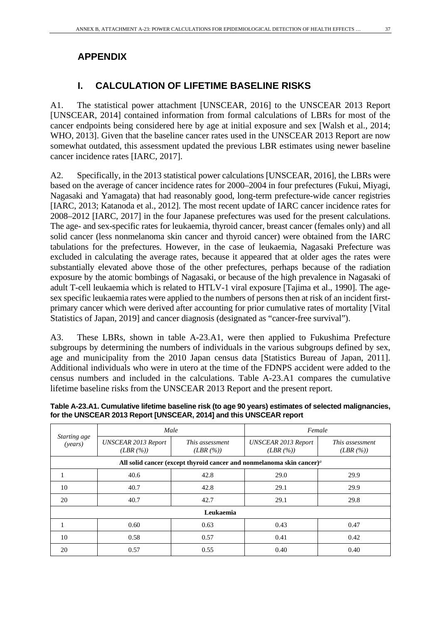## **APPENDIX**

Ē

## **I. CALCULATION OF LIFETIME BASELINE RISKS**

A1. The statistical power attachment [UNSCEAR, 2016] to the UNSCEAR 2013 Report [UNSCEAR, 2014] contained information from formal calculations of LBRs for most of the cancer endpoints being considered here by age at initial exposure and sex [Walsh et al., 2014; WHO, 2013]. Given that the baseline cancer rates used in the UNSCEAR 2013 Report are now somewhat outdated, this assessment updated the previous LBR estimates using newer baseline cancer incidence rates [IARC, 2017].

A2. Specifically, in the 2013 statistical power calculations [UNSCEAR, 2016], the LBRs were based on the average of cancer incidence rates for 2000–2004 in four prefectures (Fukui, Miyagi, Nagasaki and Yamagata) that had reasonably good, long-term prefecture-wide cancer registries [IARC, 2013; Katanoda et al., 2012]. The most recent update of IARC cancer incidence rates for 2008–2012 [IARC, 2017] in the four Japanese prefectures was used for the present calculations. The age- and sex-specific rates for leukaemia, thyroid cancer, breast cancer (females only) and all solid cancer (less nonmelanoma skin cancer and thyroid cancer) were obtained from the IARC tabulations for the prefectures. However, in the case of leukaemia, Nagasaki Prefecture was excluded in calculating the average rates, because it appeared that at older ages the rates were substantially elevated above those of the other prefectures, perhaps because of the radiation exposure by the atomic bombings of Nagasaki, or because of the high prevalence in Nagasaki of adult T-cell leukaemia which is related to HTLV-1 viral exposure [Tajima et al., 1990]. The agesex specific leukaemia rates were applied to the numbers of persons then at risk of an incident firstprimary cancer which were derived after accounting for prior cumulative rates of mortality [Vital Statistics of Japan, 2019] and cancer diagnosis (designated as "cancer-free survival").

A3. These LBRs, shown in table A-23.A1, were then applied to Fukushima Prefecture subgroups by determining the numbers of individuals in the various subgroups defined by sex, age and municipality from the 2010 Japan census data [Statistics Bureau of Japan, 2011]. Additional individuals who were in utero at the time of the FDNPS accident were added to the census numbers and included in the calculations. Table A-23.A1 compares the cumulative lifetime baseline risks from the UNSCEAR 2013 Report and the present report.

| Starting age     | Male                                  |                            | Female                                                                                   |                            |  |  |
|------------------|---------------------------------------|----------------------------|------------------------------------------------------------------------------------------|----------------------------|--|--|
| ( <i>years</i> ) | <b>UNSCEAR 2013 Report</b><br>(LBR(%) | This assessment<br>(LBR(%) | <b>UNSCEAR 2013 Report</b><br>(LBR(%)                                                    | This assessment<br>(LBR(%) |  |  |
|                  |                                       |                            | All solid cancer (except thyroid cancer and nonmelanoma skin cancer) <sup><i>a</i></sup> |                            |  |  |
|                  | 40.6                                  | 42.8                       | 29.0<br>29.9                                                                             |                            |  |  |
| 10               | 40.7                                  | 42.8                       | 29.1                                                                                     | 29.9                       |  |  |
| 20               | 40.7                                  | 42.7                       | 29.1                                                                                     | 29.8                       |  |  |
|                  |                                       | Leukaemia                  |                                                                                          |                            |  |  |
|                  | 0.60                                  | 0.63                       | 0.43                                                                                     | 0.47                       |  |  |
| 10               | 0.58                                  | 0.57                       | 0.41                                                                                     | 0.42                       |  |  |
| 20               | 0.57                                  | 0.55                       | 0.40                                                                                     | 0.40                       |  |  |

**Table A-23.A1. Cumulative lifetime baseline risk (to age 90 years) estimates of selected malignancies, for the UNSCEAR 2013 Report [UNSCEAR, 2014] and this UNSCEAR report**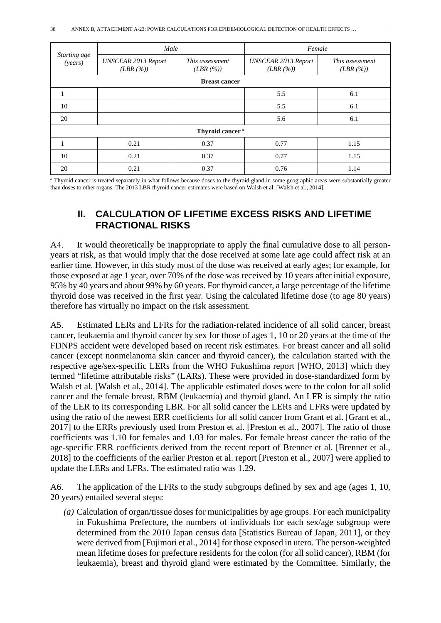|                         | Male                                  |                             | Female                                |                            |  |  |
|-------------------------|---------------------------------------|-----------------------------|---------------------------------------|----------------------------|--|--|
| Starting age<br>(years) | <b>UNSCEAR 2013 Report</b><br>(LBR(%) | This assessment<br>(LBR(%)  | <b>UNSCEAR 2013 Report</b><br>(LBR(%) | This assessment<br>(LBR(%) |  |  |
|                         |                                       | <b>Breast cancer</b>        |                                       |                            |  |  |
|                         |                                       |                             | 5.5                                   | 6.1                        |  |  |
| 10                      |                                       |                             | 5.5                                   | 6.1                        |  |  |
| 20                      |                                       |                             | 5.6                                   | 6.1                        |  |  |
|                         |                                       | Thyroid cancer <sup>a</sup> |                                       |                            |  |  |
|                         | 0.21                                  | 0.37                        | 0.77                                  | 1.15                       |  |  |
| 10                      | 0.21                                  | 0.37                        | 0.77                                  | 1.15                       |  |  |
| 20                      | 0.21                                  | 0.37                        | 0.76                                  | 1.14                       |  |  |

*<sup>a</sup>* Thyroid cancer is treated separately in what follows because doses to the thyroid gland in some geographic areas were substantially greater than doses to other organs. The 2013 LBR thyroid cancer estimates were based on Walsh et al. [Walsh et al., 2014].

## **II. CALCULATION OF LIFETIME EXCESS RISKS AND LIFETIME FRACTIONAL RISKS**

A4. It would theoretically be inappropriate to apply the final cumulative dose to all personyears at risk, as that would imply that the dose received at some late age could affect risk at an earlier time. However, in this study most of the dose was received at early ages; for example, for those exposed at age 1 year, over 70% of the dose was received by 10 years after initial exposure, 95% by 40 years and about 99% by 60 years. For thyroid cancer, a large percentage of the lifetime thyroid dose was received in the first year. Using the calculated lifetime dose (to age 80 years) therefore has virtually no impact on the risk assessment.

A5. Estimated LERs and LFRs for the radiation-related incidence of all solid cancer, breast cancer, leukaemia and thyroid cancer by sex for those of ages 1, 10 or 20 years at the time of the FDNPS accident were developed based on recent risk estimates. For breast cancer and all solid cancer (except nonmelanoma skin cancer and thyroid cancer), the calculation started with the respective age/sex-specific LERs from the WHO Fukushima report [WHO, 2013] which they termed "lifetime attributable risks" (LARs). These were provided in dose-standardized form by Walsh et al. [Walsh et al., 2014]. The applicable estimated doses were to the colon for all solid cancer and the female breast, RBM (leukaemia) and thyroid gland. An LFR is simply the ratio of the LER to its corresponding LBR. For all solid cancer the LERs and LFRs were updated by using the ratio of the newest ERR coefficients for all solid cancer from Grant et al. [Grant et al., 2017] to the ERRs previously used from Preston et al. [Preston et al., 2007]. The ratio of those coefficients was 1.10 for females and 1.03 for males. For female breast cancer the ratio of the age-specific ERR coefficients derived from the recent report of Brenner et al. [Brenner et al., 2018] to the coefficients of the earlier Preston et al. report [Preston et al., 2007] were applied to update the LERs and LFRs. The estimated ratio was 1.29.

A6. The application of the LFRs to the study subgroups defined by sex and age (ages 1, 10, 20 years) entailed several steps:

*(a)* Calculation of organ/tissue doses for municipalities by age groups. For each municipality in Fukushima Prefecture, the numbers of individuals for each sex/age subgroup were determined from the 2010 Japan census data [Statistics Bureau of Japan, 2011], or they were derived from [Fujimori et al., 2014] for those exposed in utero. The person-weighted mean lifetime doses for prefecture residents for the colon (for all solid cancer), RBM (for leukaemia), breast and thyroid gland were estimated by the Committee. Similarly, the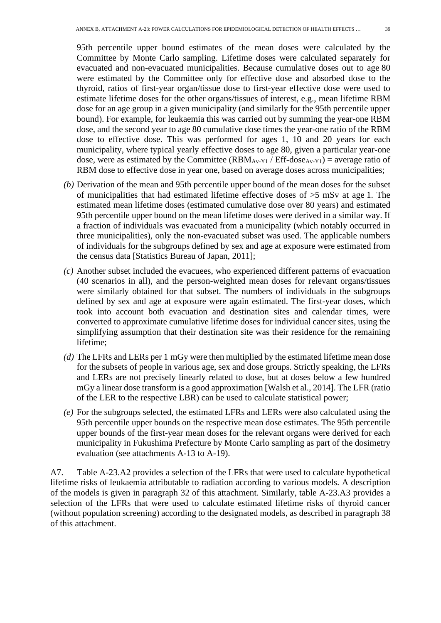95th percentile upper bound estimates of the mean doses were calculated by the Committee by Monte Carlo sampling. Lifetime doses were calculated separately for evacuated and non-evacuated municipalities. Because cumulative doses out to age 80 were estimated by the Committee only for effective dose and absorbed dose to the thyroid, ratios of first-year organ/tissue dose to first-year effective dose were used to estimate lifetime doses for the other organs/tissues of interest, e.g., mean lifetime RBM dose for an age group in a given municipality (and similarly for the 95th percentile upper bound). For example, for leukaemia this was carried out by summing the year-one RBM dose, and the second year to age 80 cumulative dose times the year-one ratio of the RBM dose to effective dose. This was performed for ages 1, 10 and 20 years for each municipality, where typical yearly effective doses to age 80, given a particular year-one dose, were as estimated by the Committee  $(RBM_{Av-Y1} / Eff\text{-}dose_{Av-Y1}) = \text{average ratio of}$ RBM dose to effective dose in year one, based on average doses across municipalities;

- *(b)* Derivation of the mean and 95th percentile upper bound of the mean doses for the subset of municipalities that had estimated lifetime effective doses of >5 mSv at age 1. The estimated mean lifetime doses (estimated cumulative dose over 80 years) and estimated 95th percentile upper bound on the mean lifetime doses were derived in a similar way. If a fraction of individuals was evacuated from a municipality (which notably occurred in three municipalities), only the non-evacuated subset was used. The applicable numbers of individuals for the subgroups defined by sex and age at exposure were estimated from the census data [Statistics Bureau of Japan, 2011];
- *(c)* Another subset included the evacuees, who experienced different patterns of evacuation (40 scenarios in all), and the person-weighted mean doses for relevant organs/tissues were similarly obtained for that subset. The numbers of individuals in the subgroups defined by sex and age at exposure were again estimated. The first-year doses, which took into account both evacuation and destination sites and calendar times, were converted to approximate cumulative lifetime doses for individual cancer sites, using the simplifying assumption that their destination site was their residence for the remaining lifetime;
- *(d)* The LFRs and LERs per 1 mGy were then multiplied by the estimated lifetime mean dose for the subsets of people in various age, sex and dose groups. Strictly speaking, the LFRs and LERs are not precisely linearly related to dose, but at doses below a few hundred mGy a linear dose transform is a good approximation [Walsh et al., 2014]. The LFR (ratio of the LER to the respective LBR) can be used to calculate statistical power;
- *(e)* For the subgroups selected, the estimated LFRs and LERs were also calculated using the 95th percentile upper bounds on the respective mean dose estimates. The 95th percentile upper bounds of the first-year mean doses for the relevant organs were derived for each municipality in Fukushima Prefecture by Monte Carlo sampling as part of the dosimetry evaluation (see attachments A-13 to A-19).

A7. Table A-23.A2 provides a selection of the LFRs that were used to calculate hypothetical lifetime risks of leukaemia attributable to radiation according to various models. A description of the models is given in paragraph 32 of this attachment. Similarly, table A-23.A3 provides a selection of the LFRs that were used to calculate estimated lifetime risks of thyroid cancer (without population screening) according to the designated models, as described in paragraph 38 of this attachment.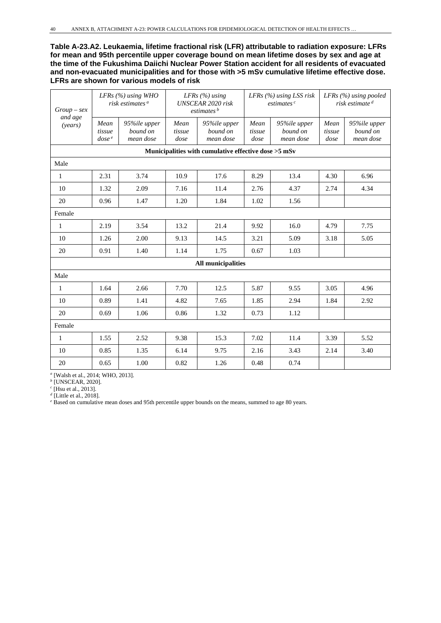**Table A-23.A2. Leukaemia, lifetime fractional risk (LFR) attributable to radiation exposure: LFRs for mean and 95th percentile upper coverage bound on mean lifetime doses by sex and age at the time of the Fukushima Daiichi Nuclear Power Station accident for all residents of evacuated and non-evacuated municipalities and for those with >5 mSv cumulative lifetime effective dose. LFRs are shown for various models of risk**

| $Group$ - sex      |                                     | LFRs $(%)$ using WHO<br>risk estimates <sup>a</sup> |                        | LFRs $(\%)$ using<br><b>UNSCEAR 2020 risk</b><br>estimates <sup>b</sup> |                        | LFRs $(%)$ using LSS risk<br>estimates <sup>c</sup> | LFRs $(\%)$ using pooled<br>risk estimate <sup>d</sup> |                                       |
|--------------------|-------------------------------------|-----------------------------------------------------|------------------------|-------------------------------------------------------------------------|------------------------|-----------------------------------------------------|--------------------------------------------------------|---------------------------------------|
| and age<br>(years) | Mean<br>tissue<br>dose <sup>e</sup> | 95%ile upper<br>bound on<br>mean dose               | Mean<br>tissue<br>dose | 95%ile upper<br>bound on<br>mean dose                                   | Mean<br>tissue<br>dose | 95%ile upper<br>bound on<br>mean dose               | Mean<br>tissue<br>dose                                 | 95%ile upper<br>bound on<br>mean dose |
|                    |                                     |                                                     |                        | Municipalities with cumulative effective dose >5 mSv                    |                        |                                                     |                                                        |                                       |
| Male               |                                     |                                                     |                        |                                                                         |                        |                                                     |                                                        |                                       |
| $\mathbf{1}$       | 2.31                                | 3.74                                                | 10.9                   | 17.6                                                                    | 8.29                   | 13.4                                                | 4.30                                                   | 6.96                                  |
| 10                 | 1.32                                | 2.09                                                | 7.16                   | 11.4                                                                    | 2.76                   | 4.37                                                | 2.74                                                   | 4.34                                  |
| 20                 | 0.96                                | 1.47                                                | 1.20                   | 1.84                                                                    | 1.02                   | 1.56                                                |                                                        |                                       |
| Female             |                                     |                                                     |                        |                                                                         |                        |                                                     |                                                        |                                       |
| $\mathbf{1}$       | 2.19                                | 3.54                                                | 13.2                   | 21.4                                                                    | 9.92                   | 16.0                                                | 4.79                                                   | 7.75                                  |
| 10                 | 1.26                                | 2.00                                                | 9.13                   | 14.5                                                                    | 3.21                   | 5.09                                                | 3.18                                                   | 5.05                                  |
| 20                 | 0.91                                | 1.40                                                | 1.14                   | 1.75                                                                    | 0.67                   | 1.03                                                |                                                        |                                       |
|                    |                                     |                                                     |                        | All municipalities                                                      |                        |                                                     |                                                        |                                       |
| Male               |                                     |                                                     |                        |                                                                         |                        |                                                     |                                                        |                                       |
| $\mathbf{1}$       | 1.64                                | 2.66                                                | 7.70                   | 12.5                                                                    | 5.87                   | 9.55                                                | 3.05                                                   | 4.96                                  |
| 10                 | 0.89                                | 1.41                                                | 4.82                   | 7.65                                                                    | 1.85                   | 2.94                                                | 1.84                                                   | 2.92                                  |
| 20                 | 0.69                                | 1.06                                                | 0.86                   | 1.32                                                                    | 0.73                   | 1.12                                                |                                                        |                                       |
| Female             |                                     |                                                     |                        |                                                                         |                        |                                                     |                                                        |                                       |
| $\mathbf{1}$       | 1.55                                | 2.52                                                | 9.38                   | 15.3                                                                    | 7.02                   | 11.4                                                | 3.39                                                   | 5.52                                  |
| 10                 | 0.85                                | 1.35                                                | 6.14                   | 9.75                                                                    | 2.16                   | 3.43                                                | 2.14                                                   | 3.40                                  |
| 20                 | 0.65                                | 1.00                                                | 0.82                   | 1.26                                                                    | 0.48                   | 0.74                                                |                                                        |                                       |

*<sup>a</sup>* [Walsh et al., 2014; WHO, 2013].

*<sup>b</sup>* [UNSCEAR, 2020].

*<sup>c</sup>* [Hsu et al., 2013].

*<sup>d</sup>* [Little et al., 2018].

<sup>*e*</sup> Based on cumulative mean doses and 95th percentile upper bounds on the means, summed to age 80 years.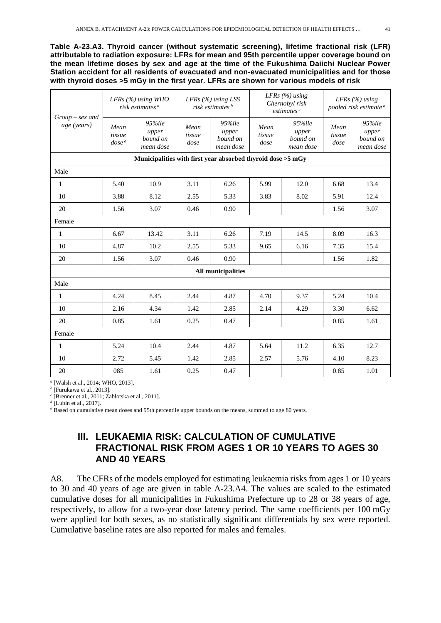**Table A-23.A3. Thyroid cancer (without systematic screening), lifetime fractional risk (LFR) attributable to radiation exposure: LFRs for mean and 95th percentile upper coverage bound on the mean lifetime doses by sex and age at the time of the Fukushima Daiichi Nuclear Power Station accident for all residents of evacuated and non-evacuated municipalities and for those with thyroid doses >5 mGy in the first year. LFRs are shown for various models of risk**

|                                  |                              | LFRs $(%)$ using WHO<br>risk estimates <sup>a</sup>         |                        | LFRs $(%)$ using LSS<br>risk estimates <sup>b</sup> |                        | LFRs $(\%)$ using<br>Chernobyl risk<br>estimates <sup>c</sup> | LFRs $(\%)$ using<br>pooled risk estimate <sup>d</sup> |                                          |  |
|----------------------------------|------------------------------|-------------------------------------------------------------|------------------------|-----------------------------------------------------|------------------------|---------------------------------------------------------------|--------------------------------------------------------|------------------------------------------|--|
| $Group$ – sex and<br>age (years) | Mean<br>tissue<br>$\cos e^e$ | 95%ile<br>upper<br>bound on<br>mean dose                    | Mean<br>tissue<br>dose | 95%ile<br>upper<br>bound on<br>mean dose            | Mean<br>tissue<br>dose | 95%ile<br>upper<br>bound on<br>mean dose                      | Mean<br>tissue<br>$\frac{dose}{dt}$                    | 95%ile<br>upper<br>bound on<br>mean dose |  |
|                                  |                              | Municipalities with first year absorbed thyroid dose >5 mGy |                        |                                                     |                        |                                                               |                                                        |                                          |  |
| Male                             |                              |                                                             |                        |                                                     |                        |                                                               |                                                        |                                          |  |
| 1                                | 5.40                         | 10.9                                                        | 3.11                   | 6.26                                                | 5.99                   | 12.0                                                          | 6.68                                                   | 13.4                                     |  |
| 10                               | 3.88                         | 8.12                                                        | 2.55                   | 5.33                                                | 3.83                   | 8.02                                                          | 5.91                                                   | 12.4                                     |  |
| 20                               | 1.56                         | 3.07                                                        | 0.46                   | 0.90                                                |                        |                                                               | 1.56                                                   | 3.07                                     |  |
| Female                           |                              |                                                             |                        |                                                     |                        |                                                               |                                                        |                                          |  |
| 1                                | 6.67                         | 13.42                                                       | 3.11                   | 6.26                                                | 7.19                   | 14.5                                                          | 8.09                                                   | 16.3                                     |  |
| 10                               | 4.87                         | 10.2                                                        | 2.55                   | 5.33                                                | 9.65                   | 6.16                                                          | 7.35                                                   | 15.4                                     |  |
| 20                               | 1.56                         | 3.07                                                        | 0.46                   | 0.90                                                |                        |                                                               | 1.56                                                   | 1.82                                     |  |
|                                  |                              |                                                             |                        | <b>All municipalities</b>                           |                        |                                                               |                                                        |                                          |  |
| Male                             |                              |                                                             |                        |                                                     |                        |                                                               |                                                        |                                          |  |
| $\mathbf{1}$                     | 4.24                         | 8.45                                                        | 2.44                   | 4.87                                                | 4.70                   | 9.37                                                          | 5.24                                                   | 10.4                                     |  |
| 10                               | 2.16                         | 4.34                                                        | 1.42                   | 2.85                                                | 2.14                   | 4.29                                                          | 3.30                                                   | 6.62                                     |  |
| 20                               | 0.85                         | 1.61                                                        | 0.25                   | 0.47                                                |                        |                                                               | 0.85                                                   | 1.61                                     |  |
| Female                           |                              |                                                             |                        |                                                     |                        |                                                               |                                                        |                                          |  |
| $\mathbf{1}$                     | 5.24                         | 10.4                                                        | 2.44                   | 4.87                                                | 5.64                   | 11.2                                                          | 6.35                                                   | 12.7                                     |  |
| 10                               | 2.72                         | 5.45                                                        | 1.42                   | 2.85                                                | 2.57                   | 5.76                                                          | 4.10                                                   | 8.23                                     |  |
| 20                               | 085                          | 1.61                                                        | 0.25                   | 0.47                                                |                        |                                                               | 0.85                                                   | 1.01                                     |  |

*<sup>a</sup>* [Walsh et al., 2014; WHO, 2013].

*<sup>b</sup>* [Furukawa et al., 2013]. *<sup>c</sup>* [Brenner et al., 2011; Zablotska et al., 2011].

*<sup>d</sup>* [Lubin et al., 2017].

*<sup>e</sup>* Based on cumulative mean doses and 95th percentile upper bounds on the means, summed to age 80 years.

## **III. LEUKAEMIA RISK: CALCULATION OF CUMULATIVE FRACTIONAL RISK FROM AGES 1 OR 10 YEARS TO AGES 30 AND 40 YEARS**

A8. The CFRs of the models employed for estimating leukaemia risks from ages 1 or 10 years to 30 and 40 years of age are given in table A-23.A4. The values are scaled to the estimated cumulative doses for all municipalities in Fukushima Prefecture up to 28 or 38 years of age, respectively, to allow for a two-year dose latency period. The same coefficients per 100 mGy were applied for both sexes, as no statistically significant differentials by sex were reported. Cumulative baseline rates are also reported for males and females.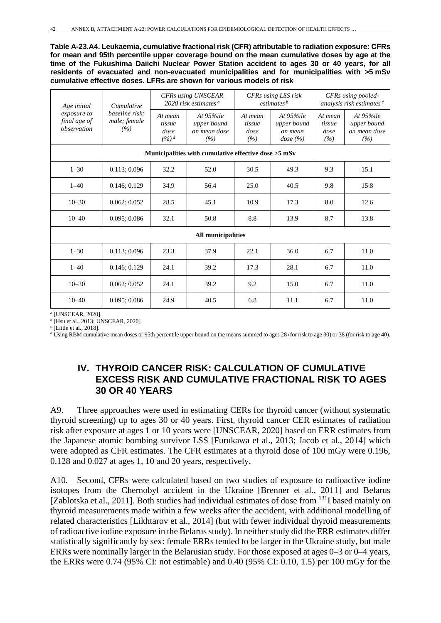**Table A-23.A4. Leukaemia, cumulative fractional risk (CFR) attributable to radiation exposure: CFRs for mean and 95th percentile upper coverage bound on the mean cumulative doses by age at the time of the Fukushima Daiichi Nuclear Power Station accident to ages 30 or 40 years, for all residents of evacuated and non-evacuated municipalities and for municipalities with >5 mSv cumulative effective doses. LFRs are shown for various models of risk**

| Age initial                                          | Cumulative                            |                                      | <b>CFRs</b> using UNSCEAR<br>2020 risk estimates $a$ |                                  | CFRs using LSS risk<br>estimates <sup>b</sup>          | CFRs using pooled-<br>analysis risk estimates <sup>c</sup> |                                                     |  |  |  |  |  |  |
|------------------------------------------------------|---------------------------------------|--------------------------------------|------------------------------------------------------|----------------------------------|--------------------------------------------------------|------------------------------------------------------------|-----------------------------------------------------|--|--|--|--|--|--|
| exposure to<br>final age of<br>observation           | baseline risk:<br>male; female<br>(%) | At mean<br>tissue<br>dose<br>$(%)^d$ | At $95\%$ ile<br>upper bound<br>on mean dose<br>(%)  | At mean<br>tissue<br>dose<br>(%) | At $95\%$ ile<br>upper bound<br>on mean<br>dose $(\%)$ | At mean<br>tissue<br>dose<br>(%)                           | At $95\%$ ile<br>upper bound<br>on mean dose<br>(%) |  |  |  |  |  |  |
| Municipalities with cumulative effective dose >5 mSv |                                       |                                      |                                                      |                                  |                                                        |                                                            |                                                     |  |  |  |  |  |  |
| $1 - 30$                                             | 0.113; 0.096                          | 32.2                                 | 52.0                                                 | 30.5                             | 49.3                                                   | 9.3                                                        | 15.1                                                |  |  |  |  |  |  |
| $1 - 40$                                             | 0.146:0.129                           | 34.9                                 | 56.4                                                 | 25.0                             | 40.5                                                   | 9.8                                                        | 15.8                                                |  |  |  |  |  |  |
| $10 - 30$                                            | 0.062; 0.052                          | 28.5                                 | 45.1                                                 | 10.9                             | 17.3                                                   | 8.0                                                        | 12.6                                                |  |  |  |  |  |  |
| $10 - 40$                                            | 0.095; 0.086                          | 32.1                                 | 50.8                                                 | 8.8                              | 13.9                                                   | 8.7                                                        | 13.8                                                |  |  |  |  |  |  |
|                                                      |                                       |                                      | All municipalities                                   |                                  |                                                        |                                                            |                                                     |  |  |  |  |  |  |
| $1 - 30$                                             | 0.113; 0.096                          | 23.3                                 | 37.9                                                 | 22.1                             | 36.0                                                   | 6.7                                                        | 11.0                                                |  |  |  |  |  |  |
| $1 - 40$                                             | 0.146; 0.129                          | 24.1                                 | 39.2                                                 | 17.3                             | 28.1                                                   | 6.7                                                        | 11.0                                                |  |  |  |  |  |  |
| $10 - 30$                                            | 0.062; 0.052                          | 24.1                                 | 39.2                                                 | 9.2                              | 15.0                                                   | 6.7                                                        | 11.0                                                |  |  |  |  |  |  |
| $10 - 40$                                            | 0.095; 0.086                          | 24.9                                 | 40.5                                                 | 6.8                              | 11.1                                                   | 6.7                                                        | 11.0                                                |  |  |  |  |  |  |

*<sup>a</sup>* [UNSCEAR, 2020].

*<sup>b</sup>* [Hsu et al., 2013; UNSCEAR, 2020].

*<sup>c</sup>* [Little et al., 2018].

*<sup>d</sup>* Using RBM cumulative mean doses or 95th percentile upper bound on the means summed to ages 28 (for risk to age 30) or 38 (for risk to age 40).

## **IV. THYROID CANCER RISK: CALCULATION OF CUMULATIVE EXCESS RISK AND CUMULATIVE FRACTIONAL RISK TO AGES 30 OR 40 YEARS**

A9. Three approaches were used in estimating CERs for thyroid cancer (without systematic thyroid screening) up to ages 30 or 40 years. First, thyroid cancer CER estimates of radiation risk after exposure at ages 1 or 10 years were [UNSCEAR, 2020] based on ERR estimates from the Japanese atomic bombing survivor LSS [Furukawa et al., 2013; Jacob et al., 2014] which were adopted as CFR estimates. The CFR estimates at a thyroid dose of 100 mGy were 0.196, 0.128 and 0.027 at ages 1, 10 and 20 years, respectively.

A10. Second, CFRs were calculated based on two studies of exposure to radioactive iodine isotopes from the Chernobyl accident in the Ukraine [Brenner et al., 2011] and Belarus [Zablotska et al., 2011]. Both studies had individual estimates of dose from <sup>131</sup>I based mainly on thyroid measurements made within a few weeks after the accident, with additional modelling of related characteristics [Likhtarov et al., 2014] (but with fewer individual thyroid measurements of radioactive iodine exposure in the Belarus study). In neither study did the ERR estimates differ statistically significantly by sex: female ERRs tended to be larger in the Ukraine study, but male ERRs were nominally larger in the Belarusian study. For those exposed at ages 0–3 or 0–4 years, the ERRs were 0.74 (95% CI: not estimable) and 0.40 (95% CI: 0.10, 1.5) per 100 mGy for the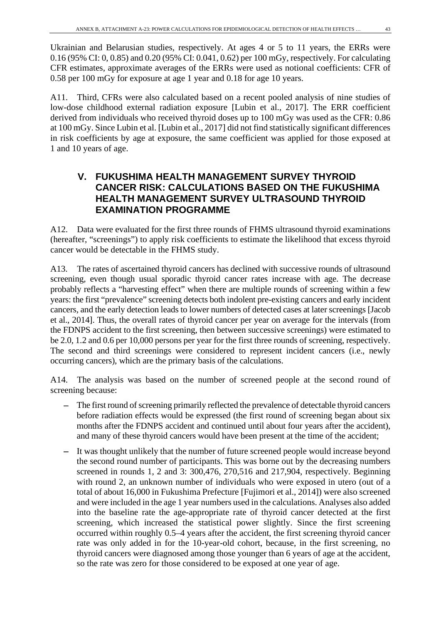Ukrainian and Belarusian studies, respectively. At ages 4 or 5 to 11 years, the ERRs were 0.16 (95% CI: 0, 0.85) and 0.20 (95% CI: 0.041, 0.62) per 100 mGy, respectively. For calculating CFR estimates, approximate averages of the ERRs were used as notional coefficients: CFR of 0.58 per 100 mGy for exposure at age 1 year and 0.18 for age 10 years.

A11. Third, CFRs were also calculated based on a recent pooled analysis of nine studies of low-dose childhood external radiation exposure [Lubin et al., 2017]. The ERR coefficient derived from individuals who received thyroid doses up to 100 mGy was used as the CFR: 0.86 at 100 mGy. Since Lubin et al. [Lubin et al., 2017] did not find statistically significant differences in risk coefficients by age at exposure, the same coefficient was applied for those exposed at 1 and 10 years of age.

## **V. FUKUSHIMA HEALTH MANAGEMENT SURVEY THYROID CANCER RISK: CALCULATIONS BASED ON THE FUKUSHIMA HEALTH MANAGEMENT SURVEY ULTRASOUND THYROID EXAMINATION PROGRAMME**

A12. Data were evaluated for the first three rounds of FHMS ultrasound thyroid examinations (hereafter, "screenings") to apply risk coefficients to estimate the likelihood that excess thyroid cancer would be detectable in the FHMS study.

A13. The rates of ascertained thyroid cancers has declined with successive rounds of ultrasound screening, even though usual sporadic thyroid cancer rates increase with age. The decrease probably reflects a "harvesting effect" when there are multiple rounds of screening within a few years: the first "prevalence" screening detects both indolent pre-existing cancers and early incident cancers, and the early detection leads to lower numbers of detected cases at later screenings [Jacob et al., 2014]. Thus, the overall rates of thyroid cancer per year on average for the intervals (from the FDNPS accident to the first screening, then between successive screenings) were estimated to be 2.0, 1.2 and 0.6 per 10,000 persons per year for the first three rounds of screening, respectively. The second and third screenings were considered to represent incident cancers (i.e., newly occurring cancers), which are the primary basis of the calculations.

A14. The analysis was based on the number of screened people at the second round of screening because:

- The first round of screening primarily reflected the prevalence of detectable thyroid cancers before radiation effects would be expressed (the first round of screening began about six months after the FDNPS accident and continued until about four years after the accident), and many of these thyroid cancers would have been present at the time of the accident;
- It was thought unlikely that the number of future screened people would increase beyond the second round number of participants. This was borne out by the decreasing numbers screened in rounds 1, 2 and 3: 300,476, 270,516 and 217,904, respectively. Beginning with round 2, an unknown number of individuals who were exposed in utero (out of a total of about 16,000 in Fukushima Prefecture [Fujimori et al., 2014]) were also screened and were included in the age 1 year numbers used in the calculations. Analyses also added into the baseline rate the age-appropriate rate of thyroid cancer detected at the first screening, which increased the statistical power slightly. Since the first screening occurred within roughly 0.5–4 years after the accident, the first screening thyroid cancer rate was only added in for the 10-year-old cohort, because, in the first screening, no thyroid cancers were diagnosed among those younger than 6 years of age at the accident, so the rate was zero for those considered to be exposed at one year of age.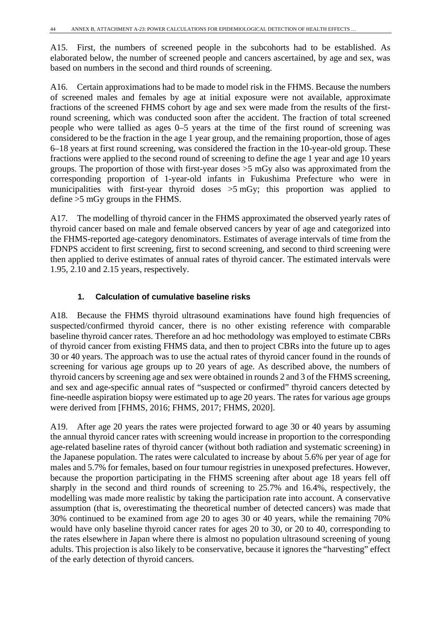A15. First, the numbers of screened people in the subcohorts had to be established. As elaborated below, the number of screened people and cancers ascertained, by age and sex, was based on numbers in the second and third rounds of screening.

A16. Certain approximations had to be made to model risk in the FHMS. Because the numbers of screened males and females by age at initial exposure were not available, approximate fractions of the screened FHMS cohort by age and sex were made from the results of the firstround screening, which was conducted soon after the accident. The fraction of total screened people who were tallied as ages 0–5 years at the time of the first round of screening was considered to be the fraction in the age 1 year group, and the remaining proportion, those of ages 6–18 years at first round screening, was considered the fraction in the 10-year-old group. These fractions were applied to the second round of screening to define the age 1 year and age 10 years groups. The proportion of those with first-year doses >5 mGy also was approximated from the corresponding proportion of 1-year-old infants in Fukushima Prefecture who were in municipalities with first-year thyroid doses >5 mGy; this proportion was applied to define >5 mGy groups in the FHMS.

A17. The modelling of thyroid cancer in the FHMS approximated the observed yearly rates of thyroid cancer based on male and female observed cancers by year of age and categorized into the FHMS-reported age-category denominators. Estimates of average intervals of time from the FDNPS accident to first screening, first to second screening, and second to third screening were then applied to derive estimates of annual rates of thyroid cancer. The estimated intervals were 1.95, 2.10 and 2.15 years, respectively.

### **1. Calculation of cumulative baseline risks**

A18. Because the FHMS thyroid ultrasound examinations have found high frequencies of suspected/confirmed thyroid cancer, there is no other existing reference with comparable baseline thyroid cancer rates. Therefore an ad hoc methodology was employed to estimate CBRs of thyroid cancer from existing FHMS data, and then to project CBRs into the future up to ages 30 or 40 years. The approach was to use the actual rates of thyroid cancer found in the rounds of screening for various age groups up to 20 years of age. As described above, the numbers of thyroid cancers by screening age and sex were obtained in rounds 2 and 3 of the FHMS screening, and sex and age-specific annual rates of "suspected or confirmed" thyroid cancers detected by fine-needle aspiration biopsy were estimated up to age 20 years. The rates for various age groups were derived from [FHMS, 2016; FHMS, 2017; FHMS, 2020].

A19. After age 20 years the rates were projected forward to age 30 or 40 years by assuming the annual thyroid cancer rates with screening would increase in proportion to the corresponding age-related baseline rates of thyroid cancer (without both radiation and systematic screening) in the Japanese population. The rates were calculated to increase by about 5.6% per year of age for males and 5.7% for females, based on four tumour registries in unexposed prefectures. However, because the proportion participating in the FHMS screening after about age 18 years fell off sharply in the second and third rounds of screening to 25.7% and 16.4%, respectively, the modelling was made more realistic by taking the participation rate into account. A conservative assumption (that is, overestimating the theoretical number of detected cancers) was made that 30% continued to be examined from age 20 to ages 30 or 40 years, while the remaining 70% would have only baseline thyroid cancer rates for ages 20 to 30, or 20 to 40, corresponding to the rates elsewhere in Japan where there is almost no population ultrasound screening of young adults. This projection is also likely to be conservative, because it ignores the "harvesting" effect of the early detection of thyroid cancers.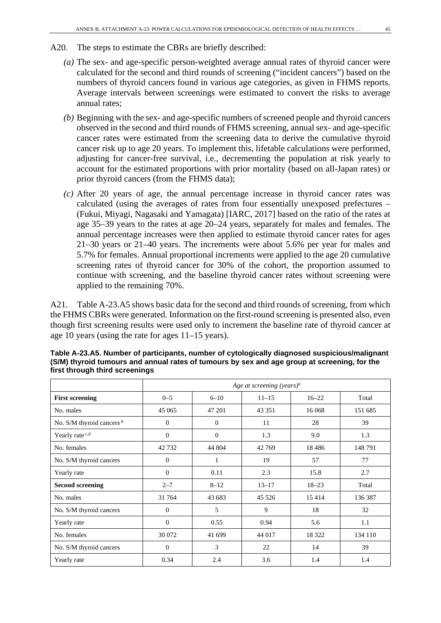- A20. The steps to estimate the CBRs are briefly described:
	- *(a)* The sex- and age-specific person-weighted average annual rates of thyroid cancer were calculated for the second and third rounds of screening ("incident cancers") based on the numbers of thyroid cancers found in various age categories, as given in FHMS reports. Average intervals between screenings were estimated to convert the risks to average annual rates;
	- *(b)* Beginning with the sex- and age-specific numbers of screened people and thyroid cancers observed in the second and third rounds of FHMS screening, annual sex- and age-specific cancer rates were estimated from the screening data to derive the cumulative thyroid cancer risk up to age 20 years. To implement this, lifetable calculations were performed, adjusting for cancer-free survival, i.e., decrementing the population at risk yearly to account for the estimated proportions with prior mortality (based on all-Japan rates) or prior thyroid cancers (from the FHMS data);
	- *(c)* After 20 years of age, the annual percentage increase in thyroid cancer rates was calculated (using the averages of rates from four essentially unexposed prefectures – (Fukui, Miyagi, Nagasaki and Yamagata) [IARC, 2017] based on the ratio of the rates at age 35–39 years to the rates at age 20–24 years, separately for males and females. The annual percentage increases were then applied to estimate thyroid cancer rates for ages 21–30 years or 21–40 years. The increments were about 5.6% per year for males and 5.7% for females. Annual proportional increments were applied to the age 20 cumulative screening rates of thyroid cancer for 30% of the cohort, the proportion assumed to continue with screening, and the baseline thyroid cancer rates without screening were applied to the remaining 70%.

A21. Table A-23.A5 shows basic data for the second and third rounds of screening, from which the FHMS CBRs were generated. Information on the first-round screening is presented also, even though first screening results were used only to increment the baseline rate of thyroid cancer at age 10 years (using the rate for ages 11–15 years).

|                             |                |              | Age at screening (years) <sup>a</sup> |           |         |
|-----------------------------|----------------|--------------|---------------------------------------|-----------|---------|
| <b>First screening</b>      | $0 - 5$        | $6 - 10$     | $11 - 15$                             | $16 - 22$ | Total   |
| No. males                   | 45 065         | 47 201       | 43 351                                | 16 068    | 151 685 |
| No. S/M thyroid cancers $b$ | $\Omega$       | $\Omega$     | 11                                    | 28        | 39      |
| Yearly rate $c,d$           | $\Omega$       | $\mathbf{0}$ | 1.3                                   | 9.0       | 1.3     |
| No. females                 | 42732          | 44 804       | 42 769                                | 18486     | 148791  |
| No. S/M thyroid cancers     | $\Omega$       | 1            | 19                                    | 57        | 77      |
| Yearly rate                 | $\Omega$       | 0.11         | 2.3                                   | 15.8      | 2.7     |
| <b>Second screening</b>     | $2 - 7$        | $8 - 12$     | $13 - 17$                             | $18 - 23$ | Total   |
| No. males                   | 31 764         | 43 683       | 45 5 26                               | 15414     | 136 387 |
| No. S/M thyroid cancers     | $\Omega$       | 5            | 9                                     | 18        | 32      |
| Yearly rate                 | $\Omega$       | 0.55         | 0.94                                  | 5.6       | 1.1     |
| No. females                 | 30 072         | 41 699       | 44 017                                | 18 3 22   | 134 110 |
| No. S/M thyroid cancers     | $\overline{0}$ | 3            | 22                                    | 14        | 39      |
| Yearly rate                 | 0.34           | 2.4          | 3.6                                   | 1.4       | 1.4     |

**Table A-23.A5. Number of participants, number of cytologically diagnosed suspicious/malignant (S/M) thyroid tumours and annual rates of tumours by sex and age group at screening, for the first through third screenings**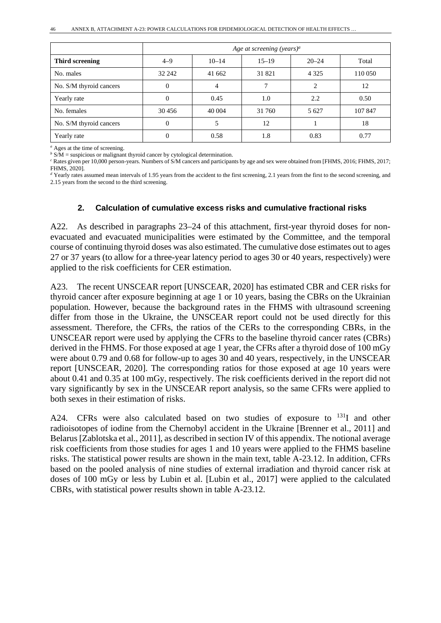|                         |          |           | Age at screening (years) <sup>a</sup> |           |         |
|-------------------------|----------|-----------|---------------------------------------|-----------|---------|
| Third screening         | $4 - 9$  | $10 - 14$ | $15 - 19$                             | $20 - 24$ | Total   |
| No. males               | 32 242   | 41 662    | 31 821                                | 4 3 2 5   | 110 050 |
| No. S/M thyroid cancers | $\theta$ | 4         |                                       | 2         | 12      |
| Yearly rate             |          | 0.45      | 1.0                                   | 2.2       | 0.50    |
| No. females             | 30 45 6  | 40 004    | 31 760                                | 5 6 27    | 107847  |
| No. S/M thyroid cancers | 0        | 5         | 12                                    |           | 18      |
| Yearly rate             |          | 0.58      | 1.8                                   | 0.83      | 0.77    |

*<sup>a</sup>* Ages at the time of screening.

*b* S/M = suspicious or malignant thyroid cancer by cytological determination.

*<sup>c</sup>* Rates given per 10,000 person-years. Numbers of S/M cancers and participants by age and sex were obtained from [FHMS, 2016; FHMS, 2017; FHMS, 2020].

*<sup>d</sup>* Yearly rates assumed mean intervals of 1.95 years from the accident to the first screening, 2.1 years from the first to the second screening, and 2.15 years from the second to the third screening.

#### **2. Calculation of cumulative excess risks and cumulative fractional risks**

A22. As described in paragraphs 23–24 of this attachment, first-year thyroid doses for nonevacuated and evacuated municipalities were estimated by the Committee, and the temporal course of continuing thyroid doses was also estimated. The cumulative dose estimates out to ages 27 or 37 years (to allow for a three-year latency period to ages 30 or 40 years, respectively) were applied to the risk coefficients for CER estimation.

A23. The recent UNSCEAR report [UNSCEAR, 2020] has estimated CBR and CER risks for thyroid cancer after exposure beginning at age 1 or 10 years, basing the CBRs on the Ukrainian population. However, because the background rates in the FHMS with ultrasound screening differ from those in the Ukraine, the UNSCEAR report could not be used directly for this assessment. Therefore, the CFRs, the ratios of the CERs to the corresponding CBRs, in the UNSCEAR report were used by applying the CFRs to the baseline thyroid cancer rates (CBRs) derived in the FHMS. For those exposed at age 1 year, the CFRs after a thyroid dose of 100 mGy were about 0.79 and 0.68 for follow-up to ages 30 and 40 years, respectively, in the UNSCEAR report [UNSCEAR, 2020]. The corresponding ratios for those exposed at age 10 years were about 0.41 and 0.35 at 100 mGy, respectively. The risk coefficients derived in the report did not vary significantly by sex in the UNSCEAR report analysis, so the same CFRs were applied to both sexes in their estimation of risks.

A24. CFRs were also calculated based on two studies of exposure to <sup>131</sup>I and other radioisotopes of iodine from the Chernobyl accident in the Ukraine [Brenner et al., 2011] and Belarus [Zablotska et al., 2011], as described in section IV of this appendix. The notional average risk coefficients from those studies for ages 1 and 10 years were applied to the FHMS baseline risks. The statistical power results are shown in the main text, table A-23.12. In addition, CFRs based on the pooled analysis of nine studies of external irradiation and thyroid cancer risk at doses of 100 mGy or less by Lubin et al. [Lubin et al., 2017] were applied to the calculated CBRs, with statistical power results shown in table A-23.12.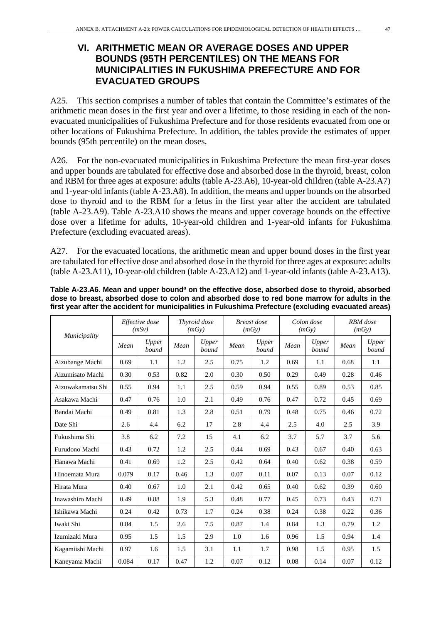## **VI. ARITHMETIC MEAN OR AVERAGE DOSES AND UPPER BOUNDS (95TH PERCENTILES) ON THE MEANS FOR MUNICIPALITIES IN FUKUSHIMA PREFECTURE AND FOR EVACUATED GROUPS**

A25. This section comprises a number of tables that contain the Committee's estimates of the arithmetic mean doses in the first year and over a lifetime, to those residing in each of the nonevacuated municipalities of Fukushima Prefecture and for those residents evacuated from one or other locations of Fukushima Prefecture. In addition, the tables provide the estimates of upper bounds (95th percentile) on the mean doses.

A26. For the non-evacuated municipalities in Fukushima Prefecture the mean first-year doses and upper bounds are tabulated for effective dose and absorbed dose in the thyroid, breast, colon and RBM for three ages at exposure: adults (table A-23.A6), 10-year-old children (table A-23.A7) and 1-year-old infants (table A-23.A8). In addition, the means and upper bounds on the absorbed dose to thyroid and to the RBM for a fetus in the first year after the accident are tabulated (table A-23.A9). Table A-23.A10 shows the means and upper coverage bounds on the effective dose over a lifetime for adults, 10-year-old children and 1-year-old infants for Fukushima Prefecture (excluding evacuated areas).

A27. For the evacuated locations, the arithmetic mean and upper bound doses in the first year are tabulated for effective dose and absorbed dose in the thyroid for three ages at exposure: adults (table A-23.A11), 10-year-old children (table A-23.A12) and 1-year-old infants (table A-23.A13).

|                   | Effective dose<br>(mSv) |                |      | Thyroid dose<br>(mGy) |      | <b>Breast</b> dose<br>(mGy) |      | Colon dose<br>(mGy) |      | <b>RBM</b> dose<br>(mGy) |  |
|-------------------|-------------------------|----------------|------|-----------------------|------|-----------------------------|------|---------------------|------|--------------------------|--|
| Municipality      | Mean                    | Upper<br>bound | Mean | Upper<br>bound        | Mean | Upper<br>bound              | Mean | Upper<br>bound      | Mean | Upper<br>bound           |  |
| Aizubange Machi   | 0.69                    | 1.1            | 1.2  | 2.5                   | 0.75 | 1.2                         | 0.69 | 1.1                 | 0.68 | 1.1                      |  |
| Aizumisato Machi  | 0.30                    | 0.53           | 0.82 | 2.0                   | 0.30 | 0.50                        | 0.29 | 0.49                | 0.28 | 0.46                     |  |
| Aizuwakamatsu Shi | 0.55                    | 0.94           | 1.1  | 2.5                   | 0.59 | 0.94                        | 0.55 | 0.89                | 0.53 | 0.85                     |  |
| Asakawa Machi     | 0.47                    | 0.76           | 1.0  | 2.1                   | 0.49 | 0.76                        | 0.47 | 0.72                | 0.45 | 0.69                     |  |
| Bandai Machi      | 0.49                    | 0.81           | 1.3  | 2.8                   | 0.51 | 0.79                        | 0.48 | 0.75                | 0.46 | 0.72                     |  |
| Date Shi          | 2.6                     | 4.4            | 6.2  | 17                    | 2.8  | 4.4                         | 2.5  | 4.0                 | 2.5  | 3.9                      |  |
| Fukushima Shi     | 3.8                     | 6.2            | 7.2  | 15                    | 4.1  | 6.2                         | 3.7  | 5.7                 | 3.7  | 5.6                      |  |
| Furudono Machi    | 0.43                    | 0.72           | 1.2  | 2.5                   | 0.44 | 0.69                        | 0.43 | 0.67                | 0.40 | 0.63                     |  |
| Hanawa Machi      | 0.41                    | 0.69           | 1.2  | 2.5                   | 0.42 | 0.64                        | 0.40 | 0.62                | 0.38 | 0.59                     |  |
| Hinoemata Mura    | 0.079                   | 0.17           | 0.46 | 1.3                   | 0.07 | 0.11                        | 0.07 | 0.13                | 0.07 | 0.12                     |  |
| Hirata Mura       | 0.40                    | 0.67           | 1.0  | 2.1                   | 0.42 | 0.65                        | 0.40 | 0.62                | 0.39 | 0.60                     |  |
| Inawashiro Machi  | 0.49                    | 0.88           | 1.9  | 5.3                   | 0.48 | 0.77                        | 0.45 | 0.73                | 0.43 | 0.71                     |  |
| Ishikawa Machi    | 0.24                    | 0.42           | 0.73 | 1.7                   | 0.24 | 0.38                        | 0.24 | 0.38                | 0.22 | 0.36                     |  |
| Iwaki Shi         | 0.84                    | 1.5            | 2.6  | 7.5                   | 0.87 | 1.4                         | 0.84 | 1.3                 | 0.79 | 1.2                      |  |
| Izumizaki Mura    | 0.95                    | 1.5            | 1.5  | 2.9                   | 1.0  | 1.6                         | 0.96 | 1.5                 | 0.94 | 1.4                      |  |
| Kagamiishi Machi  | 0.97                    | 1.6            | 1.5  | 3.1                   | 1.1  | 1.7                         | 0.98 | 1.5                 | 0.95 | 1.5                      |  |
| Kaneyama Machi    | 0.084                   | 0.17           | 0.47 | 1.2                   | 0.07 | 0.12                        | 0.08 | 0.14                | 0.07 | 0.12                     |  |

**Table A-23.A6. Mean and upper bound***<sup>a</sup>* **on the effective dose, absorbed dose to thyroid, absorbed dose to breast, absorbed dose to colon and absorbed dose to red bone marrow for adults in the first year after the accident for municipalities in Fukushima Prefecture (excluding evacuated areas)**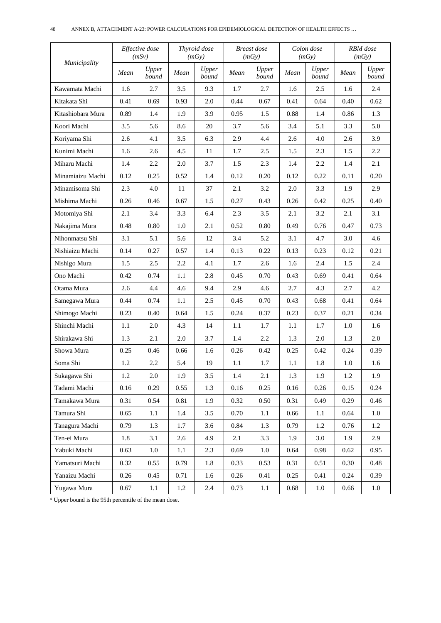|                   |      | Effective dose<br>(mSv) |      | Thyroid dose<br>(mGy) |         | Breast dose<br>(mGy) |      | Colon dose<br>(mGy) |          | RBM dose<br>(mGy) |  |
|-------------------|------|-------------------------|------|-----------------------|---------|----------------------|------|---------------------|----------|-------------------|--|
| Municipality      | Mean | Upper<br>bound          | Mean | Upper<br>bound        | Mean    | Upper<br>bound       | Mean | Upper<br>bound      | Mean     | Upper<br>bound    |  |
| Kawamata Machi    | 1.6  | 2.7                     | 3.5  | 9.3                   | 1.7     | 2.7                  | 1.6  | 2.5                 | 1.6      | 2.4               |  |
| Kitakata Shi      | 0.41 | 0.69                    | 0.93 | 2.0                   | 0.44    | 0.67                 | 0.41 | 0.64                | 0.40     | 0.62              |  |
| Kitashiobara Mura | 0.89 | 1.4                     | 1.9  | 3.9                   | 0.95    | 1.5                  | 0.88 | 1.4                 | 0.86     | 1.3               |  |
| Koori Machi       | 3.5  | 5.6                     | 8.6  | 20                    | 3.7     | 5.6                  | 3.4  | 5.1                 | 3.3      | 5.0               |  |
| Koriyama Shi      | 2.6  | 4.1                     | 3.5  | 6.3                   | 2.9     | 4.4                  | 2.6  | 4.0                 | 2.6      | 3.9               |  |
| Kunimi Machi      | 1.6  | 2.6                     | 4.5  | 11                    | 1.7     | 2.5                  | 1.5  | 2.3                 | 1.5      | 2.2               |  |
| Miharu Machi      | 1.4  | 2.2                     | 2.0  | 3.7                   | 1.5     | 2.3                  | 1.4  | 2.2                 | 1.4      | 2.1               |  |
| Minamiaizu Machi  | 0.12 | 0.25                    | 0.52 | 1.4                   | 0.12    | 0.20                 | 0.12 | 0.22                | 0.11     | 0.20              |  |
| Minamisoma Shi    | 2.3  | 4.0                     | 11   | 37                    | 2.1     | 3.2                  | 2.0  | 3.3                 | 1.9      | 2.9               |  |
| Mishima Machi     | 0.26 | 0.46                    | 0.67 | 1.5                   | 0.27    | 0.43                 | 0.26 | 0.42                | 0.25     | 0.40              |  |
| Motomiya Shi      | 2.1  | 3.4                     | 3.3  | 6.4                   | 2.3     | 3.5                  | 2.1  | 3.2                 | 2.1      | 3.1               |  |
| Nakajima Mura     | 0.48 | 0.80                    | 1.0  | 2.1                   | 0.52    | 0.80                 | 0.49 | 0.76                | 0.47     | 0.73              |  |
| Nihonmatsu Shi    | 3.1  | 5.1                     | 5.6  | 12                    | 3.4     | 5.2                  | 3.1  | 4.7                 | 3.0      | 4.6               |  |
| Nishiaizu Machi   | 0.14 | 0.27                    | 0.57 | 1.4                   | 0.13    | 0.22                 | 0.13 | 0.23                | 0.12     | 0.21              |  |
| Nishigo Mura      | 1.5  | 2.5                     | 2.2  | 4.1                   | 1.7     | 2.6                  | 1.6  | 2.4                 | 1.5      | 2.4               |  |
| Ono Machi         | 0.42 | 0.74                    | 1.1  | 2.8                   | 0.45    | 0.70                 | 0.43 | 0.69                | 0.41     | 0.64              |  |
| Otama Mura        | 2.6  | 4.4                     | 4.6  | 9.4                   | 2.9     | 4.6                  | 2.7  | 4.3                 | 2.7      | 4.2               |  |
| Samegawa Mura     | 0.44 | 0.74                    | 1.1  | 2.5                   | 0.45    | 0.70                 | 0.43 | 0.68                | 0.41     | 0.64              |  |
| Shimogo Machi     | 0.23 | 0.40                    | 0.64 | 1.5                   | 0.24    | 0.37                 | 0.23 | 0.37                | 0.21     | 0.34              |  |
| Shinchi Machi     | 1.1  | 2.0                     | 4.3  | 14                    | $1.1\,$ | 1.7                  | 1.1  | 1.7                 | 1.0      | 1.6               |  |
| Shirakawa Shi     | 1.3  | 2.1                     | 2.0  | 3.7                   | 1.4     | 2.2                  | 1.3  | 2.0                 | 1.3      | 2.0               |  |
| Showa Mura        | 0.25 | 0.46                    | 0.66 | 1.6                   | 0.26    | 0.42                 | 0.25 | 0.42                | 0.24     | 0.39              |  |
| Soma Shi          | 1.2  | 2.2                     | 5.4  | 19                    | 1.1     | 1.7                  | 1.1  | 1.8                 | 1.0      | 1.6               |  |
| Sukagawa Shi      | 1.2  | $2.0\,$                 | 1.9  | 3.5                   | 1.4     | 2.1                  | 1.3  | 1.9                 | $1.2\,$  | 1.9               |  |
| Tadami Machi      | 0.16 | 0.29                    | 0.55 | 1.3                   | 0.16    | 0.25                 | 0.16 | $0.26\,$            | 0.15     | 0.24              |  |
| Tamakawa Mura     | 0.31 | 0.54                    | 0.81 | 1.9                   | 0.32    | 0.50                 | 0.31 | 0.49                | 0.29     | 0.46              |  |
| Tamura Shi        | 0.65 | 1.1                     | 1.4  | 3.5                   | 0.70    | 1.1                  | 0.66 | 1.1                 | 0.64     | 1.0               |  |
| Tanagura Machi    | 0.79 | 1.3                     | 1.7  | 3.6                   | 0.84    | 1.3                  | 0.79 | 1.2                 | 0.76     | 1.2               |  |
| Ten-ei Mura       | 1.8  | 3.1                     | 2.6  | 4.9                   | 2.1     | 3.3                  | 1.9  | 3.0                 | 1.9      | 2.9               |  |
| Yabuki Machi      | 0.63 | 1.0                     | 1.1  | 2.3                   | 0.69    | 1.0                  | 0.64 | 0.98                | $0.62\,$ | 0.95              |  |
| Yamatsuri Machi   | 0.32 | 0.55                    | 0.79 | 1.8                   | 0.33    | 0.53                 | 0.31 | 0.51                | 0.30     | 0.48              |  |
| Yanaizu Machi     | 0.26 | 0.45                    | 0.71 | 1.6                   | 0.26    | 0.41                 | 0.25 | 0.41                | 0.24     | 0.39              |  |
| Yugawa Mura       | 0.67 | 1.1                     | 1.2  | 2.4                   | 0.73    | $1.1\,$              | 0.68 | $1.0\,$             | 0.66     | 1.0               |  |

*<sup>a</sup>* Upper bound is the 95th percentile of the mean dose.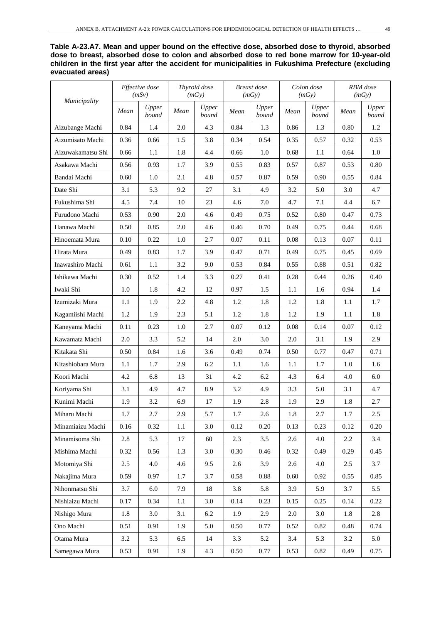| Table A-23.A7. Mean and upper bound on the effective dose, absorbed dose to thvroid, absorbed       |
|-----------------------------------------------------------------------------------------------------|
| dose to breast, absorbed dose to colon and absorbed dose to red bone marrow for 10-year-old         |
| children in the first year after the accident for municipalities in Fukushima Prefecture (excluding |
| evacuated areas)                                                                                    |

|                     | Effective dose<br>(mSv) |                |         | Thyroid dose<br>(mGy) |      | Breast dose<br>(mGy) | Colon dose<br>(mGy) |                | RBM dose<br>(mGv) |                |
|---------------------|-------------------------|----------------|---------|-----------------------|------|----------------------|---------------------|----------------|-------------------|----------------|
| <i>Municipality</i> | Mean                    | Upper<br>bound | Mean    | Upper<br>bound        | Mean | Upper<br>bound       | Mean                | Upper<br>bound | Mean              | Upper<br>bound |
| Aizubange Machi     | 0.84                    | 1.4            | 2.0     | 4.3                   | 0.84 | 1.3                  | 0.86                | 1.3            | 0.80              | 1.2            |
| Aizumisato Machi    | 0.36                    | 0.66           | 1.5     | 3.8                   | 0.34 | 0.54                 | 0.35                | 0.57           | 0.32              | 0.53           |
| Aizuwakamatsu Shi   | 0.66                    | 1.1            | 1.8     | 4.4                   | 0.66 | 1.0                  | 0.68                | 1.1            | 0.64              | 1.0            |
| Asakawa Machi       | 0.56                    | 0.93           | 1.7     | 3.9                   | 0.55 | 0.83                 | 0.57                | 0.87           | 0.53              | 0.80           |
| Bandai Machi        | 0.60                    | 1.0            | 2.1     | 4.8                   | 0.57 | 0.87                 | 0.59                | 0.90           | 0.55              | 0.84           |
| Date Shi            | 3.1                     | 5.3            | 9.2     | 27                    | 3.1  | 4.9                  | 3.2                 | 5.0            | 3.0               | 4.7            |
| Fukushima Shi       | 4.5                     | 7.4            | 10      | 23                    | 4.6  | 7.0                  | 4.7                 | 7.1            | 4.4               | 6.7            |
| Furudono Machi      | 0.53                    | 0.90           | $2.0\,$ | 4.6                   | 0.49 | 0.75                 | 0.52                | $0.80\,$       | 0.47              | 0.73           |
| Hanawa Machi        | 0.50                    | 0.85           | 2.0     | 4.6                   | 0.46 | 0.70                 | 0.49                | 0.75           | 0.44              | 0.68           |
| Hinoemata Mura      | 0.10                    | 0.22           | 1.0     | 2.7                   | 0.07 | 0.11                 | 0.08                | 0.13           | 0.07              | 0.11           |
| Hirata Mura         | 0.49                    | 0.83           | 1.7     | 3.9                   | 0.47 | 0.71                 | 0.49                | 0.75           | 0.45              | 0.69           |
| Inawashiro Machi    | 0.61                    | 1.1            | 3.2     | 9.0                   | 0.53 | 0.84                 | 0.55                | 0.88           | 0.51              | 0.82           |
| Ishikawa Machi      | 0.30                    | 0.52           | 1.4     | 3.3                   | 0.27 | 0.41                 | 0.28                | 0.44           | 0.26              | 0.40           |
| Iwaki Shi           | 1.0                     | 1.8            | 4.2     | 12                    | 0.97 | 1.5                  | 1.1                 | 1.6            | 0.94              | 1.4            |
| Izumizaki Mura      | 1.1                     | 1.9            | 2.2     | 4.8                   | 1.2  | 1.8                  | 1.2                 | 1.8            | 1.1               | 1.7            |
| Kagamiishi Machi    | 1.2                     | 1.9            | 2.3     | 5.1                   | 1.2  | 1.8                  | 1.2                 | 1.9            | 1.1               | 1.8            |
| Kaneyama Machi      | 0.11                    | 0.23           | 1.0     | 2.7                   | 0.07 | 0.12                 | 0.08                | 0.14           | 0.07              | 0.12           |
| Kawamata Machi      | 2.0                     | 3.3            | 5.2     | 14                    | 2.0  | 3.0                  | $2.0\,$             | 3.1            | 1.9               | 2.9            |
| Kitakata Shi        | 0.50                    | 0.84           | 1.6     | 3.6                   | 0.49 | 0.74                 | 0.50                | 0.77           | 0.47              | 0.71           |
| Kitashiobara Mura   | 1.1                     | 1.7            | 2.9     | 6.2                   | 1.1  | 1.6                  | 1.1                 | 1.7            | 1.0               | 1.6            |
| Koori Machi         | 4.2                     | 6.8            | 13      | 31                    | 4.2  | 6.2                  | 4.3                 | 6.4            | 4.0               | 6.0            |
| Koriyama Shi        | 3.1                     | 4.9            | 4.7     | 8.9                   | 3.2  | 4.9                  | 3.3                 | 5.0            | 3.1               | 4.7            |
| Kunimi Machi        | 1.9                     | 3.2            | 6.9     | 17                    | 1.9  | 2.8                  | 1.9                 | 2.9            | 1.8               | 2.7            |
| Miharu Machi        | 1.7                     | 2.7            | 2.9     | 5.7                   | 1.7  | 2.6                  | 1.8                 | 2.7            | 1.7               | $2.5\,$        |
| Minamiaizu Machi    | 0.16                    | 0.32           | 1.1     | 3.0                   | 0.12 | 0.20                 | 0.13                | 0.23           | 0.12              | 0.20           |
| Minamisoma Shi      | 2.8                     | 5.3            | 17      | 60                    | 2.3  | 3.5                  | 2.6                 | 4.0            | $2.2\,$           | 3.4            |
| Mishima Machi       | 0.32                    | 0.56           | 1.3     | 3.0                   | 0.30 | 0.46                 | 0.32                | 0.49           | 0.29              | 0.45           |
| Motomiya Shi        | 2.5                     | 4.0            | 4.6     | 9.5                   | 2.6  | 3.9                  | 2.6                 | 4.0            | 2.5               | 3.7            |
| Nakajima Mura       | 0.59                    | 0.97           | 1.7     | 3.7                   | 0.58 | 0.88                 | $0.60\,$            | 0.92           | 0.55              | 0.85           |
| Nihonmatsu Shi      | 3.7                     | 6.0            | 7.9     | 18                    | 3.8  | 5.8                  | 3.9                 | 5.9            | 3.7               | 5.5            |
| Nishiaizu Machi     | 0.17                    | 0.34           | 1.1     | 3.0                   | 0.14 | 0.23                 | 0.15                | 0.25           | 0.14              | 0.22           |
| Nishigo Mura        | 1.8                     | 3.0            | 3.1     | 6.2                   | 1.9  | 2.9                  | 2.0                 | 3.0            | 1.8               | 2.8            |
| Ono Machi           | 0.51                    | 0.91           | 1.9     | 5.0                   | 0.50 | 0.77                 | 0.52                | 0.82           | 0.48              | 0.74           |
| Otama Mura          | $3.2\,$                 | 5.3            | 6.5     | 14                    | 3.3  | 5.2                  | 3.4                 | 5.3            | $3.2\,$           | 5.0            |
| Samegawa Mura       | 0.53                    | 0.91           | 1.9     | 4.3                   | 0.50 | 0.77                 | 0.53                | 0.82           | 0.49              | 0.75           |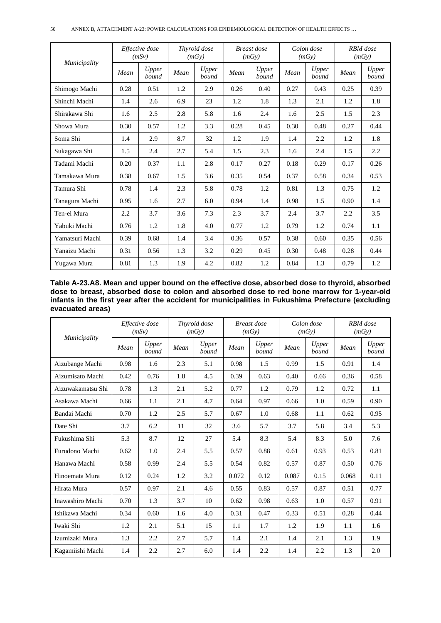|                 | Effective dose<br>(mSv) |                |      | Thyroid dose<br>(mGy) |      | <b>Breast</b> dose<br>(mGy) |      | Colon dose<br>(mGy) |      | RBM dose<br>(mGy) |  |
|-----------------|-------------------------|----------------|------|-----------------------|------|-----------------------------|------|---------------------|------|-------------------|--|
| Municipality    | Mean                    | Upper<br>bound | Mean | Upper<br>bound        | Mean | Upper<br>bound              | Mean | Upper<br>bound      | Mean | Upper<br>bound    |  |
| Shimogo Machi   | 0.28                    | 0.51           | 1.2  | 2.9                   | 0.26 | 0.40                        | 0.27 | 0.43                | 0.25 | 0.39              |  |
| Shinchi Machi   | 1.4                     | 2.6            | 6.9  | 23                    | 1.2  | 1.8                         | 1.3  | 2.1                 | 1.2  | 1.8               |  |
| Shirakawa Shi   | 1.6                     | 2.5            | 2.8  | 5.8                   | 1.6  | 2.4                         | 1.6  | 2.5                 | 1.5  | 2.3               |  |
| Showa Mura      | 0.30                    | 0.57           | 1.2  | 3.3                   | 0.28 | 0.45                        | 0.30 | 0.48                | 0.27 | 0.44              |  |
| Soma Shi        | 1.4                     | 2.9            | 8.7  | 32                    | 1.2  | 1.9                         | 1.4  | 2.2                 | 1.2  | 1.8               |  |
| Sukagawa Shi    | 1.5                     | 2.4            | 2.7  | 5.4                   | 1.5  | 2.3                         | 1.6  | 2.4                 | 1.5  | 2.2               |  |
| Tadami Machi    | 0.20                    | 0.37           | 1.1  | 2.8                   | 0.17 | 0.27                        | 0.18 | 0.29                | 0.17 | 0.26              |  |
| Tamakawa Mura   | 0.38                    | 0.67           | 1.5  | 3.6                   | 0.35 | 0.54                        | 0.37 | 0.58                | 0.34 | 0.53              |  |
| Tamura Shi      | 0.78                    | 1.4            | 2.3  | 5.8                   | 0.78 | 1.2                         | 0.81 | 1.3                 | 0.75 | 1.2               |  |
| Tanagura Machi  | 0.95                    | 1.6            | 2.7  | 6.0                   | 0.94 | 1.4                         | 0.98 | 1.5                 | 0.90 | 1.4               |  |
| Ten-ei Mura     | 2.2                     | 3.7            | 3.6  | 7.3                   | 2.3  | 3.7                         | 2.4  | 3.7                 | 2.2  | 3.5               |  |
| Yabuki Machi    | 0.76                    | 1.2            | 1.8  | 4.0                   | 0.77 | 1.2                         | 0.79 | 1.2                 | 0.74 | 1.1               |  |
| Yamatsuri Machi | 0.39                    | 0.68           | 1.4  | 3.4                   | 0.36 | 0.57                        | 0.38 | 0.60                | 0.35 | 0.56              |  |
| Yanaizu Machi   | 0.31                    | 0.56           | 1.3  | 3.2                   | 0.29 | 0.45                        | 0.30 | 0.48                | 0.28 | 0.44              |  |
| Yugawa Mura     | 0.81                    | 1.3            | 1.9  | 4.2                   | 0.82 | 1.2                         | 0.84 | 1.3                 | 0.79 | 1.2               |  |

| Table A-23.A8. Mean and upper bound on the effective dose, absorbed dose to thyroid, absorbed                          |
|------------------------------------------------------------------------------------------------------------------------|
| dose to breast, absorbed dose to colon and absorbed dose to red bone marrow for 1-year-old                             |
| infants in the first year after the accident for municipalities in Fukushima Prefecture (excluding<br>evacuated areas) |

| Municipality      |      | Effective dose<br>(mSv) | Thyroid dose<br>(mGy) |                | <b>Breast</b> dose<br>(mGy) |                | Colon dose<br>(mGy) |                | RBM dose<br>(mGy) |                |
|-------------------|------|-------------------------|-----------------------|----------------|-----------------------------|----------------|---------------------|----------------|-------------------|----------------|
|                   | Mean | Upper<br>bound          | Mean                  | Upper<br>bound | Mean                        | Upper<br>bound | Mean                | Upper<br>bound | Mean              | Upper<br>bound |
| Aizubange Machi   | 0.98 | 1.6                     | 2.3                   | 5.1            | 0.98                        | 1.5            | 0.99                | 1.5            | 0.91              | 1.4            |
| Aizumisato Machi  | 0.42 | 0.76                    | 1.8                   | 4.5            | 0.39                        | 0.63           | 0.40                | 0.66           | 0.36              | 0.58           |
| Aizuwakamatsu Shi | 0.78 | 1.3                     | 2.1                   | 5.2            | 0.77                        | 1.2            | 0.79                | 1.2            | 0.72              | 1.1            |
| Asakawa Machi     | 0.66 | 1.1                     | 2.1                   | 4.7            | 0.64                        | 0.97           | 0.66                | 1.0            | 0.59              | 0.90           |
| Bandai Machi      | 0.70 | 1.2                     | 2.5                   | 5.7            | 0.67                        | 1.0            | 0.68                | 1.1            | 0.62              | 0.95           |
| Date Shi          | 3.7  | 6.2                     | 11                    | 32             | 3.6                         | 5.7            | 3.7                 | 5.8            | 3.4               | 5.3            |
| Fukushima Shi     | 5.3  | 8.7                     | 12                    | 27             | 5.4                         | 8.3            | 5.4                 | 8.3            | 5.0               | 7.6            |
| Furudono Machi    | 0.62 | 1.0                     | 2.4                   | 5.5            | 0.57                        | 0.88           | 0.61                | 0.93           | 0.53              | 0.81           |
| Hanawa Machi      | 0.58 | 0.99                    | 2.4                   | 5.5            | 0.54                        | 0.82           | 0.57                | 0.87           | 0.50              | 0.76           |
| Hinoemata Mura    | 0.12 | 0.24                    | 1.2                   | 3.2            | 0.072                       | 0.12           | 0.087               | 0.15           | 0.068             | 0.11           |
| Hirata Mura       | 0.57 | 0.97                    | 2.1                   | 4.6            | 0.55                        | 0.83           | 0.57                | 0.87           | 0.51              | 0.77           |
| Inawashiro Machi  | 0.70 | 1.3                     | 3.7                   | 10             | 0.62                        | 0.98           | 0.63                | 1.0            | 0.57              | 0.91           |
| Ishikawa Machi    | 0.34 | 0.60                    | 1.6                   | 4.0            | 0.31                        | 0.47           | 0.33                | 0.51           | 0.28              | 0.44           |
| Iwaki Shi         | 1.2  | 2.1                     | 5.1                   | 15             | 1.1                         | 1.7            | 1.2                 | 1.9            | 1.1               | 1.6            |
| Izumizaki Mura    | 1.3  | 2.2                     | 2.7                   | 5.7            | 1.4                         | 2.1            | 1.4                 | 2.1            | 1.3               | 1.9            |
| Kagamiishi Machi  | 1.4  | 2.2                     | 2.7                   | 6.0            | 1.4                         | 2.2            | 1.4                 | 2.2            | 1.3               | 2.0            |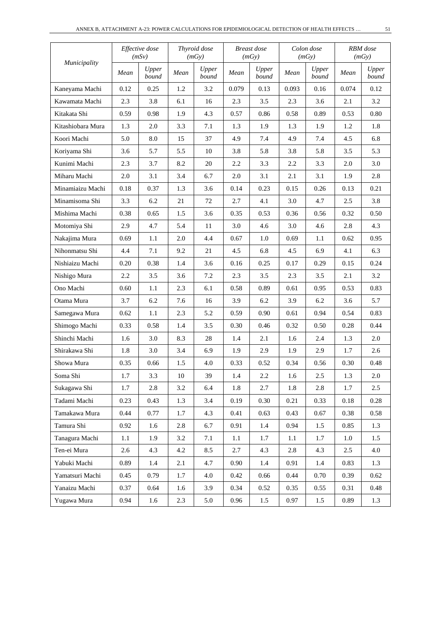|                   |      | Effective dose<br>(mSv) |        | Thyroid dose<br>(mGy) | <b>Breast</b> dose<br>(mGy) |                | Colon dose<br>(mGy) |                | RBM dose<br>(mGy) |                |
|-------------------|------|-------------------------|--------|-----------------------|-----------------------------|----------------|---------------------|----------------|-------------------|----------------|
| Municipality      | Mean | Upper<br>bound          | Mean   | Upper<br>bound        | Mean                        | Upper<br>bound | Mean                | Upper<br>bound | Mean              | Upper<br>bound |
| Kaneyama Machi    | 0.12 | 0.25                    | 1.2    | 3.2                   | 0.079                       | 0.13           | 0.093               | 0.16           | 0.074             | 0.12           |
| Kawamata Machi    | 2.3  | 3.8                     | 6.1    | 16                    | 2.3                         | 3.5            | 2.3                 | 3.6            | 2.1               | 3.2            |
| Kitakata Shi      | 0.59 | 0.98                    | 1.9    | 4.3                   | 0.57                        | 0.86           | 0.58                | 0.89           | 0.53              | 0.80           |
| Kitashiobara Mura | 1.3  | 2.0                     | 3.3    | 7.1                   | 1.3                         | 1.9            | 1.3                 | 1.9            | 1.2               | 1.8            |
| Koori Machi       | 5.0  | 8.0                     | 15     | 37                    | 4.9                         | 7.4            | 4.9                 | 7.4            | 4.5               | 6.8            |
| Koriyama Shi      | 3.6  | 5.7                     | 5.5    | 10                    | 3.8                         | 5.8            | 3.8                 | 5.8            | 3.5               | 5.3            |
| Kunimi Machi      | 2.3  | 3.7                     | 8.2    | 20                    | 2.2                         | 3.3            | 2.2                 | 3.3            | 2.0               | 3.0            |
| Miharu Machi      | 2.0  | 3.1                     | 3.4    | 6.7                   | 2.0                         | 3.1            | 2.1                 | 3.1            | 1.9               | 2.8            |
| Minamiaizu Machi  | 0.18 | 0.37                    | 1.3    | 3.6                   | 0.14                        | 0.23           | 0.15                | 0.26           | 0.13              | 0.21           |
| Minamisoma Shi    | 3.3  | 6.2                     | 21     | 72                    | 2.7                         | 4.1            | 3.0                 | 4.7            | 2.5               | 3.8            |
| Mishima Machi     | 0.38 | 0.65                    | 1.5    | 3.6                   | 0.35                        | 0.53           | 0.36                | 0.56           | 0.32              | 0.50           |
| Motomiya Shi      | 2.9  | 4.7                     | 5.4    | 11                    | 3.0                         | 4.6            | 3.0                 | 4.6            | 2.8               | 4.3            |
| Nakajima Mura     | 0.69 | 1.1                     | 2.0    | 4.4                   | 0.67                        | 1.0            | 0.69                | $1.1\,$        | 0.62              | 0.95           |
| Nihonmatsu Shi    | 4.4  | 7.1                     | 9.2    | 21                    | 4.5                         | 6.8            | 4.5                 | 6.9            | 4.1               | 6.3            |
| Nishiaizu Machi   | 0.20 | 0.38                    | 1.4    | 3.6                   | 0.16                        | 0.25           | 0.17                | 0.29           | 0.15              | 0.24           |
| Nishigo Mura      | 2.2  | 3.5                     | 3.6    | 7.2                   | 2.3                         | 3.5            | 2.3                 | 3.5            | 2.1               | 3.2            |
| Ono Machi         | 0.60 | 1.1                     | 2.3    | 6.1                   | 0.58                        | 0.89           | 0.61                | 0.95           | 0.53              | 0.83           |
| Otama Mura        | 3.7  | 6.2                     | 7.6    | 16                    | 3.9                         | 6.2            | 3.9                 | 6.2            | 3.6               | 5.7            |
| Samegawa Mura     | 0.62 | 1.1                     | 2.3    | 5.2                   | 0.59                        | 0.90           | 0.61                | 0.94           | 0.54              | 0.83           |
| Shimogo Machi     | 0.33 | 0.58                    | 1.4    | 3.5                   | 0.30                        | 0.46           | 0.32                | 0.50           | 0.28              | 0.44           |
| Shinchi Machi     | 1.6  | 3.0                     | 8.3    | 28                    | 1.4                         | 2.1            | 1.6                 | 2.4            | 1.3               | 2.0            |
| Shirakawa Shi     | 1.8  | 3.0                     | 3.4    | 6.9                   | 1.9                         | 2.9            | 1.9                 | 2.9            | 1.7               | 2.6            |
| Showa Mura        | 0.35 | 0.66                    | 1.5    | 4.0                   | 0.33                        | 0.52           | 0.34                | 0.56           | 0.30              | 0.48           |
| Soma Shi          | 1.7  | 3.3                     | $10\,$ | 39                    | 1.4                         | 2.2            | 1.6                 | 2.5            | 1.3               | $2.0\,$        |
| Sukagawa Shi      | 1.7  | 2.8                     | 3.2    | 6.4                   | 1.8                         | 2.7            | 1.8                 | 2.8            | 1.7               | 2.5            |
| Tadami Machi      | 0.23 | 0.43                    | 1.3    | 3.4                   | 0.19                        | 0.30           | 0.21                | 0.33           | 0.18              | 0.28           |
| Tamakawa Mura     | 0.44 | 0.77                    | 1.7    | 4.3                   | 0.41                        | 0.63           | 0.43                | 0.67           | 0.38              | 0.58           |
| Tamura Shi        | 0.92 | 1.6                     | 2.8    | 6.7                   | 0.91                        | 1.4            | 0.94                | 1.5            | 0.85              | 1.3            |
| Tanagura Machi    | 1.1  | 1.9                     | 3.2    | 7.1                   | 1.1                         | 1.7            | 1.1                 | 1.7            | 1.0               | 1.5            |
| Ten-ei Mura       | 2.6  | 4.3                     | 4.2    | 8.5                   | 2.7                         | 4.3            | 2.8                 | 4.3            | $2.5\,$           | 4.0            |
| Yabuki Machi      | 0.89 | 1.4                     | 2.1    | 4.7                   | 0.90                        | 1.4            | 0.91                | 1.4            | 0.83              | 1.3            |
| Yamatsuri Machi   | 0.45 | 0.79                    | 1.7    | 4.0                   | 0.42                        | 0.66           | 0.44                | 0.70           | 0.39              | 0.62           |
| Yanaizu Machi     | 0.37 | 0.64                    | 1.6    | 3.9                   | 0.34                        | 0.52           | 0.35                | 0.55           | 0.31              | 0.48           |
| Yugawa Mura       | 0.94 | 1.6                     | 2.3    | 5.0                   | 0.96                        | 1.5            | 0.97                | 1.5            | 0.89              | 1.3            |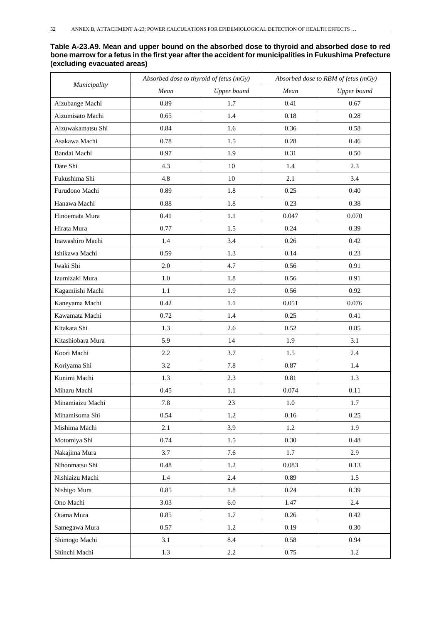#### **Table A-23.A9. Mean and upper bound on the absorbed dose to thyroid and absorbed dose to red bone marrow for a fetus in the first year after the accident for municipalities in Fukushima Prefecture (excluding evacuated areas)**

| Municipality      | Absorbed dose to thyroid of fetus (mGy) |             | Absorbed dose to RBM of fetus (mGy) |             |  |
|-------------------|-----------------------------------------|-------------|-------------------------------------|-------------|--|
|                   | Mean                                    | Upper bound | Mean                                | Upper bound |  |
| Aizubange Machi   | 0.89                                    | 1.7         | 0.41                                | 0.67        |  |
| Aizumisato Machi  | 0.65                                    | 1.4         | 0.18                                | 0.28        |  |
| Aizuwakamatsu Shi | 0.84                                    | 1.6         | 0.36                                | 0.58        |  |
| Asakawa Machi     | 0.78                                    | 1.5         | 0.28                                | 0.46        |  |
| Bandai Machi      | 0.97                                    | 1.9         | 0.31                                | 0.50        |  |
| Date Shi          | 4.3                                     | 10          | 1.4                                 | 2.3         |  |
| Fukushima Shi     | 4.8                                     | 10          | 2.1                                 | 3.4         |  |
| Furudono Machi    | 0.89                                    | 1.8         | 0.25                                | 0.40        |  |
| Hanawa Machi      | 0.88                                    | 1.8         | 0.23                                | 0.38        |  |
| Hinoemata Mura    | 0.41                                    | 1.1         | 0.047                               | 0.070       |  |
| Hirata Mura       | 0.77                                    | 1.5         | 0.24                                | 0.39        |  |
| Inawashiro Machi  | 1.4                                     | 3.4         | 0.26                                | 0.42        |  |
| Ishikawa Machi    | 0.59                                    | 1.3         | 0.14                                | 0.23        |  |
| Iwaki Shi         | 2.0                                     | 4.7         | 0.56                                | 0.91        |  |
| Izumizaki Mura    | 1.0                                     | 1.8         | 0.56                                | 0.91        |  |
| Kagamiishi Machi  | 1.1                                     | 1.9         | 0.56                                | 0.92        |  |
| Kaneyama Machi    | 0.42                                    | 1.1         | 0.051                               | 0.076       |  |
| Kawamata Machi    | 0.72                                    | 1.4         | 0.25                                | 0.41        |  |
| Kitakata Shi      | 1.3                                     | 2.6         | 0.52                                | 0.85        |  |
| Kitashiobara Mura | 5.9                                     | 14          | 1.9                                 | 3.1         |  |
| Koori Machi       | 2.2                                     | 3.7         | 1.5                                 | 2.4         |  |
| Koriyama Shi      | 3.2                                     | 7.8         | 0.87                                | 1.4         |  |
| Kunimi Machi      | 1.3                                     | 2.3         | 0.81                                | 1.3         |  |
| Miharu Machi      | 0.45                                    | 1.1         | 0.074                               | 0.11        |  |
| Minamiaizu Machi  | $7.8\,$                                 | $23\,$      | 1.0                                 | 1.7         |  |
| Minamisoma Shi    | 0.54                                    | 1.2         | 0.16                                | 0.25        |  |
| Mishima Machi     | 2.1                                     | 3.9         | 1.2                                 | 1.9         |  |
| Motomiya Shi      | 0.74                                    | 1.5         | 0.30                                | 0.48        |  |
| Nakajima Mura     | 3.7                                     | 7.6         | 1.7                                 | 2.9         |  |
| Nihonmatsu Shi    | 0.48                                    | 1.2         | 0.083                               | 0.13        |  |
| Nishiaizu Machi   | 1.4                                     | 2.4         | 0.89                                | 1.5         |  |
| Nishigo Mura      | 0.85                                    | 1.8         | 0.24                                | 0.39        |  |
| Ono Machi         | 3.03                                    | 6.0         | 1.47                                | $2.4\,$     |  |
| Otama Mura        | 0.85                                    | 1.7         | 0.26                                | 0.42        |  |
| Samegawa Mura     | 0.57                                    | 1.2         | 0.19                                | 0.30        |  |
| Shimogo Machi     | 3.1                                     | 8.4         | 0.58                                | 0.94        |  |
| Shinchi Machi     | 1.3                                     | $2.2\,$     | 0.75                                | $1.2\,$     |  |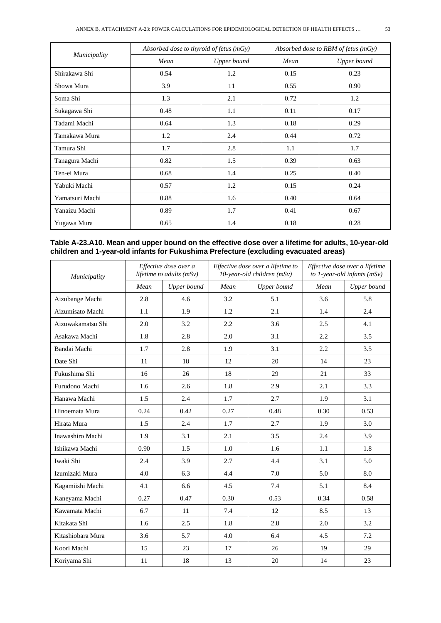|                 | Absorbed dose to thyroid of fetus $(mGy)$ |             | Absorbed dose to RBM of fetus (mGy) |             |  |
|-----------------|-------------------------------------------|-------------|-------------------------------------|-------------|--|
| Municipality    | Mean                                      | Upper bound | Mean                                | Upper bound |  |
| Shirakawa Shi   | 0.54                                      | 1.2         | 0.15                                | 0.23        |  |
| Showa Mura      | 3.9                                       | 11          | 0.55                                | 0.90        |  |
| Soma Shi        | 1.3                                       | 2.1         | 0.72                                | 1.2         |  |
| Sukagawa Shi    | 0.48                                      | 1.1         | 0.11                                | 0.17        |  |
| Tadami Machi    | 0.64                                      | 1.3         | 0.18                                | 0.29        |  |
| Tamakawa Mura   | 1.2                                       | 2.4         | 0.44                                | 0.72        |  |
| Tamura Shi      | 1.7                                       | 2.8         | 1.1                                 | 1.7         |  |
| Tanagura Machi  | 0.82                                      | 1.5         | 0.39                                | 0.63        |  |
| Ten-ei Mura     | 0.68                                      | 1.4         | 0.25                                | 0.40        |  |
| Yabuki Machi    | 0.57                                      | 1.2         | 0.15                                | 0.24        |  |
| Yamatsuri Machi | 0.88                                      | 1.6         | 0.40                                | 0.64        |  |
| Yanaizu Machi   | 0.89                                      | 1.7         | 0.41                                | 0.67        |  |
| Yugawa Mura     | 0.65                                      | 1.4         | 0.18                                | 0.28        |  |

#### **Table A-23.A10. Mean and upper bound on the effective dose over a lifetime for adults, 10-year-old children and 1-year-old infants for Fukushima Prefecture (excluding evacuated areas)**

| Municipality      |      | Effective dose over a<br>lifetime to adults $(mSv)$ |      | Effective dose over a lifetime to<br>10-year-old children (mSv) | Effective dose over a lifetime<br>to 1-year-old infants $(mSv)$ |             |  |
|-------------------|------|-----------------------------------------------------|------|-----------------------------------------------------------------|-----------------------------------------------------------------|-------------|--|
|                   | Mean | Upper bound                                         | Mean | Upper bound                                                     | Mean                                                            | Upper bound |  |
| Aizubange Machi   | 2.8  | 4.6                                                 | 3.2  | 5.1                                                             | 3.6                                                             | 5.8         |  |
| Aizumisato Machi  | 1.1  | 1.9                                                 | 1.2  | 2.1                                                             | 1.4                                                             | 2.4         |  |
| Aizuwakamatsu Shi | 2.0  | 3.2                                                 | 2.2  | 3.6                                                             | 2.5                                                             | 4.1         |  |
| Asakawa Machi     | 1.8  | 2.8                                                 | 2.0  | 3.1                                                             | 2.2                                                             | 3.5         |  |
| Bandai Machi      | 1.7  | 2.8                                                 | 1.9  | 3.1                                                             | 2.2                                                             | 3.5         |  |
| Date Shi          | 11   | 18                                                  | 12   | 20                                                              | 14                                                              | 23          |  |
| Fukushima Shi     | 16   | 26                                                  | 18   | 29                                                              | 21                                                              | 33          |  |
| Furudono Machi    | 1.6  | 2.6                                                 | 1.8  | 2.9                                                             | 2.1                                                             | 3.3         |  |
| Hanawa Machi      | 1.5  | 2.4                                                 | 1.7  | 2.7                                                             | 1.9                                                             | 3.1         |  |
| Hinoemata Mura    | 0.24 | 0.42                                                | 0.27 | 0.48                                                            | 0.30                                                            | 0.53        |  |
| Hirata Mura       | 1.5  | 2.4                                                 | 1.7  | 2.7                                                             | 1.9                                                             | 3.0         |  |
| Inawashiro Machi  | 1.9  | 3.1                                                 | 2.1  | 3.5                                                             | 2.4                                                             | 3.9         |  |
| Ishikawa Machi    | 0.90 | 1.5                                                 | 1.0  | 1.6                                                             | 1.1                                                             | 1.8         |  |
| Iwaki Shi         | 2.4  | 3.9                                                 | 2.7  | 4.4                                                             | 3.1                                                             | 5.0         |  |
| Izumizaki Mura    | 4.0  | 6.3                                                 | 4.4  | 7.0                                                             | 5.0                                                             | 8.0         |  |
| Kagamiishi Machi  | 4.1  | 6.6                                                 | 4.5  | 7.4                                                             | 5.1                                                             | 8.4         |  |
| Kaneyama Machi    | 0.27 | 0.47                                                | 0.30 | 0.53                                                            | 0.34                                                            | 0.58        |  |
| Kawamata Machi    | 6.7  | 11                                                  | 7.4  | 12                                                              | 8.5                                                             | 13          |  |
| Kitakata Shi      | 1.6  | 2.5                                                 | 1.8  | 2.8                                                             | 2.0                                                             | 3.2         |  |
| Kitashiobara Mura | 3.6  | 5.7                                                 | 4.0  | 6.4                                                             | 4.5                                                             | 7.2         |  |
| Koori Machi       | 15   | 23                                                  | 17   | 26                                                              | 19                                                              | 29          |  |
| Koriyama Shi      | 11   | 18                                                  | 13   | 20                                                              | 14                                                              | 23          |  |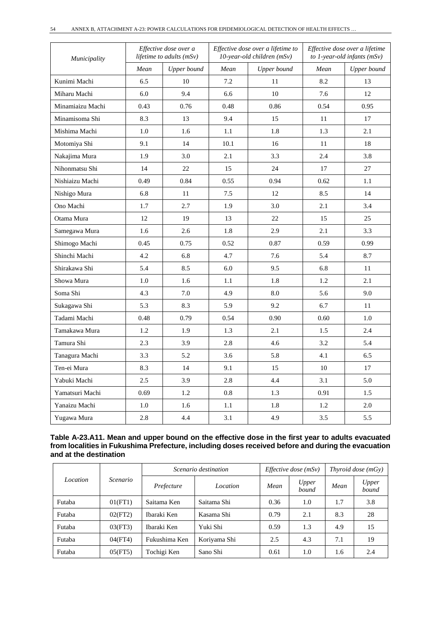| Municipality     |      | Effective dose over a<br><i>lifetime to adults (mSv)</i> |      | Effective dose over a lifetime to<br>10-year-old children (mSv) | Effective dose over a lifetime<br>to 1-year-old infants $(mSv)$ |             |  |
|------------------|------|----------------------------------------------------------|------|-----------------------------------------------------------------|-----------------------------------------------------------------|-------------|--|
|                  | Mean | Upper bound                                              | Mean | Upper bound                                                     | Mean                                                            | Upper bound |  |
| Kunimi Machi     | 6.5  | 10                                                       | 7.2  | 11                                                              | 8.2                                                             | 13          |  |
| Miharu Machi     | 6.0  | 9.4                                                      | 6.6  | 10                                                              | 7.6                                                             | 12          |  |
| Minamiaizu Machi | 0.43 | 0.76                                                     | 0.48 | 0.86                                                            | 0.54                                                            | 0.95        |  |
| Minamisoma Shi   | 8.3  | 13                                                       | 9.4  | 15                                                              | 11                                                              | 17          |  |
| Mishima Machi    | 1.0  | 1.6                                                      | 1.1  | 1.8                                                             | 1.3                                                             | 2.1         |  |
| Motomiya Shi     | 9.1  | 14                                                       | 10.1 | 16                                                              | 11                                                              | 18          |  |
| Nakajima Mura    | 1.9  | 3.0                                                      | 2.1  | 3.3                                                             | 2.4                                                             | 3.8         |  |
| Nihonmatsu Shi   | 14   | 22                                                       | 15   | 24                                                              | 17                                                              | 27          |  |
| Nishiaizu Machi  | 0.49 | 0.84                                                     | 0.55 | 0.94                                                            | 0.62                                                            | 1.1         |  |
| Nishigo Mura     | 6.8  | 11                                                       | 7.5  | 12                                                              | 8.5                                                             | 14          |  |
| Ono Machi        | 1.7  | 2.7                                                      | 1.9  | 3.0                                                             | 2.1                                                             | 3.4         |  |
| Otama Mura       | 12   | 19                                                       | 13   | 22                                                              | 15                                                              | 25          |  |
| Samegawa Mura    | 1.6  | 2.6                                                      | 1.8  | 2.9                                                             | 2.1                                                             | 3.3         |  |
| Shimogo Machi    | 0.45 | 0.75                                                     | 0.52 | 0.87                                                            | 0.59                                                            | 0.99        |  |
| Shinchi Machi    | 4.2  | 6.8                                                      | 4.7  | 7.6                                                             | 5.4                                                             | 8.7         |  |
| Shirakawa Shi    | 5.4  | 8.5                                                      | 6.0  | 9.5                                                             | 6.8                                                             | 11          |  |
| Showa Mura       | 1.0  | 1.6                                                      | 1.1  | 1.8                                                             | 1.2                                                             | 2.1         |  |
| Soma Shi         | 4.3  | 7.0                                                      | 4.9  | 8.0                                                             | 5.6                                                             | 9.0         |  |
| Sukagawa Shi     | 5.3  | 8.3                                                      | 5.9  | 9.2                                                             | 6.7                                                             | 11          |  |
| Tadami Machi     | 0.48 | 0.79                                                     | 0.54 | 0.90                                                            | 0.60                                                            | 1.0         |  |
| Tamakawa Mura    | 1.2  | 1.9                                                      | 1.3  | 2.1                                                             | 1.5                                                             | 2.4         |  |
| Tamura Shi       | 2.3  | 3.9                                                      | 2.8  | 4.6                                                             | 3.2                                                             | 5.4         |  |
| Tanagura Machi   | 3.3  | 5.2                                                      | 3.6  | 5.8                                                             | 4.1                                                             | 6.5         |  |
| Ten-ei Mura      | 8.3  | 14                                                       | 9.1  | 15                                                              | 10                                                              | 17          |  |
| Yabuki Machi     | 2.5  | 3.9                                                      | 2.8  | 4.4                                                             | 3.1                                                             | 5.0         |  |
| Yamatsuri Machi  | 0.69 | 1.2                                                      | 0.8  | 1.3                                                             | 0.91                                                            | 1.5         |  |
| Yanaizu Machi    | 1.0  | 1.6                                                      | 1.1  | 1.8                                                             | 1.2                                                             | 2.0         |  |
| Yugawa Mura      | 2.8  | 4.4                                                      | 3.1  | 4.9                                                             | 3.5                                                             | 5.5         |  |

| Table A-23.A11. Mean and upper bound on the effective dose in the first year to adults evacuated   |
|----------------------------------------------------------------------------------------------------|
| from localities in Fukushima Prefecture, including doses received before and during the evacuation |
| and at the destination                                                                             |

| Location |                 | Scenario destination |              | <i>Effective dose</i> $(mSv)$ | Thyroid dose $(mGv)$ |      |                |
|----------|-----------------|----------------------|--------------|-------------------------------|----------------------|------|----------------|
|          | <i>Scenario</i> | Prefecture           | Location     | Mean                          | Upper<br>bound       | Mean | Upper<br>bound |
| Futaba   | 01(FT1)         | Saitama Ken          | Saitama Shi  | 0.36                          | 1.0                  | 1.7  | 3.8            |
| Futaba   | 02(FT2)         | Ibaraki Ken          | Kasama Shi   | 0.79                          | 2.1                  | 8.3  | 28             |
| Futaba   | 03(FT3)         | Ibaraki Ken          | Yuki Shi     | 0.59                          | 1.3                  | 4.9  | 15             |
| Futaba   | 04(FT4)         | Fukushima Ken        | Koriyama Shi | 2.5                           | 4.3                  | 7.1  | 19             |
| Futaba   | 05(FT5)         | Tochigi Ken          | Sano Shi     | 0.61                          | 1.0                  | 1.6  | 2.4            |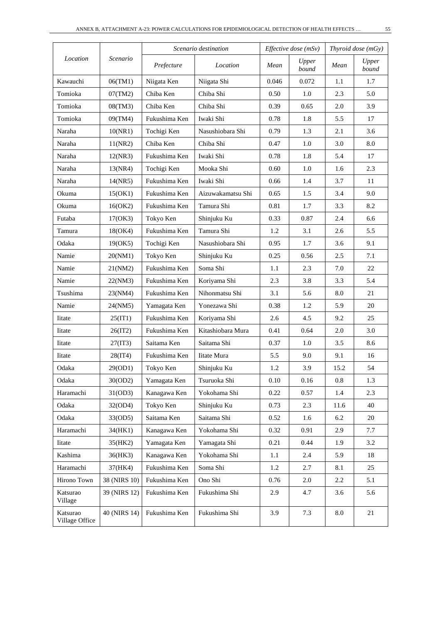|                            |              | Scenario destination |                   | <i>Effective dose</i> $(mSv)$ | Thyroid dose $(mGy)$ |           |                |
|----------------------------|--------------|----------------------|-------------------|-------------------------------|----------------------|-----------|----------------|
| Location                   | Scenario     | Prefecture           | Location          | Mean                          | Upper<br>bound       | Mean      | Upper<br>bound |
| Kawauchi                   | 06(TM1)      | Niigata Ken          | Niigata Shi       | 0.046                         | 0.072                | 1.1       | 1.7            |
| Tomioka                    | 07(TM2)      | Chiba Ken            | Chiba Shi         | 0.50                          | 1.0                  | 2.3       | 5.0            |
| Tomioka                    | 08(TM3)      | Chiba Ken            | Chiba Shi         | 0.39                          | 0.65                 | 2.0       | 3.9            |
| Tomioka                    | 09(TM4)      | Fukushima Ken        | Iwaki Shi         | 0.78                          | 1.8                  | 5.5       | 17             |
| Naraha                     | 10(NR1)      | Tochigi Ken          | Nasushiobara Shi  | 0.79                          | 1.3                  | 2.1       | 3.6            |
| Naraha                     | 11(NR2)      | Chiba Ken            | Chiba Shi         | 0.47                          | 1.0                  | 3.0       | 8.0            |
| Naraha                     | 12(NR3)      | Fukushima Ken        | Iwaki Shi         | 0.78                          | 1.8                  | 5.4       | 17             |
| Naraha                     | 13(NR4)      | Tochigi Ken          | Mooka Shi         | 0.60                          | 1.0                  | 1.6       | 2.3            |
| Naraha                     | 14(NR5)      | Fukushima Ken        | Iwaki Shi         | 0.66                          | 1.4                  | 3.7       | 11             |
| Okuma                      | 15(OK1)      | Fukushima Ken        | Aizuwakamatsu Shi | 0.65                          | 1.5                  | 3.4       | 9.0            |
| Okuma                      | 16(OK2)      | Fukushima Ken        | Tamura Shi        | 0.81                          | 1.7                  | 3.3       | 8.2            |
| Futaba                     | 17(OK3)      | Tokyo Ken            | Shinjuku Ku       | 0.33                          | 0.87                 | 2.4       | 6.6            |
| Tamura                     | 18(OK4)      | Fukushima Ken        | Tamura Shi        | 1.2                           | 3.1                  | 2.6       | 5.5            |
| Odaka                      | 19(OK5)      | Tochigi Ken          | Nasushiobara Shi  | 0.95                          | 1.7                  | 3.6       | 9.1            |
| Namie                      | 20(NM1)      | Tokyo Ken            | Shinjuku Ku       | 0.25                          | 0.56                 | 2.5       | 7.1            |
| Namie                      | 21(NM2)      | Fukushima Ken        | Soma Shi          | 1.1                           | 2.3                  | 7.0       | 22             |
| Namie                      | 22(NM3)      | Fukushima Ken        | Koriyama Shi      | 2.3                           | 3.8                  | 3.3       | 5.4            |
| Tsushima                   | 23(NM4)      | Fukushima Ken        | Nihonmatsu Shi    | 3.1                           | 5.6                  | 8.0       | 21             |
| Namie                      | 24(NM5)      | Yamagata Ken         | Yonezawa Shi      | 0.38                          | 1.2                  | 5.9       | 20             |
| Iitate                     | 25(1T1)      | Fukushima Ken        | Koriyama Shi      | 2.6                           | 4.5                  | 9.2       | 25             |
| <b>I</b> itate             | 26(IT2)      | Fukushima Ken        | Kitashiobara Mura | 0.41                          | 0.64                 | 2.0       | 3.0            |
| Iitate                     | 27(1T3)      | Saitama Ken          | Saitama Shi       | 0.37                          | 1.0                  | 3.5       | 8.6            |
| Iitate                     | 28(1T4)      | Fukushima Ken        | Iitate Mura       | 5.5                           | 9.0                  | 9.1       | 16             |
| Odaka                      | 29(OD1)      | Tokyo Ken            | Shinjuku Ku       | 1.2                           | 3.9                  | 15.2      | 54             |
| Odaka                      | 30(OD2)      | Yamagata Ken         | Tsuruoka Shi      | 0.10                          | 0.16                 | 0.8       | 1.3            |
| Haramachi                  | 31(OD3)      | Kanagawa Ken         | Yokohama Shi      | 0.22                          | 0.57                 | 1.4       | 2.3            |
| Odaka                      | 32(OD4)      | Tokyo Ken            | Shinjuku Ku       | 0.73                          | 2.3                  | 11.6      | 40             |
| Odaka                      | 33(OD5)      | Saitama Ken          | Saitama Shi       | 0.52                          | 1.6                  | 6.2       | 20             |
| Haramachi                  | 34(HK1)      | Kanagawa Ken         | Yokohama Shi      | 0.32                          | 0.91                 | 2.9       | 7.7            |
| Iitate                     | 35(HK2)      | Yamagata Ken         | Yamagata Shi      | 0.21                          | 0.44                 | 1.9       | 3.2            |
| Kashima                    | 36(HK3)      | Kanagawa Ken         | Yokohama Shi      | 1.1                           | 2.4                  | 5.9       | 18             |
| Haramachi                  | 37(HK4)      | Fukushima Ken        | Soma Shi          | 1.2                           | 2.7                  | 8.1       | 25             |
| Hirono Town                | 38 (NIRS 10) | Fukushima Ken        | Ono Shi           | 0.76                          | 2.0                  | 2.2       | 5.1            |
| Katsurao<br>Village        | 39 (NIRS 12) | Fukushima Ken        | Fukushima Shi     | 2.9                           | 4.7                  | 3.6       | 5.6            |
| Katsurao<br>Village Office | 40 (NIRS 14) | Fukushima Ken        | Fukushima Shi     | 3.9                           | 7.3                  | $\rm 8.0$ | 21             |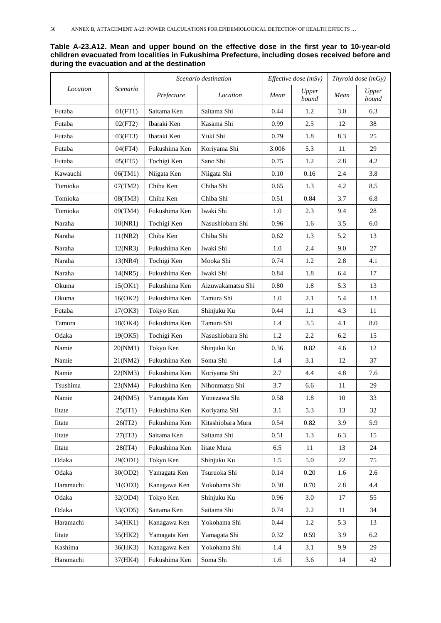**Table A-23.A12. Mean and upper bound on the effective dose in the first year to 10-year-old children evacuated from localities in Fukushima Prefecture, including doses received before and during the evacuation and at the destination**

|           |          |               | Scenario destination |       | Effective dose (mSv) |      | Thyroid dose (mGy) |
|-----------|----------|---------------|----------------------|-------|----------------------|------|--------------------|
| Location  | Scenario | Prefecture    | Location             | Mean  | Upper<br>bound       | Mean | Upper<br>bound     |
| Futaba    | 01(FT1)  | Saitama Ken   | Saitama Shi          | 0.44  | 1.2                  | 3.0  | 6.3                |
| Futaba    | 02(FT2)  | Ibaraki Ken   | Kasama Shi           | 0.99  | 2.5                  | 12   | 38                 |
| Futaba    | 03(FT3)  | Ibaraki Ken   | Yuki Shi             | 0.79  | 1.8                  | 8.3  | 25                 |
| Futaba    | 04(FT4)  | Fukushima Ken | Koriyama Shi         | 3.006 | 5.3                  | 11   | 29                 |
| Futaba    | 05(FT5)  | Tochigi Ken   | Sano Shi             | 0.75  | 1.2                  | 2.8  | 4.2                |
| Kawauchi  | 06(TM1)  | Niigata Ken   | Niigata Shi          | 0.10  | 0.16                 | 2.4  | 3.8                |
| Tomioka   | 07(TM2)  | Chiba Ken     | Chiba Shi            | 0.65  | 1.3                  | 4.2  | 8.5                |
| Tomioka   | 08(TM3)  | Chiba Ken     | Chiba Shi            | 0.51  | 0.84                 | 3.7  | 6.8                |
| Tomioka   | 09(TM4)  | Fukushima Ken | Iwaki Shi            | 1.0   | 2.3                  | 9.4  | 28                 |
| Naraha    | 10(NR1)  | Tochigi Ken   | Nasushiobara Shi     | 0.96  | 1.6                  | 3.5  | 6.0                |
| Naraha    | 11(NR2)  | Chiba Ken     | Chiba Shi            | 0.62  | 1.3                  | 5.2  | 13                 |
| Naraha    | 12(NR3)  | Fukushima Ken | Iwaki Shi            | 1.0   | 2.4                  | 9.0  | 27                 |
| Naraha    | 13(NR4)  | Tochigi Ken   | Mooka Shi            | 0.74  | 1.2                  | 2.8  | 4.1                |
| Naraha    | 14(NR5)  | Fukushima Ken | Iwaki Shi            | 0.84  | 1.8                  | 6.4  | 17                 |
| Okuma     | 15(OK1)  | Fukushima Ken | Aizuwakamatsu Shi    | 0.80  | 1.8                  | 5.3  | 13                 |
| Okuma     | 16(OK2)  | Fukushima Ken | Tamura Shi           | 1.0   | 2.1                  | 5.4  | 13                 |
| Futaba    | 17(OK3)  | Tokyo Ken     | Shinjuku Ku          | 0.44  | 1.1                  | 4.3  | 11                 |
| Tamura    | 18(OK4)  | Fukushima Ken | Tamura Shi           | 1.4   | 3.5                  | 4.1  | 8.0                |
| Odaka     | 19(OK5)  | Tochigi Ken   | Nasushiobara Shi     | 1.2   | 2.2                  | 6.2  | 15                 |
| Namie     | 20(NM1)  | Tokyo Ken     | Shinjuku Ku          | 0.36  | 0.82                 | 4.6  | 12                 |
| Namie     | 21(NM2)  | Fukushima Ken | Soma Shi             | 1.4   | 3.1                  | 12   | 37                 |
| Namie     | 22(NM3)  | Fukushima Ken | Koriyama Shi         | 2.7   | 4.4                  | 4.8  | 7.6                |
| Tsushima  | 23(NM4)  | Fukushima Ken | Nihonmatsu Shi       | 3.7   | 6.6                  | 11   | 29                 |
| Namie     | 24(NM5)  | Yamagata Ken  | Yonezawa Shi         | 0.58  | 1.8                  | 10   | 33                 |
| Iitate    | 25(IT1)  | Fukushima Ken | Koriyama Shi         | 3.1   | 5.3                  | 13   | 32                 |
| Iitate    | 26(IT2)  | Fukushima Ken | Kitashiobara Mura    | 0.54  | 0.82                 | 3.9  | 5.9                |
| Iitate    | 27(IT3)  | Saitama Ken   | Saitama Shi          | 0.51  | 1.3                  | 6.3  | 15                 |
| Iitate    | 28(1T4)  | Fukushima Ken | Iitate Mura          | 6.5   | 11                   | 13   | 24                 |
| Odaka     | 29(OD1)  | Tokyo Ken     | Shinjuku Ku          | 1.5   | 5.0                  | 22   | 75                 |
| Odaka     | 30(OD2)  | Yamagata Ken  | Tsuruoka Shi         | 0.14  | 0.20                 | 1.6  | 2.6                |
| Haramachi | 31(OD3)  | Kanagawa Ken  | Yokohama Shi         | 0.30  | 0.70                 | 2.8  | 4.4                |
| Odaka     | 32(OD4)  | Tokyo Ken     | Shinjuku Ku          | 0.96  | 3.0                  | 17   | 55                 |
| Odaka     | 33(OD5)  | Saitama Ken   | Saitama Shi          | 0.74  | $2.2\,$              | 11   | 34                 |
| Haramachi | 34(HK1)  | Kanagawa Ken  | Yokohama Shi         | 0.44  | 1.2                  | 5.3  | 13                 |
| Iitate    | 35(HK2)  | Yamagata Ken  | Yamagata Shi         | 0.32  | 0.59                 | 3.9  | 6.2                |
| Kashima   | 36(HK3)  | Kanagawa Ken  | Yokohama Shi         | 1.4   | 3.1                  | 9.9  | 29                 |
| Haramachi | 37(HK4)  | Fukushima Ken | Soma Shi             | 1.6   | 3.6                  | 14   | 42                 |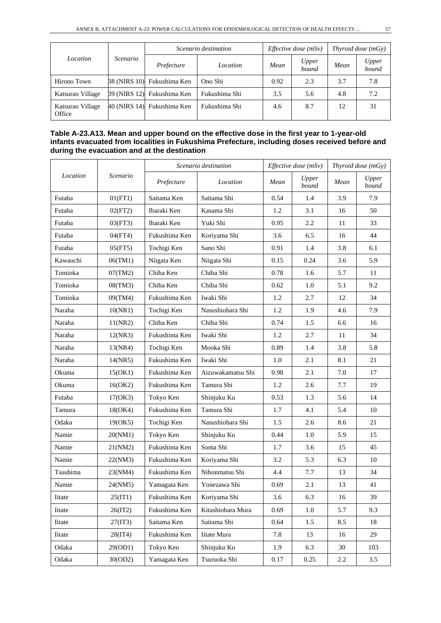| Location                   | Scenario | Scenario destination       |               | <i>Effective dose</i> $(mSv)$ | Thyroid dose $(mGy)$ |      |                |
|----------------------------|----------|----------------------------|---------------|-------------------------------|----------------------|------|----------------|
|                            |          | Prefecture                 | Location      | Mean                          | Upper<br>bound       | Mean | Upper<br>bound |
| Hirono Town                |          | 38 (NIRS 10) Fukushima Ken | Ono Shi       | 0.92                          | 2.3                  | 3.7  | 7.8            |
| Katsurao Village           |          | 39 (NIRS 12) Fukushima Ken | Fukushima Shi | 3.5                           | 5.6                  | 4.8  | 7.2            |
| Katsurao Village<br>Office |          | 40 (NIRS 14) Fukushima Ken | Fukushima Shi | 4.6                           | 8.7                  | 12   | 31             |

#### **Table A-23.A13. Mean and upper bound on the effective dose in the first year to 1-year-old infants evacuated from localities in Fukushima Prefecture, including doses received before and during the evacuation and at the destination**

| Location       | Scenario | Scenario destination |                    | Effective dose (mSv) |                | Thyroid dose (mGy) |                |
|----------------|----------|----------------------|--------------------|----------------------|----------------|--------------------|----------------|
|                |          | Prefecture           | Location           | Mean                 | Upper<br>bound | Mean               | Upper<br>bound |
| Futaba         | 01(FT1)  | Saitama Ken          | Saitama Shi        | 0.54                 | 1.4            | 3.9                | 7.9            |
| Futaba         | 02(FT2)  | Ibaraki Ken          | Kasama Shi         | 1.2                  | 3.1            | 16                 | 50             |
| Futaba         | 03(FT3)  | Ibaraki Ken          | Yuki Shi           | 0.95                 | 2.2            | 11                 | 33             |
| Futaba         | 04(FT4)  | Fukushima Ken        | Koriyama Shi       | 3.6                  | 6.5            | 16                 | 44             |
| Futaba         | 05(FT5)  | Tochigi Ken          | Sano Shi           | 0.91                 | 1.4            | 3.8                | 6.1            |
| Kawauchi       | 06(TM1)  | Niigata Ken          | Niigata Shi        | 0.15                 | 0.24           | 3.6                | 5.9            |
| Tomioka        | 07(TM2)  | Chiba Ken            | Chiba Shi          | 0.78                 | 1.6            | 5.7                | 11             |
| Tomioka        | 08(TM3)  | Chiba Ken            | Chiba Shi          | 0.62                 | 1.0            | 5.1                | 9.2            |
| Tomioka        | 09(TM4)  | Fukushima Ken        | Iwaki Shi          | 1.2                  | 2.7            | 12                 | 34             |
| Naraha         | 10(NR1)  | Tochigi Ken          | Nasushiobara Shi   | 1.2                  | 1.9            | 4.6                | 7.9            |
| Naraha         | 11(NR2)  | Chiba Ken            | Chiba Shi          | 0.74                 | 1.5            | 6.6                | 16             |
| Naraha         | 12(NR3)  | Fukushima Ken        | Iwaki Shi          | 1.2                  | 2.7            | 11                 | 34             |
| Naraha         | 13(NR4)  | Tochigi Ken          | Mooka Shi          | 0.89                 | 1.4            | 3.8                | 5.8            |
| Naraha         | 14(NR5)  | Fukushima Ken        | Iwaki Shi          | 1.0                  | 2.1            | 8.1                | 21             |
| Okuma          | 15(OK1)  | Fukushima Ken        | Aizuwakamatsu Shi  | 0.98                 | 2.1            | 7.0                | 17             |
| Okuma          | 16(OK2)  | Fukushima Ken        | Tamura Shi         | 1.2                  | 2.6            | 7.7                | 19             |
| Futaba         | 17(OK3)  | Tokyo Ken            | Shinjuku Ku        | 0.53                 | 1.3            | 5.6                | 14             |
| Tamura         | 18(OK4)  | Fukushima Ken        | Tamura Shi         | 1.7                  | 4.1            | 5.4                | 10             |
| Odaka          | 19(OK5)  | Tochigi Ken          | Nasushiobara Shi   | 1.5                  | 2.6            | 8.6                | 21             |
| Namie          | 20(NM1)  | Tokyo Ken            | Shinjuku Ku        | 0.44                 | 1.0            | 5.9                | 15             |
| Namie          | 21(NM2)  | Fukushima Ken        | Soma Shi           | 1.7                  | 3.6            | 15                 | 45             |
| Namie          | 22(NM3)  | Fukushima Ken        | Koriyama Shi       | 3.2                  | 5.3            | 6.3                | 10             |
| Tsushima       | 23(NM4)  | Fukushima Ken        | Nihonmatsu Shi     | 4.4                  | 7.7            | 13                 | 34             |
| Namie          | 24(NM5)  | Yamagata Ken         | Yonezawa Shi       | 0.69                 | 2.1            | 13                 | 41             |
| <b>I</b> itate | 25(IT1)  | Fukushima Ken        | Koriyama Shi       | 3.6                  | 6.3            | 16                 | 39             |
| <b>I</b> itate | 26(1T2)  | Fukushima Ken        | Kitashiobara Mura  | 0.69                 | 1.0            | 5.7                | 9.3            |
| <b>I</b> itate | 27(1T3)  | Saitama Ken          | Saitama Shi        | 0.64                 | 1.5            | 8.5                | 18             |
| Iitate         | 28(1T4)  | Fukushima Ken        | <b>Iitate Mura</b> | 7.8                  | 13             | 16                 | 29             |
| Odaka          | 29(OD1)  | Tokyo Ken            | Shinjuku Ku        | 1.9                  | 6.3            | 30                 | 103            |
| Odaka          | 30(OD2)  | Yamagata Ken         | Tsuruoka Shi       | 0.17                 | 0.25           | $2.2\,$            | 3.5            |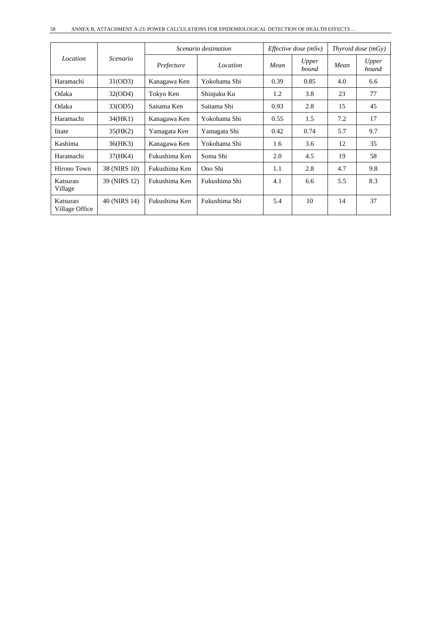| Location                   | Scenario     | Scenario destination |               | <i>Effective dose</i> $(mSv)$ |                | Thyroid dose (mGy) |                |
|----------------------------|--------------|----------------------|---------------|-------------------------------|----------------|--------------------|----------------|
|                            |              | Prefecture           | Location      | Mean                          | Upper<br>bound | Mean               | Upper<br>bound |
| Haramachi                  | 31(OD3)      | Kanagawa Ken         | Yokohama Shi  | 0.39                          | 0.85           | 4.0                | 6.6            |
| Odaka                      | 32(OD4)      | Tokyo Ken            | Shinjuku Ku   | 1.2                           | 3.8            | 23                 | 77             |
| Odaka                      | 33(OD5)      | Saitama Ken          | Saitama Shi   | 0.93                          | 2.8            | 15                 | 45             |
| Haramachi                  | 34(HK1)      | Kanagawa Ken         | Yokohama Shi  | 0.55                          | 1.5            | 7.2                | 17             |
| <b>I</b> itate             | 35(HK2)      | Yamagata Ken         | Yamagata Shi  | 0.42                          | 0.74           | 5.7                | 9.7            |
| Kashima                    | 36(HK3)      | Kanagawa Ken         | Yokohama Shi  | 1.6                           | 3.6            | 12                 | 35             |
| Haramachi                  | 37(HK4)      | Fukushima Ken        | Soma Shi      | 2.0                           | 4.5            | 19                 | 58             |
| Hirono Town                | 38 (NIRS 10) | Fukushima Ken        | Ono Shi       | 1.1                           | 2.8            | 4.7                | 9.8            |
| Katsurao<br>Village        | 39 (NIRS 12) | Fukushima Ken        | Fukushima Shi | 4.1                           | 6.6            | 5.5                | 8.3            |
| Katsurao<br>Village Office | 40 (NIRS 14) | Fukushima Ken        | Fukushima Shi | 5.4                           | 10             | 14                 | 37             |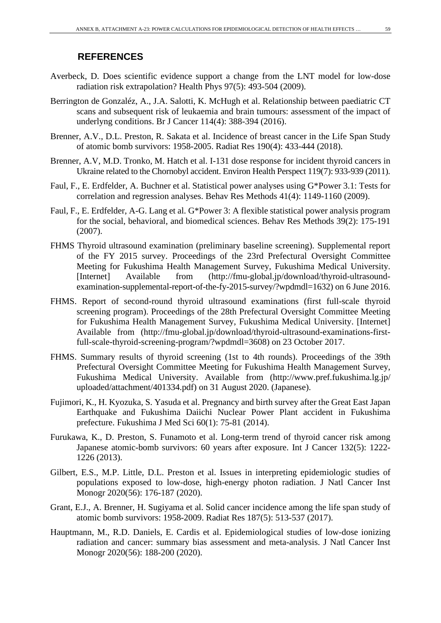- Averbeck, D. Does scientific evidence support a change from the LNT model for low-dose radiation risk extrapolation? Health Phys 97(5): 493-504 (2009).
- Berrington de Gonzaléz, A., J.A. Salotti, K. McHugh et al. Relationship between paediatric CT scans and subsequent risk of leukaemia and brain tumours: assessment of the impact of underlyng conditions. Br J Cancer 114(4): 388-394 (2016).
- Brenner, A.V., D.L. Preston, R. Sakata et al. Incidence of breast cancer in the Life Span Study of atomic bomb survivors: 1958-2005. Radiat Res 190(4): 433-444 (2018).
- Brenner, A.V, M.D. Tronko, M. Hatch et al. I-131 dose response for incident thyroid cancers in Ukraine related to the Chornobyl accident. Environ Health Perspect 119(7): 933-939 (2011).
- Faul, F., E. Erdfelder, A. Buchner et al. Statistical power analyses using G\*Power 3.1: Tests for correlation and regression analyses. Behav Res Methods 41(4): 1149-1160 (2009).
- Faul, F., E. Erdfelder, A-G. Lang et al. G\*Power 3: A flexible statistical power analysis program for the social, behavioral, and biomedical sciences. Behav Res Methods 39(2): 175-191 (2007).
- FHMS Thyroid ultrasound examination (preliminary baseline screening). Supplemental report of the FY 2015 survey. Proceedings of the 23rd Prefectural Oversight Committee Meeting for Fukushima Health Management Survey, Fukushima Medical University. [Internet] Available from (http://fmu-global.jp/download/thyroid-ultrasoundexamination-supplemental-report-of-the-fy-2015-survey/?wpdmdl=1632) on 6 June 2016.
- FHMS. Report of second-round thyroid ultrasound examinations (first full-scale thyroid screening program). Proceedings of the 28th Prefectural Oversight Committee Meeting for Fukushima Health Management Survey, Fukushima Medical University. [Internet] Available from (http://fmu-global.jp/download/thyroid-ultrasound-examinations-firstfull-scale-thyroid-screening-program/?wpdmdl=3608) on 23 October 2017.
- FHMS. Summary results of thyroid screening (1st to 4th rounds). Proceedings of the 39th Prefectural Oversight Committee Meeting for Fukushima Health Management Survey, Fukushima Medical University. Available from (http://www.pref.fukushima.lg.jp/ uploaded/attachment/401334.pdf) on 31 August 2020. (Japanese).
- Fujimori, K., H. Kyozuka, S. Yasuda et al. Pregnancy and birth survey after the Great East Japan Earthquake and Fukushima Daiichi Nuclear Power Plant accident in Fukushima prefecture. Fukushima J Med Sci 60(1): 75-81 (2014).
- Furukawa, K., D. Preston, S. Funamoto et al. Long-term trend of thyroid cancer risk among Japanese atomic-bomb survivors: 60 years after exposure. Int J Cancer 132(5): 1222- 1226 (2013).
- Gilbert, E.S., M.P. Little, D.L. Preston et al. Issues in interpreting epidemiologic studies of populations exposed to low-dose, high-energy photon radiation. J Natl Cancer Inst Monogr 2020(56): 176-187 (2020).
- Grant, E.J., A. Brenner, H. Sugiyama et al. Solid cancer incidence among the life span study of atomic bomb survivors: 1958-2009. Radiat Res 187(5): 513-537 (2017).
- Hauptmann, M., R.D. Daniels, E. Cardis et al. Epidemiological studies of low-dose ionizing radiation and cancer: summary bias assessment and meta-analysis. J Natl Cancer Inst Monogr 2020(56): 188-200 (2020).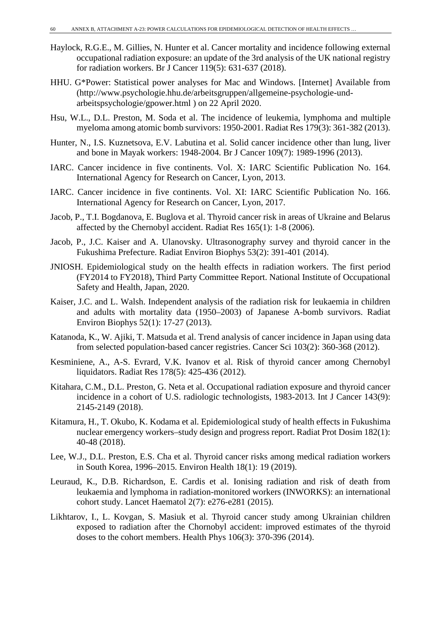- Haylock, R.G.E., M. Gillies, N. Hunter et al. Cancer mortality and incidence following external occupational radiation exposure: an update of the 3rd analysis of the UK national registry for radiation workers. Br J Cancer 119(5): 631-637 (2018).
- HHU. G\*Power: Statistical power analyses for Mac and Windows. [Internet] Available from (http://www.psychologie.hhu.de/arbeitsgruppen/allgemeine-psychologie-undarbeitspsychologie/gpower.html ) on 22 April 2020.
- Hsu, W.L., D.L. Preston, M. Soda et al. The incidence of leukemia, lymphoma and multiple myeloma among atomic bomb survivors: 1950-2001. Radiat Res 179(3): 361-382 (2013).
- Hunter, N., I.S. Kuznetsova, E.V. Labutina et al. Solid cancer incidence other than lung, liver and bone in Mayak workers: 1948-2004. Br J Cancer 109(7): 1989-1996 (2013).
- IARC. Cancer incidence in five continents. Vol. X: IARC Scientific Publication No. 164. International Agency for Research on Cancer, Lyon, 2013.
- IARC. Cancer incidence in five continents. Vol. XI: IARC Scientific Publication No. 166. International Agency for Research on Cancer, Lyon, 2017.
- Jacob, P., T.I. Bogdanova, E. Buglova et al. Thyroid cancer risk in areas of Ukraine and Belarus affected by the Chernobyl accident. Radiat Res 165(1): 1-8 (2006).
- Jacob, P., J.C. Kaiser and A. Ulanovsky. Ultrasonography survey and thyroid cancer in the Fukushima Prefecture. Radiat Environ Biophys 53(2): 391-401 (2014).
- JNIOSH. Epidemiological study on the health effects in radiation workers. The first period (FY2014 to FY2018), Third Party Committee Report. National Institute of Occupational Safety and Health, Japan, 2020.
- Kaiser, J.C. and L. Walsh. Independent analysis of the radiation risk for leukaemia in children and adults with mortality data (1950–2003) of Japanese A-bomb survivors. Radiat Environ Biophys 52(1): 17-27 (2013).
- Katanoda, K., W. Ajiki, T. Matsuda et al. Trend analysis of cancer incidence in Japan using data from selected population-based cancer registries. Cancer Sci 103(2): 360-368 (2012).
- Kesminiene, A., A-S. Evrard, V.K. Ivanov et al. Risk of thyroid cancer among Chernobyl liquidators. Radiat Res 178(5): 425-436 (2012).
- Kitahara, C.M., D.L. Preston, G. Neta et al. Occupational radiation exposure and thyroid cancer incidence in a cohort of U.S. radiologic technologists, 1983-2013. Int J Cancer 143(9): 2145-2149 (2018).
- Kitamura, H., T. Okubo, K. Kodama et al. Epidemiological study of health effects in Fukushima nuclear emergency workers–study design and progress report. Radiat Prot Dosim 182(1): 40-48 (2018).
- Lee, W.J., D.L. Preston, E.S. Cha et al. Thyroid cancer risks among medical radiation workers in South Korea, 1996–2015. Environ Health 18(1): 19 (2019).
- Leuraud, K., D.B. Richardson, E. Cardis et al. Ionising radiation and risk of death from leukaemia and lymphoma in radiation-monitored workers (INWORKS): an international cohort study. Lancet Haematol 2(7): e276-e281 (2015).
- Likhtarov, I., L. Kovgan, S. Masiuk et al. Thyroid cancer study among Ukrainian children exposed to radiation after the Chornobyl accident: improved estimates of the thyroid doses to the cohort members. Health Phys 106(3): 370-396 (2014).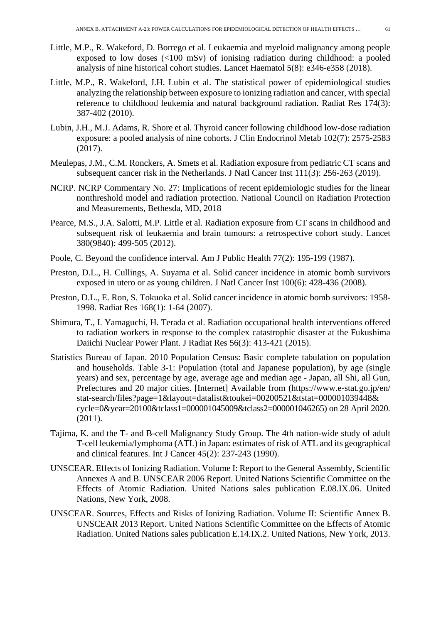- Little, M.P., R. Wakeford, D. Borrego et al. Leukaemia and myeloid malignancy among people exposed to low doses (<100 mSv) of ionising radiation during childhood: a pooled analysis of nine historical cohort studies. Lancet Haematol 5(8): e346-e358 (2018).
- Little, M.P., R. Wakeford, J.H. Lubin et al. The statistical power of epidemiological studies analyzing the relationship between exposure to ionizing radiation and cancer, with special reference to childhood leukemia and natural background radiation. Radiat Res 174(3): 387-402 (2010).
- Lubin, J.H., M.J. Adams, R. Shore et al. Thyroid cancer following childhood low-dose radiation exposure: a pooled analysis of nine cohorts. J Clin Endocrinol Metab 102(7): 2575-2583 (2017).
- Meulepas, J.M., C.M. Ronckers, A. Smets et al. Radiation exposure from pediatric CT scans and subsequent cancer risk in the Netherlands. J Natl Cancer Inst 111(3): 256-263 (2019).
- NCRP. NCRP Commentary No. 27: Implications of recent epidemiologic studies for the linear nonthreshold model and radiation protection. National Council on Radiation Protection and Measurements, Bethesda, MD, 2018
- Pearce, M.S., J.A. Salotti, M.P. Little et al. Radiation exposure from CT scans in childhood and subsequent risk of leukaemia and brain tumours: a retrospective cohort study. Lancet 380(9840): 499-505 (2012).
- Poole, C. Beyond the confidence interval. Am J Public Health 77(2): 195-199 (1987).
- Preston, D.L., H. Cullings, A. Suyama et al. Solid cancer incidence in atomic bomb survivors exposed in utero or as young children. J Natl Cancer Inst 100(6): 428-436 (2008).
- Preston, D.L., E. Ron, S. Tokuoka et al. Solid cancer incidence in atomic bomb survivors: 1958- 1998. Radiat Res 168(1): 1-64 (2007).
- Shimura, T., I. Yamaguchi, H. Terada et al. Radiation occupational health interventions offered to radiation workers in response to the complex catastrophic disaster at the Fukushima Daiichi Nuclear Power Plant. J Radiat Res 56(3): 413-421 (2015).
- Statistics Bureau of Japan. 2010 Population Census: Basic complete tabulation on population and households. Table 3-1: Population (total and Japanese population), by age (single years) and sex, percentage by age, average age and median age - Japan, all Shi, all Gun, Prefectures and 20 major cities. [Internet] Available from (https://www.e-stat.go.jp/en/ stat-search/files?page=1&layout=datalist&toukei=00200521&tstat=000001039448& cycle=0&year=20100&tclass1=000001045009&tclass2=000001046265) on 28 April 2020. (2011).
- Tajima, K. and the T- and B-cell Malignancy Study Group. The 4th nation-wide study of adult T-cell leukemia/lymphoma (ATL) in Japan: estimates of risk of ATL and its geographical and clinical features. Int J Cancer 45(2): 237-243 (1990).
- UNSCEAR. Effects of Ionizing Radiation. Volume I: Report to the General Assembly, Scientific Annexes A and B. UNSCEAR 2006 Report. United Nations Scientific Committee on the Effects of Atomic Radiation. United Nations sales publication E.08.IX.06. United Nations, New York, 2008.
- UNSCEAR. Sources, Effects and Risks of Ionizing Radiation. Volume II: Scientific Annex B. UNSCEAR 2013 Report. United Nations Scientific Committee on the Effects of Atomic Radiation. United Nations sales publication E.14.IX.2. United Nations, New York, 2013.